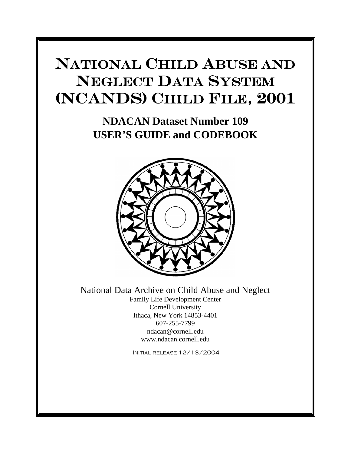# NATIONAL CHILD ABUSE AND NEGLECT DATA SYSTEM (NCANDS) CHILD FILE, 2001

**NDACAN Dataset Number 109 USER'S GUIDE and CODEBOOK** 



National Data Archive on Child Abuse and Neglect

Family Life Development Center Cornell University Ithaca, New York 14853-4401 607-255-7799 ndacan@cornell.edu www.ndacan.cornell.edu

Initial release 12/13/2004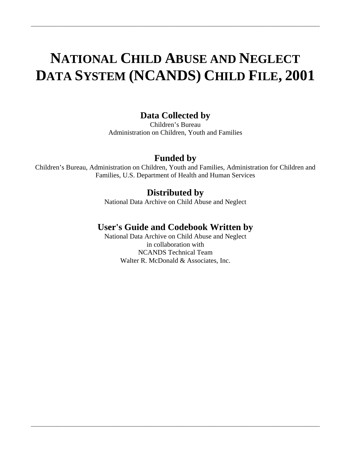# **NATIONAL CHILD ABUSE AND NEGLECT DATA SYSTEM (NCANDS) CHILD FILE, 2001**

\_\_\_\_\_\_\_\_\_\_\_\_\_\_\_\_\_\_\_\_\_\_\_\_\_\_\_\_\_\_\_\_\_\_\_\_\_\_\_\_\_\_\_\_\_\_\_\_\_\_\_\_\_\_\_\_\_\_\_\_\_\_\_\_\_\_\_\_\_\_\_\_\_\_\_\_\_\_\_\_\_\_\_\_\_\_\_\_\_\_\_\_\_\_\_\_\_\_\_\_

## **Data Collected by**

Children's Bureau Administration on Children, Youth and Families

## **Funded by**

Children's Bureau, Administration on Children, Youth and Families, Administration for Children and Families, U.S. Department of Health and Human Services

## **Distributed by**

National Data Archive on Child Abuse and Neglect

## **User's Guide and Codebook Written by**

National Data Archive on Child Abuse and Neglect in collaboration with NCANDS Technical Team Walter R. McDonald & Associates, Inc.

\_\_\_\_\_\_\_\_\_\_\_\_\_\_\_\_\_\_\_\_\_\_\_\_\_\_\_\_\_\_\_\_\_\_\_\_\_\_\_\_\_\_\_\_\_\_\_\_\_\_\_\_\_\_\_\_\_\_\_\_\_\_\_\_\_\_\_\_\_\_\_\_\_\_\_\_\_\_\_\_\_\_\_\_\_\_\_\_\_\_\_\_\_\_\_\_\_\_\_\_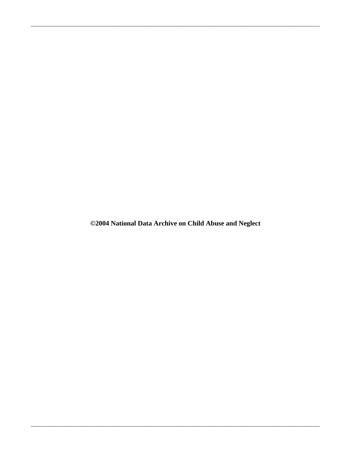©2004 National Data Archive on Child Abuse and Neglect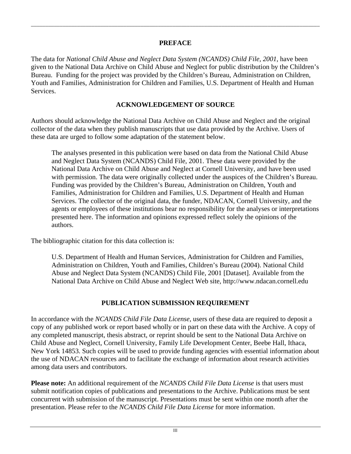### **PREFACE**

\_\_\_\_\_\_\_\_\_\_\_\_\_\_\_\_\_\_\_\_\_\_\_\_\_\_\_\_\_\_\_\_\_\_\_\_\_\_\_\_\_\_\_\_\_\_\_\_\_\_\_\_\_\_\_\_\_\_\_\_\_\_\_\_\_\_\_\_\_\_\_\_\_\_\_\_\_\_\_\_\_\_\_\_\_\_\_\_\_\_\_\_\_\_\_\_\_\_\_\_

The data for *National Child Abuse and Neglect Data System (NCANDS) Child File, 2001*, have been given to the National Data Archive on Child Abuse and Neglect for public distribution by the Children's Bureau. Funding for the project was provided by the Children's Bureau, Administration on Children, Youth and Families, Administration for Children and Families, U.S. Department of Health and Human Services.

### **ACKNOWLEDGEMENT OF SOURCE**

Authors should acknowledge the National Data Archive on Child Abuse and Neglect and the original collector of the data when they publish manuscripts that use data provided by the Archive. Users of these data are urged to follow some adaptation of the statement below.

The analyses presented in this publication were based on data from the National Child Abuse and Neglect Data System (NCANDS) Child File, 2001. These data were provided by the National Data Archive on Child Abuse and Neglect at Cornell University, and have been used with permission. The data were originally collected under the auspices of the Children's Bureau. Funding was provided by the Children's Bureau, Administration on Children, Youth and Families, Administration for Children and Families, U.S. Department of Health and Human Services. The collector of the original data, the funder, NDACAN, Cornell University, and the agents or employees of these institutions bear no responsibility for the analyses or interpretations presented here. The information and opinions expressed reflect solely the opinions of the authors.

The bibliographic citation for this data collection is:

U.S. Department of Health and Human Services, Administration for Children and Families, Administration on Children, Youth and Families, Children's Bureau (2004). National Child Abuse and Neglect Data System (NCANDS) Child File, 2001 [Dataset]. Available from the National Data Archive on Child Abuse and Neglect Web site, http://www.ndacan.cornell.edu

### **PUBLICATION SUBMISSION REQUIREMENT**

In accordance with the *NCANDS Child File Data License*, users of these data are required to deposit a copy of any published work or report based wholly or in part on these data with the Archive. A copy of any completed manuscript, thesis abstract, or reprint should be sent to the National Data Archive on Child Abuse and Neglect, Cornell University, Family Life Development Center, Beebe Hall, Ithaca, New York 14853. Such copies will be used to provide funding agencies with essential information about the use of NDACAN resources and to facilitate the exchange of information about research activities among data users and contributors.

**Please note:** An additional requirement of the *NCANDS Child File Data License* is that users must submit notification copies of publications and presentations to the Archive. Publications must be sent concurrent with submission of the manuscript. Presentations must be sent within one month after the presentation. Please refer to the *NCANDS Child File Data License* for more information.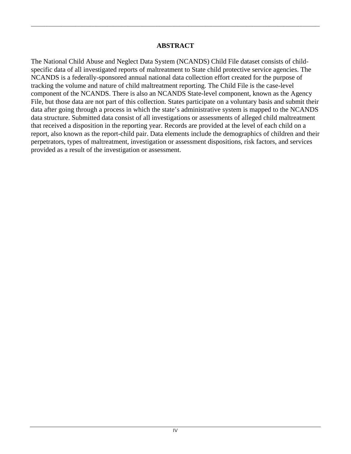### **ABSTRACT**

\_\_\_\_\_\_\_\_\_\_\_\_\_\_\_\_\_\_\_\_\_\_\_\_\_\_\_\_\_\_\_\_\_\_\_\_\_\_\_\_\_\_\_\_\_\_\_\_\_\_\_\_\_\_\_\_\_\_\_\_\_\_\_\_\_\_\_\_\_\_\_\_\_\_\_\_\_\_\_\_\_\_\_\_\_\_\_\_\_\_\_\_\_\_\_\_\_\_\_\_

The National Child Abuse and Neglect Data System (NCANDS) Child File dataset consists of childspecific data of all investigated reports of maltreatment to State child protective service agencies. The NCANDS is a federally-sponsored annual national data collection effort created for the purpose of tracking the volume and nature of child maltreatment reporting. The Child File is the case-level component of the NCANDS. There is also an NCANDS State-level component, known as the Agency File, but those data are not part of this collection. States participate on a voluntary basis and submit their data after going through a process in which the state's administrative system is mapped to the NCANDS data structure. Submitted data consist of all investigations or assessments of alleged child maltreatment that received a disposition in the reporting year. Records are provided at the level of each child on a report, also known as the report-child pair. Data elements include the demographics of children and their perpetrators, types of maltreatment, investigation or assessment dispositions, risk factors, and services provided as a result of the investigation or assessment.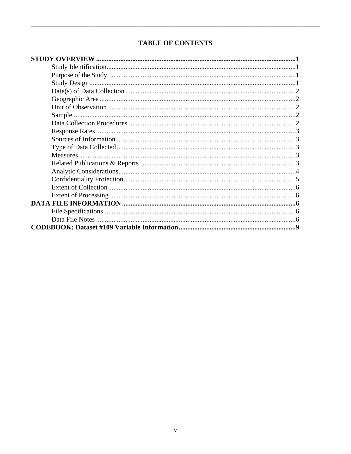## **TABLE OF CONTENTS**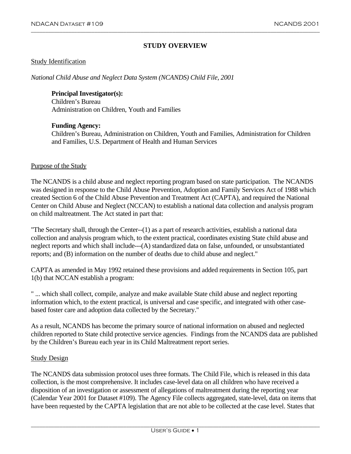#### **STUDY OVERVIEW**

<span id="page-8-0"></span>\_\_\_\_\_\_\_\_\_\_\_\_\_\_\_\_\_\_\_\_\_\_\_\_\_\_\_\_\_\_\_\_\_\_\_\_\_\_\_\_\_\_\_\_\_\_\_\_\_\_\_\_\_\_\_\_\_\_\_\_\_\_\_\_\_\_\_\_\_\_\_\_\_\_\_\_\_\_\_\_\_\_\_\_\_\_\_\_\_\_\_\_\_\_\_\_\_\_\_\_

#### Study Identification

*National Child Abuse and Neglect Data System (NCANDS) Child File, 2001* 

#### **Principal Investigator(s):**

Children's Bureau Administration on Children, Youth and Families

#### **Funding Agency:**

Children's Bureau, Administration on Children, Youth and Families, Administration for Children and Families, U.S. Department of Health and Human Services

#### Purpose of the Study

The NCANDS is a child abuse and neglect reporting program based on state participation. The NCANDS was designed in response to the Child Abuse Prevention, Adoption and Family Services Act of 1988 which created Section 6 of the Child Abuse Prevention and Treatment Act (CAPTA), and required the National Center on Child Abuse and Neglect (NCCAN) to establish a national data collection and analysis program on child maltreatment. The Act stated in part that:

"The Secretary shall, through the Center--(1) as a part of research activities, establish a national data collection and analysis program which, to the extent practical, coordinates existing State child abuse and neglect reports and which shall include---(A) standardized data on false, unfounded, or unsubstantiated reports; and (B) information on the number of deaths due to child abuse and neglect."

CAPTA as amended in May 1992 retained these provisions and added requirements in Section 105, part 1(b) that NCCAN establish a program:

" ... which shall collect, compile, analyze and make available State child abuse and neglect reporting information which, to the extent practical, is universal and case specific, and integrated with other casebased foster care and adoption data collected by the Secretary."

As a result, NCANDS has become the primary source of national information on abused and neglected children reported to State child protective service agencies. Findings from the NCANDS data are published by the Children's Bureau each year in its Child Maltreatment report series.

#### Study Design

The NCANDS data submission protocol uses three formats. The Child File, which is released in this data collection, is the most comprehensive. It includes case-level data on all children who have received a disposition of an investigation or assessment of allegations of maltreatment during the reporting year (Calendar Year 2001 for Dataset #109). The Agency File collects aggregated, state-level, data on items that have been requested by the CAPTA legislation that are not able to be collected at the case level. States that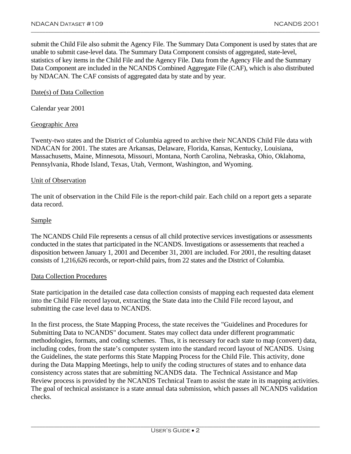submit the Child File also submit the Agency File. The Summary Data Component is used by states that are unable to submit case-level data. The Summary Data Component consists of aggregated, state-level, statistics of key items in the Child File and the Agency File. Data from the Agency File and the Summary Data Component are included in the NCANDS Combined Aggregate File (CAF), which is also distributed by NDACAN. The CAF consists of aggregated data by state and by year.

<span id="page-9-0"></span>\_\_\_\_\_\_\_\_\_\_\_\_\_\_\_\_\_\_\_\_\_\_\_\_\_\_\_\_\_\_\_\_\_\_\_\_\_\_\_\_\_\_\_\_\_\_\_\_\_\_\_\_\_\_\_\_\_\_\_\_\_\_\_\_\_\_\_\_\_\_\_\_\_\_\_\_\_\_\_\_\_\_\_\_\_\_\_\_\_\_\_\_\_\_\_\_\_\_\_\_

#### Date(s) of Data Collection

Calendar year 2001

#### Geographic Area

Twenty-two states and the District of Columbia agreed to archive their NCANDS Child File data with NDACAN for 2001. The states are Arkansas, Delaware, Florida, Kansas, Kentucky, Louisiana, Massachusetts, Maine, Minnesota, Missouri, Montana, North Carolina, Nebraska, Ohio, Oklahoma, Pennsylvania, Rhode Island, Texas, Utah, Vermont, Washington, and Wyoming.

#### Unit of Observation

The unit of observation in the Child File is the report-child pair. Each child on a report gets a separate data record.

#### **Sample**

The NCANDS Child File represents a census of all child protective services investigations or assessments conducted in the states that participated in the NCANDS. Investigations or assessements that reached a disposition between January 1, 2001 and December 31, 2001 are included. For 2001, the resulting dataset consists of 1,216,626 records, or report-child pairs, from 22 states and the District of Columbia.

#### Data Collection Procedures

State participation in the detailed case data collection consists of mapping each requested data element into the Child File record layout, extracting the State data into the Child File record layout, and submitting the case level data to NCANDS.

In the first process, the State Mapping Process, the state receives the "Guidelines and Procedures for Submitting Data to NCANDS" document. States may collect data under different programmatic methodologies, formats, and coding schemes. Thus, it is necessary for each state to map (convert) data, including codes, from the state's computer system into the standard record layout of NCANDS. Using the Guidelines, the state performs this State Mapping Process for the Child File. This activity, done during the Data Mapping Meetings, help to unify the coding structures of states and to enhance data consistency across states that are submitting NCANDS data. The Technical Assistance and Map Review process is provided by the NCANDS Technical Team to assist the state in its mapping activities. The goal of technical assistance is a state annual data submission, which passes all NCANDS validation checks.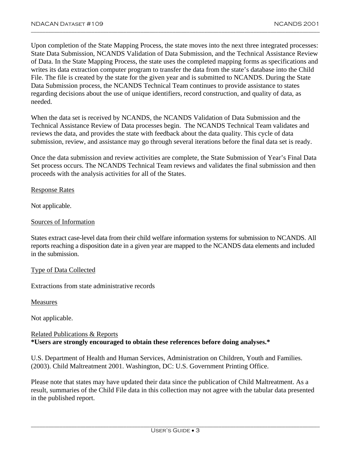Upon completion of the State Mapping Process, the state moves into the next three integrated processes: State Data Submission, NCANDS Validation of Data Submission, and the Technical Assistance Review of Data. In the State Mapping Process, the state uses the completed mapping forms as specifications and writes its data extraction computer program to transfer the data from the state's database into the Child File. The file is created by the state for the given year and is submitted to NCANDS. During the State Data Submission process, the NCANDS Technical Team continues to provide assistance to states regarding decisions about the use of unique identifiers, record construction, and quality of data, as needed.

<span id="page-10-0"></span>\_\_\_\_\_\_\_\_\_\_\_\_\_\_\_\_\_\_\_\_\_\_\_\_\_\_\_\_\_\_\_\_\_\_\_\_\_\_\_\_\_\_\_\_\_\_\_\_\_\_\_\_\_\_\_\_\_\_\_\_\_\_\_\_\_\_\_\_\_\_\_\_\_\_\_\_\_\_\_\_\_\_\_\_\_\_\_\_\_\_\_\_\_\_\_\_\_\_\_\_

When the data set is received by NCANDS, the NCANDS Validation of Data Submission and the Technical Assistance Review of Data processes begin. The NCANDS Technical Team validates and reviews the data, and provides the state with feedback about the data quality. This cycle of data submission, review, and assistance may go through several iterations before the final data set is ready.

Once the data submission and review activities are complete, the State Submission of Year's Final Data Set process occurs. The NCANDS Technical Team reviews and validates the final submission and then proceeds with the analysis activities for all of the States.

#### Response Rates

Not applicable.

#### Sources of Information

States extract case-level data from their child welfare information systems for submission to NCANDS. All reports reaching a disposition date in a given year are mapped to the NCANDS data elements and included in the submission.

#### Type of Data Collected

Extractions from state administrative records

Measures

Not applicable.

#### Related Publications & Reports **\*Users are strongly encouraged to obtain these references before doing analyses.\***

U.S. Department of Health and Human Services, Administration on Children, Youth and Families. (2003). Child Maltreatment 2001. Washington, DC: U.S. Government Printing Office.

Please note that states may have updated their data since the publication of Child Maltreatment. As a result, summaries of the Child File data in this collection may not agree with the tabular data presented in the published report.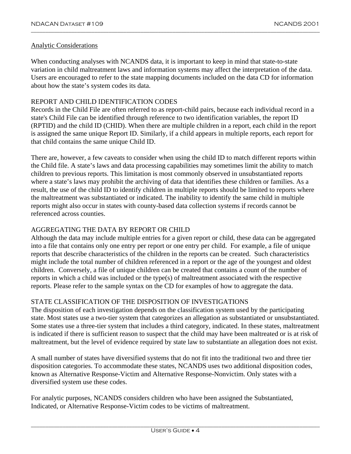#### Analytic Considerations

When conducting analyses with NCANDS data, it is important to keep in mind that state-to-state variation in child maltreatment laws and information systems may affect the interpretation of the data. Users are encouraged to refer to the state mapping documents included on the data CD for information about how the state's system codes its data.

<span id="page-11-0"></span>\_\_\_\_\_\_\_\_\_\_\_\_\_\_\_\_\_\_\_\_\_\_\_\_\_\_\_\_\_\_\_\_\_\_\_\_\_\_\_\_\_\_\_\_\_\_\_\_\_\_\_\_\_\_\_\_\_\_\_\_\_\_\_\_\_\_\_\_\_\_\_\_\_\_\_\_\_\_\_\_\_\_\_\_\_\_\_\_\_\_\_\_\_\_\_\_\_\_\_\_

#### REPORT AND CHILD IDENTIFICATION CODES

Records in the Child File are often referred to as report-child pairs, because each individual record in a state's Child File can be identified through reference to two identification variables, the report ID (RPTID) and the child ID (CHID). When there are multiple children in a report, each child in the report is assigned the same unique Report ID. Similarly, if a child appears in multiple reports, each report for that child contains the same unique Child ID.

There are, however, a few caveats to consider when using the child ID to match different reports within the Child file. A state's laws and data processing capabilities may sometimes limit the ability to match children to previous reports. This limitation is most commonly observed in unsubstantiated reports where a state's laws may prohibit the archiving of data that identifies these children or families. As a result, the use of the child ID to identify children in multiple reports should be limited to reports where the maltreatment was substantiated or indicated. The inability to identify the same child in multiple reports might also occur in states with county-based data collection systems if records cannot be referenced across counties.

#### AGGREGATING THE DATA BY REPORT OR CHILD

Although the data may include multiple entries for a given report or child, these data can be aggregated into a file that contains only one entry per report or one entry per child. For example, a file of unique reports that describe characteristics of the children in the reports can be created. Such characteristics might include the total number of children referenced in a report or the age of the youngest and oldest children. Conversely, a file of unique children can be created that contains a count of the number of reports in which a child was included or the type(s) of maltreatment associated with the respective reports. Please refer to the sample syntax on the CD for examples of how to aggregate the data.

#### STATE CLASSIFICATION OF THE DISPOSITION OF INVESTIGATIONS

The disposition of each investigation depends on the classification system used by the participating state. Most states use a two-tier system that categorizes an allegation as substantiated or unsubstantiated. Some states use a three-tier system that includes a third category, indicated. In these states, maltreatment is indicated if there is sufficient reason to suspect that the child may have been maltreated or is at risk of maltreatment, but the level of evidence required by state law to substantiate an allegation does not exist.

A small number of states have diversified systems that do not fit into the traditional two and three tier disposition categories. To accommodate these states, NCANDS uses two additional disposition codes, known as Alternative Response-Victim and Alternative Response-Nonvictim. Only states with a diversified system use these codes.

For analytic purposes, NCANDS considers children who have been assigned the Substantiated, Indicated, or Alternative Response-Victim codes to be victims of maltreatment.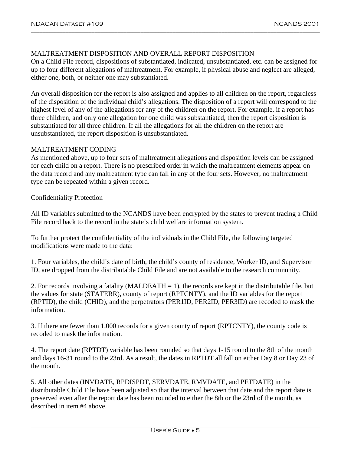#### <span id="page-12-0"></span>MALTREATMENT DISPOSITION AND OVERALL REPORT DISPOSITION

On a Child File record, dispositions of substantiated, indicated, unsubstantiated, etc. can be assigned for up to four different allegations of maltreatment. For example, if physical abuse and neglect are alleged, either one, both, or neither one may substantiated.

An overall disposition for the report is also assigned and applies to all children on the report, regardless of the disposition of the individual child's allegations. The disposition of a report will correspond to the highest level of any of the allegations for any of the children on the report. For example, if a report has three children, and only one allegation for one child was substantiated, then the report disposition is substantiated for all three children. If all the allegations for all the children on the report are unsubstantiated, the report disposition is unsubstantiated.

#### MALTREATMENT CODING

As mentioned above, up to four sets of maltreatment allegations and disposition levels can be assigned for each child on a report. There is no prescribed order in which the maltreatment elements appear on the data record and any maltreatment type can fall in any of the four sets. However, no maltreatment type can be repeated within a given record.

#### Confidentiality Protection

All ID variables submitted to the NCANDS have been encrypted by the states to prevent tracing a Child File record back to the record in the state's child welfare information system.

To further protect the confidentiality of the individuals in the Child File, the following targeted modifications were made to the data:

1. Four variables, the child's date of birth, the child's county of residence, Worker ID, and Supervisor ID, are dropped from the distributable Child File and are not available to the research community.

2. For records involving a fatality (MALDEATH  $= 1$ ), the records are kept in the distributable file, but the values for state (STATERR), county of report (RPTCNTY), and the ID variables for the report (RPTID), the child (CHID), and the perpetrators (PER1ID, PER2ID, PER3ID) are recoded to mask the information.

3. If there are fewer than 1,000 records for a given county of report (RPTCNTY), the county code is recoded to mask the information.

4. The report date (RPTDT) variable has been rounded so that days 1-15 round to the 8th of the month and days 16-31 round to the 23rd. As a result, the dates in RPTDT all fall on either Day 8 or Day 23 of the month.

5. All other dates (INVDATE, RPDISPDT, SERVDATE, RMVDATE, and PETDATE) in the distributable Child File have been adjusted so that the interval between that date and the report date is preserved even after the report date has been rounded to either the 8th or the 23rd of the month, as described in item #4 above.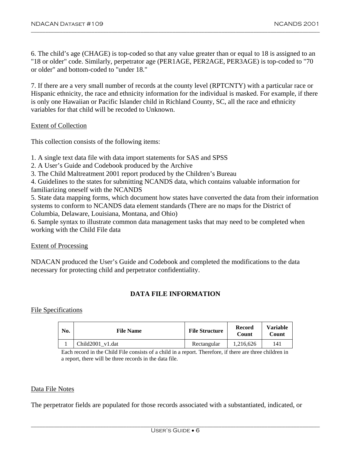6. The child's age (CHAGE) is top-coded so that any value greater than or equal to 18 is assigned to an "18 or older" code. Similarly, perpetrator age (PER1AGE, PER2AGE, PER3AGE) is top-coded to "70 or older" and bottom-coded to "under 18."

<span id="page-13-0"></span>\_\_\_\_\_\_\_\_\_\_\_\_\_\_\_\_\_\_\_\_\_\_\_\_\_\_\_\_\_\_\_\_\_\_\_\_\_\_\_\_\_\_\_\_\_\_\_\_\_\_\_\_\_\_\_\_\_\_\_\_\_\_\_\_\_\_\_\_\_\_\_\_\_\_\_\_\_\_\_\_\_\_\_\_\_\_\_\_\_\_\_\_\_\_\_\_\_\_\_\_

7. If there are a very small number of records at the county level (RPTCNTY) with a particular race or Hispanic ethnicity, the race and ethnicity information for the individual is masked. For example, if there is only one Hawaiian or Pacific Islander child in Richland County, SC, all the race and ethnicity variables for that child will be recoded to Unknown.

#### Extent of Collection

This collection consists of the following items:

1. A single text data file with data import statements for SAS and SPSS

- 2. A User's Guide and Codebook produced by the Archive
- 3. The Child Maltreatment 2001 report produced by the Children's Bureau
- 4. Guidelines to the states for submitting NCANDS data, which contains valuable information for
- familiarizing oneself with the NCANDS

5. State data mapping forms, which document how states have converted the data from their information systems to conform to NCANDS data element standards (There are no maps for the District of Columbia, Delaware, Louisiana, Montana, and Ohio)

6. Sample syntax to illustrate common data management tasks that may need to be completed when working with the Child File data

#### Extent of Processing

NDACAN produced the User's Guide and Codebook and completed the modifications to the data necessary for protecting child and perpetrator confidentiality.

#### **DATA FILE INFORMATION**

#### File Specifications

| No. | <b>File Name</b> | <b>File Structure</b> | <b>Record</b><br>Count | <b>Variable</b><br>Count |
|-----|------------------|-----------------------|------------------------|--------------------------|
|     | Child2001 v1.dat | Rectangular           | 1.216.626              | 141                      |

Each record in the Child File consists of a child in a report. Therefore, if there are three children in a report, there will be three records in the data file.

#### Data File Notes

The perpetrator fields are populated for those records associated with a substantiated, indicated, or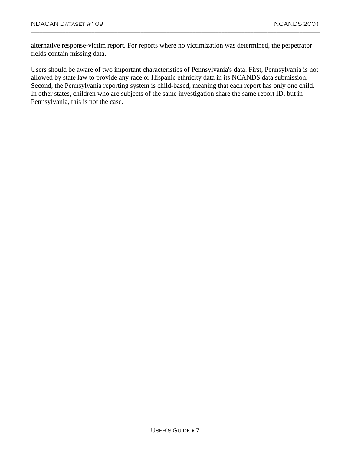alternative response-victim report. For reports where no victimization was determined, the perpetrator fields contain missing data.

Users should be aware of two important characteristics of Pennsylvania's data. First, Pennsylvania is not allowed by state law to provide any race or Hispanic ethnicity data in its NCANDS data submission. Second, the Pennsylvania reporting system is child-based, meaning that each report has only one child. In other states, children who are subjects of the same investigation share the same report ID, but in Pennsylvania, this is not the case.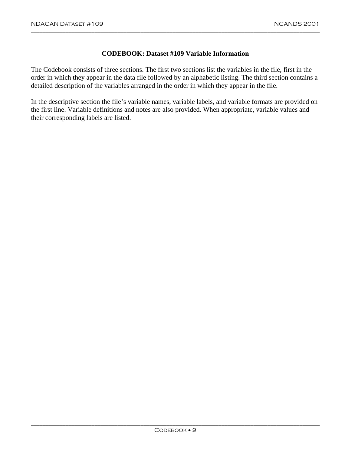#### **CODEBOOK: Dataset #109 Variable Information**

<span id="page-16-0"></span>\_\_\_\_\_\_\_\_\_\_\_\_\_\_\_\_\_\_\_\_\_\_\_\_\_\_\_\_\_\_\_\_\_\_\_\_\_\_\_\_\_\_\_\_\_\_\_\_\_\_\_\_\_\_\_\_\_\_\_\_\_\_\_\_\_\_\_\_\_\_\_\_\_\_\_\_\_\_\_\_\_\_\_\_\_\_\_\_\_\_\_\_\_\_\_\_\_\_\_\_

The Codebook consists of three sections. The first two sections list the variables in the file, first in the order in which they appear in the data file followed by an alphabetic listing. The third section contains a detailed description of the variables arranged in the order in which they appear in the file.

In the descriptive section the file's variable names, variable labels, and variable formats are provided on the first line. Variable definitions and notes are also provided. When appropriate, variable values and their corresponding labels are listed.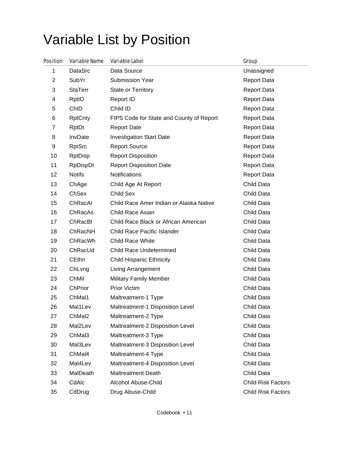# Variable List by Position

| <b>Position</b> | <b>Variable Name</b> | <b>Variable Label</b>                    | Group                     |
|-----------------|----------------------|------------------------------------------|---------------------------|
| 1               | DataSrc              | Data Source                              | Unassigned                |
| $\overline{2}$  | SubYr                | Submission Year                          | <b>Report Data</b>        |
| 3               | <b>StaTerr</b>       | <b>State or Territory</b>                | <b>Report Data</b>        |
| 4               | RptID                | Report ID                                | <b>Report Data</b>        |
| 5               | ChID                 | Child ID                                 | <b>Report Data</b>        |
| 6               | <b>RptCnty</b>       | FIPS Code for State and County of Report | <b>Report Data</b>        |
| $\overline{7}$  | RptDt                | <b>Report Date</b>                       | <b>Report Data</b>        |
| 8               | InvDate              | <b>Investigation Start Date</b>          | <b>Report Data</b>        |
| 9               | <b>RptSrc</b>        | <b>Report Source</b>                     | <b>Report Data</b>        |
| 10              | <b>RptDisp</b>       | <b>Report Disposition</b>                | <b>Report Data</b>        |
| 11              | RpDispDt             | <b>Report Disposition Date</b>           | <b>Report Data</b>        |
| 12              | <b>Notifs</b>        | <b>Notifications</b>                     | <b>Report Data</b>        |
| 13              | ChAge                | Child Age At Report                      | Child Data                |
| 14              | ChSex                | Child Sex                                | Child Data                |
| 15              | ChRacAl              | Child Race Amer Indian or Alaska Native  | Child Data                |
| 16              | ChRacAs              | Child Race Asian                         | Child Data                |
| 17              | ChRacBI              | Child Race Black or African American     | Child Data                |
| 18              | ChRacNH              | Child Race Pacific Islander              | Child Data                |
| 19              | ChRacWh              | <b>Child Race White</b>                  | Child Data                |
| 20              | ChRacUd              | <b>Child Race Undetermined</b>           | Child Data                |
| 21              | <b>CEthn</b>         | <b>Child Hispanic Ethnicity</b>          | Child Data                |
| 22              | ChLvng               | Living Arrangement                       | Child Data                |
| 23              | ChMil                | <b>Military Family Member</b>            | Child Data                |
| 24              | ChPrior              | <b>Prior Victim</b>                      | Child Data                |
| 25              | ChMal1               | Maltreatment-1 Type                      | Child Data                |
| 26              | Mal1Lev              | Maltreatment-1 Disposition Level         | Child Data                |
| 27              | ChMal2               | Maltreatment-2 Type                      | Child Data                |
| 28              | Mal2Lev              | Maltreatment-2 Disposition Level         | Child Data                |
| 29              | ChMal3               | Maltreatment-3 Type                      | Child Data                |
| 30              | Mal3Lev              | Maltreatment-3 Disposition Level         | Child Data                |
| 31              | ChMal4               | Maltreatment-4 Type                      | Child Data                |
| 32              | Mal4Lev              | Maltreatment-4 Disposition Level         | Child Data                |
| 33              | MalDeath             | <b>Maltreatment Death</b>                | Child Data                |
| 34              | CdAlc                | <b>Alcohol Abuse-Child</b>               | <b>Child Risk Factors</b> |
| 35              | CdDrug               | Drug Abuse-Child                         | <b>Child Risk Factors</b> |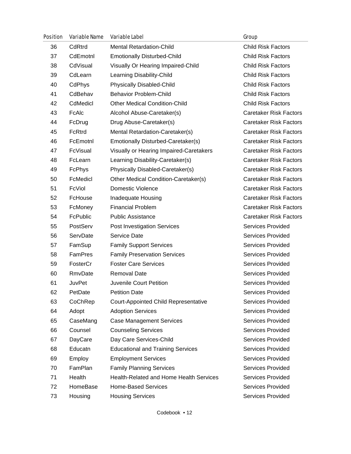| <b>Position</b> | <b>Variable Name</b> | <b>Variable Label</b>                       | Group                         |
|-----------------|----------------------|---------------------------------------------|-------------------------------|
| 36              | CdRtrd               | <b>Mental Retardation-Child</b>             | <b>Child Risk Factors</b>     |
| 37              | CdEmotnl             | <b>Emotionally Disturbed-Child</b>          | <b>Child Risk Factors</b>     |
| 38              | CdVisual             | Visually Or Hearing Impaired-Child          | <b>Child Risk Factors</b>     |
| 39              | CdLearn              | Learning Disability-Child                   | <b>Child Risk Factors</b>     |
| 40              | CdPhys               | Physically Disabled-Child                   | <b>Child Risk Factors</b>     |
| 41              | CdBehav              | <b>Behavior Problem-Child</b>               | <b>Child Risk Factors</b>     |
| 42              | CdMedicl             | <b>Other Medical Condition-Child</b>        | <b>Child Risk Factors</b>     |
| 43              | FcAlc                | Alcohol Abuse-Caretaker(s)                  | <b>Caretaker Risk Factors</b> |
| 44              | FcDrug               | Drug Abuse-Caretaker(s)                     | <b>Caretaker Risk Factors</b> |
| 45              | FcRtrd               | Mental Retardation-Caretaker(s)             | <b>Caretaker Risk Factors</b> |
| 46              | FcEmotnl             | Emotionally Disturbed-Caretaker(s)          | <b>Caretaker Risk Factors</b> |
| 47              | FcVisual             | Visually or Hearing Impaired-Caretakers     | <b>Caretaker Risk Factors</b> |
| 48              | FcLearn              | Learning Disability-Caretaker(s)            | <b>Caretaker Risk Factors</b> |
| 49              | FcPhys               | Physically Disabled-Caretaker(s)            | <b>Caretaker Risk Factors</b> |
| 50              | FcMedicl             | Other Medical Condition-Caretaker(s)        | <b>Caretaker Risk Factors</b> |
| 51              | FcViol               | <b>Domestic Violence</b>                    | <b>Caretaker Risk Factors</b> |
| 52              | FcHouse              | Inadequate Housing                          | <b>Caretaker Risk Factors</b> |
| 53              | FcMoney              | <b>Financial Problem</b>                    | <b>Caretaker Risk Factors</b> |
| 54              | FcPublic             | <b>Public Assistance</b>                    | <b>Caretaker Risk Factors</b> |
| 55              | PostServ             | <b>Post Investigation Services</b>          | <b>Services Provided</b>      |
| 56              | ServDate             | Service Date                                | <b>Services Provided</b>      |
| 57              | FamSup               | <b>Family Support Services</b>              | <b>Services Provided</b>      |
| 58              | FamPres              | <b>Family Preservation Services</b>         | <b>Services Provided</b>      |
| 59              | FosterCr             | <b>Foster Care Services</b>                 | <b>Services Provided</b>      |
| 60              | RmvDate              | <b>Removal Date</b>                         | <b>Services Provided</b>      |
| 61              | <b>JuvPet</b>        | Juvenile Court Petition                     | Services Provided             |
| 62              | PetDate              | <b>Petition Date</b>                        | Services Provided             |
| 63              | CoChRep              | <b>Court-Appointed Child Representative</b> | <b>Services Provided</b>      |
| 64              | Adopt                | <b>Adoption Services</b>                    | <b>Services Provided</b>      |
| 65              | CaseMang             | <b>Case Management Services</b>             | Services Provided             |
| 66              | Counsel              | <b>Counseling Services</b>                  | <b>Services Provided</b>      |
| 67              | DayCare              | Day Care Services-Child                     | Services Provided             |
| 68              | Educatn              | <b>Educational and Training Services</b>    | Services Provided             |
| 69              | Employ               | <b>Employment Services</b>                  | <b>Services Provided</b>      |
| 70              | FamPlan              | <b>Family Planning Services</b>             | Services Provided             |
| 71              | Health               | Health-Related and Home Health Services     | Services Provided             |
| 72              | HomeBase             | <b>Home-Based Services</b>                  | <b>Services Provided</b>      |
| 73              | Housing              | <b>Housing Services</b>                     | Services Provided             |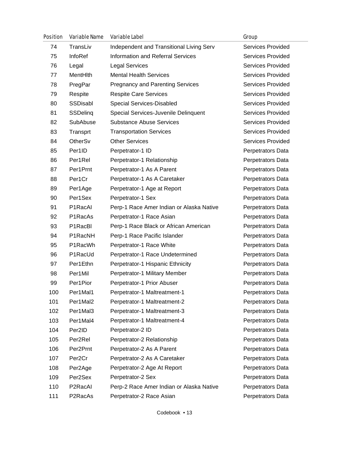| <b>Position</b> | <b>Variable Name</b> | <b>Variable Label</b>                    | Group                    |
|-----------------|----------------------|------------------------------------------|--------------------------|
| 74              | TransLiv             | Independent and Transitional Living Serv | Services Provided        |
| 75              | InfoRef              | <b>Information and Referral Services</b> | Services Provided        |
| 76              | Legal                | <b>Legal Services</b>                    | <b>Services Provided</b> |
| 77              | MentHith             | <b>Mental Health Services</b>            | <b>Services Provided</b> |
| 78              | PregPar              | <b>Pregnancy and Parenting Services</b>  | Services Provided        |
| 79              | Respite              | <b>Respite Care Services</b>             | Services Provided        |
| 80              | SSDisabl             | Special Services-Disabled                | <b>Services Provided</b> |
| 81              | SSDeling             | Special Services-Juvenile Delinquent     | Services Provided        |
| 82              | SubAbuse             | <b>Substance Abuse Services</b>          | Services Provided        |
| 83              | Transprt             | <b>Transportation Services</b>           | Services Provided        |
| 84              | OtherSv              | <b>Other Services</b>                    | <b>Services Provided</b> |
| 85              | Per1ID               | Perpetrator-1 ID                         | Perpetrators Data        |
| 86              | Per1Rel              | Perpetrator-1 Relationship               | Perpetrators Data        |
| 87              | Per1Prnt             | Perpetrator-1 As A Parent                | Perpetrators Data        |
| 88              | Per1Cr               | Perpetrator-1 As A Caretaker             | Perpetrators Data        |
| 89              | Per1Age              | Perpetrator-1 Age at Report              | Perpetrators Data        |
| 90              | Per1Sex              | Perpetrator-1 Sex                        | Perpetrators Data        |
| 91              | P1RacAl              | Perp-1 Race Amer Indian or Alaska Native | Perpetrators Data        |
| 92              | P1RacAs              | Perpetrator-1 Race Asian                 | Perpetrators Data        |
| 93              | P1RacBl              | Perp-1 Race Black or African American    | Perpetrators Data        |
| 94              | P1RacNH              | Perp-1 Race Pacific Islander             | Perpetrators Data        |
| 95              | P1RacWh              | Perpetrator-1 Race White                 | Perpetrators Data        |
| 96              | P1RacUd              | Perpetrator-1 Race Undetermined          | Perpetrators Data        |
| 97              | Per1Ethn             | Perpetrator-1 Hispanic Ethnicity         | Perpetrators Data        |
| 98              | Per1Mil              | Perpetrator-1 Military Member            | Perpetrators Data        |
| 99              | Per1Pior             | Perpetrator-1 Prior Abuser               | Perpetrators Data        |
| 100             | Per1Mal1             | Perpetrator-1 Maltreatment-1             | Perpetrators Data        |
| 101             | Per1Mal2             | Perpetrator-1 Maltreatment-2             | Perpetrators Data        |
| 102             | Per1Mal3             | Perpetrator-1 Maltreatment-3             | Perpetrators Data        |
| 103             | Per1Mal4             | Perpetrator-1 Maltreatment-4             | Perpetrators Data        |
| 104             | Per2ID               | Perpetrator-2 ID                         | Perpetrators Data        |
| 105             | Per <sub>2Rel</sub>  | Perpetrator-2 Relationship               | Perpetrators Data        |
| 106             | Per2Prnt             | Perpetrator-2 As A Parent                | Perpetrators Data        |
| 107             | Per <sub>2Cr</sub>   | Perpetrator-2 As A Caretaker             | Perpetrators Data        |
| 108             | Per2Age              | Perpetrator-2 Age At Report              | Perpetrators Data        |
| 109             | Per2Sex              | Perpetrator-2 Sex                        | Perpetrators Data        |
| 110             | P2RacAl              | Perp-2 Race Amer Indian or Alaska Native | Perpetrators Data        |
| 111             | P2RacAs              | Perpetrator-2 Race Asian                 | Perpetrators Data        |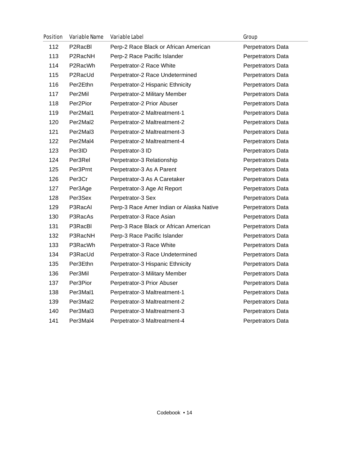| <b>Position</b> | <b>Variable Name</b> | <b>Variable Label</b>                    | Group             |
|-----------------|----------------------|------------------------------------------|-------------------|
| 112             | P2RacBl              | Perp-2 Race Black or African American    | Perpetrators Data |
| 113             | P2RacNH              | Perp-2 Race Pacific Islander             | Perpetrators Data |
| 114             | P2RacWh              | Perpetrator-2 Race White                 | Perpetrators Data |
| 115             | P2RacUd              | Perpetrator-2 Race Undetermined          | Perpetrators Data |
| 116             | Per2Ethn             | Perpetrator-2 Hispanic Ethnicity         | Perpetrators Data |
| 117             | Per2Mil              | Perpetrator-2 Military Member            | Perpetrators Data |
| 118             | Per2Pior             | Perpetrator-2 Prior Abuser               | Perpetrators Data |
| 119             | Per2Mal1             | Perpetrator-2 Maltreatment-1             | Perpetrators Data |
| 120             | Per2Mal2             | Perpetrator-2 Maltreatment-2             | Perpetrators Data |
| 121             | Per2Mal3             | Perpetrator-2 Maltreatment-3             | Perpetrators Data |
| 122             | Per2Mal4             | Perpetrator-2 Maltreatment-4             | Perpetrators Data |
| 123             | Per3ID               | Perpetrator-3 ID                         | Perpetrators Data |
| 124             | Per3Rel              | Perpetrator-3 Relationship               | Perpetrators Data |
| 125             | Per3Prnt             | Perpetrator-3 As A Parent                | Perpetrators Data |
| 126             | Per3Cr               | Perpetrator-3 As A Caretaker             | Perpetrators Data |
| 127             | Per3Age              | Perpetrator-3 Age At Report              | Perpetrators Data |
| 128             | Per3Sex              | Perpetrator-3 Sex                        | Perpetrators Data |
| 129             | P3RacAl              | Perp-3 Race Amer Indian or Alaska Native | Perpetrators Data |
| 130             | P3RacAs              | Perpetrator-3 Race Asian                 | Perpetrators Data |
| 131             | P3RacBI              | Perp-3 Race Black or African American    | Perpetrators Data |
| 132             | P3RacNH              | Perp-3 Race Pacific Islander             | Perpetrators Data |
| 133             | P3RacWh              | Perpetrator-3 Race White                 | Perpetrators Data |
| 134             | P3RacUd              | Perpetrator-3 Race Undetermined          | Perpetrators Data |
| 135             | Per3Ethn             | Perpetrator-3 Hispanic Ethnicity         | Perpetrators Data |
| 136             | Per3Mil              | Perpetrator-3 Military Member            | Perpetrators Data |
| 137             | Per3Pior             | Perpetrator-3 Prior Abuser               | Perpetrators Data |
| 138             | Per3Mal1             | Perpetrator-3 Maltreatment-1             | Perpetrators Data |
| 139             | Per3Mal2             | Perpetrator-3 Maltreatment-2             | Perpetrators Data |
| 140             | Per3Mal3             | Perpetrator-3 Maltreatment-3             | Perpetrators Data |
| 141             | Per3Mal4             | Perpetrator-3 Maltreatment-4             | Perpetrators Data |
|                 |                      |                                          |                   |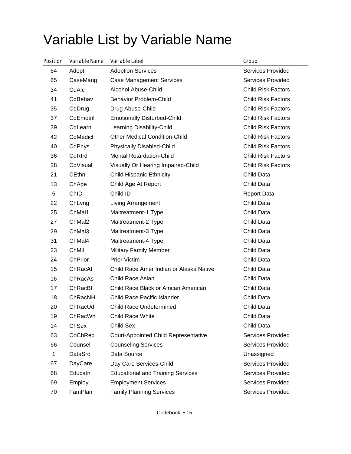# Variable List by Variable Name

| Position | <b>Variable Name</b> | <b>Variable Label</b>                       | Group                     |
|----------|----------------------|---------------------------------------------|---------------------------|
| 64       | Adopt                | <b>Adoption Services</b>                    | <b>Services Provided</b>  |
| 65       | CaseMang             | <b>Case Management Services</b>             | <b>Services Provided</b>  |
| 34       | CdAlc                | <b>Alcohol Abuse-Child</b>                  | <b>Child Risk Factors</b> |
| 41       | CdBehav              | <b>Behavior Problem-Child</b>               | <b>Child Risk Factors</b> |
| 35       | CdDrug               | Drug Abuse-Child                            | <b>Child Risk Factors</b> |
| 37       | CdEmotnl             | <b>Emotionally Disturbed-Child</b>          | <b>Child Risk Factors</b> |
| 39       | CdLearn              | Learning Disability-Child                   | <b>Child Risk Factors</b> |
| 42       | CdMedicl             | <b>Other Medical Condition-Child</b>        | <b>Child Risk Factors</b> |
| 40       | CdPhys               | <b>Physically Disabled-Child</b>            | <b>Child Risk Factors</b> |
| 36       | CdRtrd               | <b>Mental Retardation-Child</b>             | <b>Child Risk Factors</b> |
| 38       | CdVisual             | Visually Or Hearing Impaired-Child          | <b>Child Risk Factors</b> |
| 21       | <b>CEthn</b>         | <b>Child Hispanic Ethnicity</b>             | Child Data                |
| 13       | ChAge                | Child Age At Report                         | Child Data                |
| 5        | ChID                 | Child ID                                    | <b>Report Data</b>        |
| 22       | ChLvng               | Living Arrangement                          | Child Data                |
| 25       | ChMal1               | Maltreatment-1 Type                         | Child Data                |
| 27       | ChMal2               | Maltreatment-2 Type                         | Child Data                |
| 29       | ChMal3               | Maltreatment-3 Type                         | Child Data                |
| 31       | ChMal4               | Maltreatment-4 Type                         | Child Data                |
| 23       | ChMil                | <b>Military Family Member</b>               | Child Data                |
| 24       | ChPrior              | <b>Prior Victim</b>                         | Child Data                |
| 15       | ChRacAl              | Child Race Amer Indian or Alaska Native     | Child Data                |
| 16       | ChRacAs              | Child Race Asian                            | Child Data                |
| 17       | ChRacBI              | Child Race Black or African American        | Child Data                |
| 18       | ChRacNH              | Child Race Pacific Islander                 | Child Data                |
| 20       | ChRacUd              | <b>Child Race Undetermined</b>              | Child Data                |
| 19       | ChRacWh              | Child Race White                            | Child Data                |
| 14       | ChSex                | Child Sex                                   | Child Data                |
| 63       | CoChRep              | <b>Court-Appointed Child Representative</b> | Services Provided         |
| 66       | Counsel              | <b>Counseling Services</b>                  | Services Provided         |
| 1        | DataSrc              | Data Source                                 | Unassigned                |
| 67       | DayCare              | Day Care Services-Child                     | <b>Services Provided</b>  |
| 68       | Educatn              | <b>Educational and Training Services</b>    | <b>Services Provided</b>  |
| 69       | Employ               | <b>Employment Services</b>                  | Services Provided         |
| 70       | FamPlan              | <b>Family Planning Services</b>             | Services Provided         |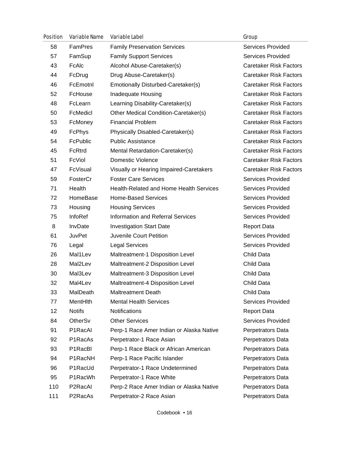| <b>Position</b> | <b>Variable Name</b> | <b>Variable Label</b>                    | Group                         |
|-----------------|----------------------|------------------------------------------|-------------------------------|
| 58              | FamPres              | <b>Family Preservation Services</b>      | <b>Services Provided</b>      |
| 57              | FamSup               | <b>Family Support Services</b>           | Services Provided             |
| 43              | FcAlc                | Alcohol Abuse-Caretaker(s)               | <b>Caretaker Risk Factors</b> |
| 44              | FcDrug               | Drug Abuse-Caretaker(s)                  | <b>Caretaker Risk Factors</b> |
| 46              | FcEmotnl             | Emotionally Disturbed-Caretaker(s)       | <b>Caretaker Risk Factors</b> |
| 52              | FcHouse              | Inadequate Housing                       | <b>Caretaker Risk Factors</b> |
| 48              | FcLearn              | Learning Disability-Caretaker(s)         | <b>Caretaker Risk Factors</b> |
| 50              | FcMedicl             | Other Medical Condition-Caretaker(s)     | <b>Caretaker Risk Factors</b> |
| 53              | FcMoney              | <b>Financial Problem</b>                 | <b>Caretaker Risk Factors</b> |
| 49              | FcPhys               | Physically Disabled-Caretaker(s)         | <b>Caretaker Risk Factors</b> |
| 54              | FcPublic             | <b>Public Assistance</b>                 | <b>Caretaker Risk Factors</b> |
| 45              | FcRtrd               | Mental Retardation-Caretaker(s)          | <b>Caretaker Risk Factors</b> |
| 51              | FcViol               | <b>Domestic Violence</b>                 | <b>Caretaker Risk Factors</b> |
| 47              | FcVisual             | Visually or Hearing Impaired-Caretakers  | <b>Caretaker Risk Factors</b> |
| 59              | FosterCr             | <b>Foster Care Services</b>              | Services Provided             |
| 71              | Health               | Health-Related and Home Health Services  | <b>Services Provided</b>      |
| 72              | HomeBase             | <b>Home-Based Services</b>               | Services Provided             |
| 73              | Housing              | <b>Housing Services</b>                  | Services Provided             |
| 75              | InfoRef              | <b>Information and Referral Services</b> | <b>Services Provided</b>      |
| 8               | InvDate              | <b>Investigation Start Date</b>          | <b>Report Data</b>            |
| 61              | JuvPet               | Juvenile Court Petition                  | Services Provided             |
| 76              | Legal                | <b>Legal Services</b>                    | Services Provided             |
| 26              | Mal1Lev              | Maltreatment-1 Disposition Level         | Child Data                    |
| 28              | Mal2Lev              | Maltreatment-2 Disposition Level         | Child Data                    |
| 30              | Mal3Lev              | Maltreatment-3 Disposition Level         | Child Data                    |
| 32              | Mal4Lev              | Maltreatment-4 Disposition Level         | Child Data                    |
| 33              | MalDeath             | <b>Maltreatment Death</b>                | Child Data                    |
| 77              | MentHith             | <b>Mental Health Services</b>            | Services Provided             |
| 12              | <b>Notifs</b>        | Notifications                            | <b>Report Data</b>            |
| 84              | OtherSv              | <b>Other Services</b>                    | <b>Services Provided</b>      |
| 91              | P1RacAl              | Perp-1 Race Amer Indian or Alaska Native | Perpetrators Data             |
| 92              | P1RacAs              | Perpetrator-1 Race Asian                 | Perpetrators Data             |
| 93              | P1RacBl              | Perp-1 Race Black or African American    | Perpetrators Data             |
| 94              | P1RacNH              | Perp-1 Race Pacific Islander             | Perpetrators Data             |
| 96              | P1RacUd              | Perpetrator-1 Race Undetermined          | Perpetrators Data             |
| 95              | P1RacWh              | Perpetrator-1 Race White                 | Perpetrators Data             |
| 110             | P2RacAl              | Perp-2 Race Amer Indian or Alaska Native | Perpetrators Data             |
| 111             | P2RacAs              | Perpetrator-2 Race Asian                 | Perpetrators Data             |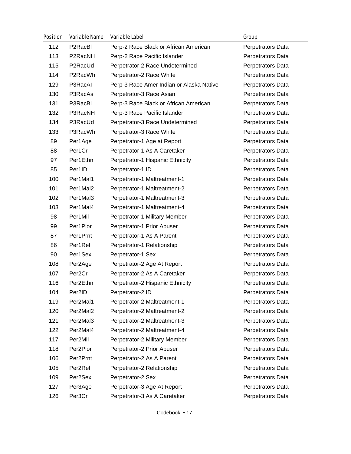| <b>Position</b> | <b>Variable Name</b> | <b>Variable Label</b>                    | Group             |
|-----------------|----------------------|------------------------------------------|-------------------|
| 112             | P2RacBl              | Perp-2 Race Black or African American    | Perpetrators Data |
| 113             | P2RacNH              | Perp-2 Race Pacific Islander             | Perpetrators Data |
| 115             | P2RacUd              | Perpetrator-2 Race Undetermined          | Perpetrators Data |
| 114             | P2RacWh              | Perpetrator-2 Race White                 | Perpetrators Data |
| 129             | P3RacAl              | Perp-3 Race Amer Indian or Alaska Native | Perpetrators Data |
| 130             | P3RacAs              | Perpetrator-3 Race Asian                 | Perpetrators Data |
| 131             | P3RacBl              | Perp-3 Race Black or African American    | Perpetrators Data |
| 132             | P3RacNH              | Perp-3 Race Pacific Islander             | Perpetrators Data |
| 134             | P3RacUd              | Perpetrator-3 Race Undetermined          | Perpetrators Data |
| 133             | P3RacWh              | Perpetrator-3 Race White                 | Perpetrators Data |
| 89              | Per1Age              | Perpetrator-1 Age at Report              | Perpetrators Data |
| 88              | Per1Cr               | Perpetrator-1 As A Caretaker             | Perpetrators Data |
| 97              | Per1Ethn             | Perpetrator-1 Hispanic Ethnicity         | Perpetrators Data |
| 85              | Per1ID               | Perpetrator-1 ID                         | Perpetrators Data |
| 100             | Per1Mal1             | Perpetrator-1 Maltreatment-1             | Perpetrators Data |
| 101             | Per1Mal2             | Perpetrator-1 Maltreatment-2             | Perpetrators Data |
| 102             | Per1Mal3             | Perpetrator-1 Maltreatment-3             | Perpetrators Data |
| 103             | Per1Mal4             | Perpetrator-1 Maltreatment-4             | Perpetrators Data |
| 98              | Per1Mil              | Perpetrator-1 Military Member            | Perpetrators Data |
| 99              | Per1Pior             | Perpetrator-1 Prior Abuser               | Perpetrators Data |
| 87              | Per1Prnt             | Perpetrator-1 As A Parent                | Perpetrators Data |
| 86              | Per1Rel              | Perpetrator-1 Relationship               | Perpetrators Data |
| 90              | Per1Sex              | Perpetrator-1 Sex                        | Perpetrators Data |
| 108             | Per2Age              | Perpetrator-2 Age At Report              | Perpetrators Data |
| 107             | Per <sub>2Cr</sub>   | Perpetrator-2 As A Caretaker             | Perpetrators Data |
| 116             | Per2Ethn             | Perpetrator-2 Hispanic Ethnicity         | Perpetrators Data |
| 104             | Per2ID               | Perpetrator-2 ID                         | Perpetrators Data |
| 119             | Per2Mal1             | Perpetrator-2 Maltreatment-1             | Perpetrators Data |
| 120             | Per2Mal2             | Perpetrator-2 Maltreatment-2             | Perpetrators Data |
| 121             | Per2Mal3             | Perpetrator-2 Maltreatment-3             | Perpetrators Data |
| 122             | Per2Mal4             | Perpetrator-2 Maltreatment-4             | Perpetrators Data |
| 117             | Per2Mil              | Perpetrator-2 Military Member            | Perpetrators Data |
| 118             | Per2Pior             | Perpetrator-2 Prior Abuser               | Perpetrators Data |
| 106             | Per2Prnt             | Perpetrator-2 As A Parent                | Perpetrators Data |
| 105             | Per <sub>2Rel</sub>  | Perpetrator-2 Relationship               | Perpetrators Data |
| 109             | Per2Sex              | Perpetrator-2 Sex                        | Perpetrators Data |
| 127             | Per3Age              | Perpetrator-3 Age At Report              | Perpetrators Data |
| 126             | Per3Cr               | Perpetrator-3 As A Caretaker             | Perpetrators Data |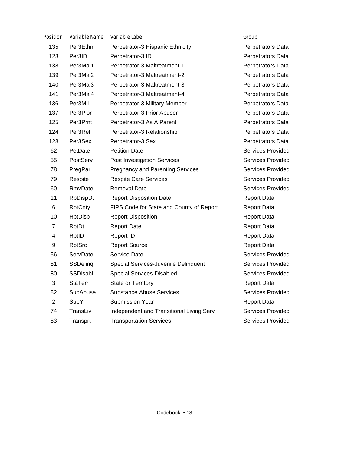| <b>Position</b> | <b>Variable Name</b> | <b>Variable Label</b>                    | Group                    |
|-----------------|----------------------|------------------------------------------|--------------------------|
| 135             | Per3Ethn             | Perpetrator-3 Hispanic Ethnicity         | Perpetrators Data        |
| 123             | Per3ID               | Perpetrator-3 ID                         | Perpetrators Data        |
| 138             | Per3Mal1             | Perpetrator-3 Maltreatment-1             | Perpetrators Data        |
| 139             | Per3Mal2             | Perpetrator-3 Maltreatment-2             | Perpetrators Data        |
| 140             | Per3Mal3             | Perpetrator-3 Maltreatment-3             | Perpetrators Data        |
| 141             | Per3Mal4             | Perpetrator-3 Maltreatment-4             | Perpetrators Data        |
| 136             | Per3Mil              | Perpetrator-3 Military Member            | Perpetrators Data        |
| 137             | Per3Pior             | Perpetrator-3 Prior Abuser               | Perpetrators Data        |
| 125             | Per3Prnt             | Perpetrator-3 As A Parent                | Perpetrators Data        |
| 124             | Per <sub>3Rel</sub>  | Perpetrator-3 Relationship               | Perpetrators Data        |
| 128             | Per3Sex              | Perpetrator-3 Sex                        | Perpetrators Data        |
| 62              | PetDate              | <b>Petition Date</b>                     | Services Provided        |
| 55              | PostServ             | Post Investigation Services              | Services Provided        |
| 78              | PregPar              | <b>Pregnancy and Parenting Services</b>  | <b>Services Provided</b> |
| 79              | Respite              | <b>Respite Care Services</b>             | <b>Services Provided</b> |
| 60              | RmvDate              | <b>Removal Date</b>                      | Services Provided        |
| 11              | <b>RpDispDt</b>      | <b>Report Disposition Date</b>           | <b>Report Data</b>       |
| 6               | <b>RptCnty</b>       | FIPS Code for State and County of Report | <b>Report Data</b>       |
| 10              | <b>RptDisp</b>       | <b>Report Disposition</b>                | <b>Report Data</b>       |
| 7               | RptDt                | <b>Report Date</b>                       | <b>Report Data</b>       |
| 4               | RptID                | <b>Report ID</b>                         | <b>Report Data</b>       |
| 9               | <b>RptSrc</b>        | <b>Report Source</b>                     | <b>Report Data</b>       |
| 56              | ServDate             | Service Date                             | Services Provided        |
| 81              | <b>SSDeling</b>      | Special Services-Juvenile Delinquent     | <b>Services Provided</b> |
| 80              | SSDisabl             | Special Services-Disabled                | <b>Services Provided</b> |
| 3               | <b>StaTerr</b>       | <b>State or Territory</b>                | <b>Report Data</b>       |
| 82              | SubAbuse             | <b>Substance Abuse Services</b>          | <b>Services Provided</b> |
| 2               | SubYr                | <b>Submission Year</b>                   | <b>Report Data</b>       |
| 74              | TransLiv             | Independent and Transitional Living Serv | <b>Services Provided</b> |
| 83              | Transprt             | <b>Transportation Services</b>           | Services Provided        |
|                 |                      |                                          |                          |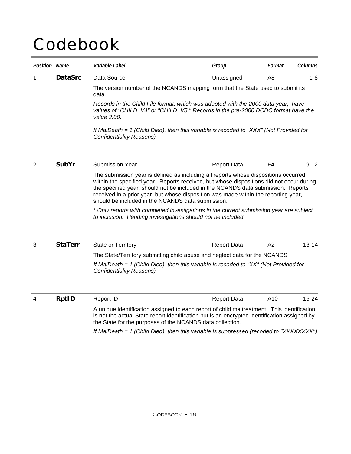# Codebook

| <b>Position Name</b> |                | Variable Label                                                                                                                                                                                                                                                                                                                                                                                                   | Group              | Format | Columns   |
|----------------------|----------------|------------------------------------------------------------------------------------------------------------------------------------------------------------------------------------------------------------------------------------------------------------------------------------------------------------------------------------------------------------------------------------------------------------------|--------------------|--------|-----------|
| 1                    | <b>DataSrc</b> | Data Source                                                                                                                                                                                                                                                                                                                                                                                                      | Unassigned         | A8     | $1 - 8$   |
|                      |                | The version number of the NCANDS mapping form that the State used to submit its<br>data.                                                                                                                                                                                                                                                                                                                         |                    |        |           |
|                      |                | Records in the Child File format, which was adopted with the 2000 data year, have<br>values of "CHILD_V4" or "CHILD_V5." Records in the pre-2000 DCDC format have the<br>value 2.00.                                                                                                                                                                                                                             |                    |        |           |
|                      |                | If MalDeath $= 1$ (Child Died), then this variable is recoded to "XXX" (Not Provided for<br><b>Confidentiality Reasons)</b>                                                                                                                                                                                                                                                                                      |                    |        |           |
| $\overline{2}$       | <b>SubYr</b>   | <b>Submission Year</b>                                                                                                                                                                                                                                                                                                                                                                                           | <b>Report Data</b> | F4     | $9 - 12$  |
|                      |                | The submission year is defined as including all reports whose dispositions occurred<br>within the specified year. Reports received, but whose dispositions did not occur during<br>the specified year, should not be included in the NCANDS data submission. Reports<br>received in a prior year, but whose disposition was made within the reporting year,<br>should be included in the NCANDS data submission. |                    |        |           |
|                      |                | * Only reports with completed investigations in the current submission year are subject<br>to inclusion. Pending investigations should not be included.                                                                                                                                                                                                                                                          |                    |        |           |
| 3                    | <b>StaTerr</b> | <b>State or Territory</b>                                                                                                                                                                                                                                                                                                                                                                                        | <b>Report Data</b> | A2     | $13 - 14$ |
|                      |                | The State/Territory submitting child abuse and neglect data for the NCANDS                                                                                                                                                                                                                                                                                                                                       |                    |        |           |
|                      |                | If MalDeath = 1 (Child Died), then this variable is recoded to "XX" (Not Provided for<br><b>Confidentiality Reasons)</b>                                                                                                                                                                                                                                                                                         |                    |        |           |
| 4                    | <b>RptID</b>   | Report ID                                                                                                                                                                                                                                                                                                                                                                                                        | <b>Report Data</b> | A10    | $15 - 24$ |
|                      |                | A unique identification assigned to each report of child maltreatment. This identification<br>is not the actual State report identification but is an encrypted identification assigned by<br>the State for the purposes of the NCANDS data collection.                                                                                                                                                          |                    |        |           |
|                      |                | If MalDeath = 1 (Child Died), then this variable is suppressed (recoded to "XXXXXXXX")                                                                                                                                                                                                                                                                                                                           |                    |        |           |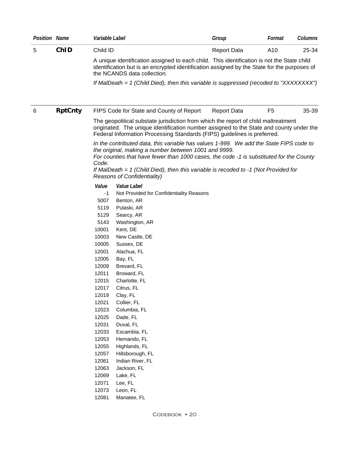| <b>Position Name</b> |                | Variable Label                                                                                                                                                                                                                                                      |                                                                                                                                                                                                                                                                                                                                                                                                                                                                                       | Group              | Format         | <b>Columns</b> |  |
|----------------------|----------------|---------------------------------------------------------------------------------------------------------------------------------------------------------------------------------------------------------------------------------------------------------------------|---------------------------------------------------------------------------------------------------------------------------------------------------------------------------------------------------------------------------------------------------------------------------------------------------------------------------------------------------------------------------------------------------------------------------------------------------------------------------------------|--------------------|----------------|----------------|--|
| 5                    | ChID           | Child ID                                                                                                                                                                                                                                                            |                                                                                                                                                                                                                                                                                                                                                                                                                                                                                       | <b>Report Data</b> | A10            | 25-34          |  |
|                      |                | A unique identification assigned to each child. This identification is not the State child<br>identification but is an encrypted identification assigned by the State for the purposes of<br>the NCANDS data collection.                                            |                                                                                                                                                                                                                                                                                                                                                                                                                                                                                       |                    |                |                |  |
|                      |                |                                                                                                                                                                                                                                                                     | If MalDeath = 1 (Child Died), then this variable is suppressed (recoded to "XXXXXXXX")                                                                                                                                                                                                                                                                                                                                                                                                |                    |                |                |  |
| 6                    | <b>RptCnty</b> |                                                                                                                                                                                                                                                                     | FIPS Code for State and County of Report                                                                                                                                                                                                                                                                                                                                                                                                                                              | <b>Report Data</b> | F <sub>5</sub> | 35-39          |  |
|                      |                |                                                                                                                                                                                                                                                                     | The geopolitical substate jurisdiction from which the report of child maltreatment<br>originated. The unique identification number assigned to the State and county under the<br>Federal Information Processing Standards (FIPS) guidelines is preferred.                                                                                                                                                                                                                             |                    |                |                |  |
|                      |                | Code.                                                                                                                                                                                                                                                               | In the contributed data, this variable has values 1-999. We add the State FIPS code to<br>the original, making a number between 1001 and 9999.<br>For counties that have fewer than 1000 cases, the code -1 is substituted for the County<br>If MalDeath $= 1$ (Child Died), then this variable is recoded to $-1$ (Not Provided for<br>Reasons of Confidentiality)                                                                                                                   |                    |                |                |  |
|                      |                | Value<br>-1<br>5007<br>5119<br>5129<br>5143<br>10001<br>10003<br>10005<br>12001<br>12005<br>12009<br>12011<br>12015<br>12017<br>12019<br>12021<br>12023<br>12025<br>12031<br>12033<br>12053<br>12055<br>12057<br>12061<br>12063<br>12069<br>12071<br>12073<br>12081 | Value Label<br>Not Provided for Confidentiality Reasons<br>Benton, AR<br>Pulaski, AR<br>Searcy, AR<br>Washington, AR<br>Kent, DE<br>New Castle, DE<br>Sussex, DE<br>Alachua, FL<br>Bay, FL<br>Brevard, FL<br>Broward, FL<br>Charlotte, FL<br>Citrus, FL<br>Clay, FL<br>Collier, FL<br>Columbia, FL<br>Dade, FL<br>Duval, FL<br>Escambia, FL<br>Hernando, FL<br>Highlands, FL<br>Hillsborough, FL<br>Indian River, FL<br>Jackson, FL<br>Lake, FL<br>Lee, FL<br>Leon, FL<br>Manatee, FL |                    |                |                |  |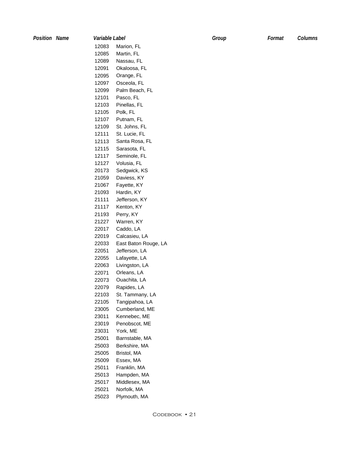| <b>Position Name</b> | Variable Label |                      | Group | Format | Columns |
|----------------------|----------------|----------------------|-------|--------|---------|
|                      | 12083          | Marion, FL           |       |        |         |
|                      | 12085          | Martin, FL           |       |        |         |
|                      | 12089          | Nassau, FL           |       |        |         |
|                      | 12091          | Okaloosa, FL         |       |        |         |
|                      | 12095          | Orange, FL           |       |        |         |
|                      | 12097          | Osceola, FL          |       |        |         |
|                      | 12099          | Palm Beach, FL       |       |        |         |
|                      | 12101          | Pasco, FL            |       |        |         |
|                      | 12103          | Pinellas, FL         |       |        |         |
|                      | 12105          | Polk, FL             |       |        |         |
|                      | 12107          | Putnam, FL           |       |        |         |
|                      | 12109          |                      |       |        |         |
|                      |                | St. Johns, FL        |       |        |         |
|                      | 12111          | St. Lucie, FL        |       |        |         |
|                      | 12113          | Santa Rosa, FL       |       |        |         |
|                      | 12115          | Sarasota, FL         |       |        |         |
|                      | 12117          | Seminole, FL         |       |        |         |
|                      | 12127          | Volusia, FL          |       |        |         |
|                      | 20173          | Sedgwick, KS         |       |        |         |
|                      | 21059          | Daviess, KY          |       |        |         |
|                      | 21067          | Fayette, KY          |       |        |         |
|                      | 21093          | Hardin, KY           |       |        |         |
|                      | 21111          | Jefferson, KY        |       |        |         |
|                      | 21117          | Kenton, KY           |       |        |         |
|                      | 21193          | Perry, KY            |       |        |         |
|                      | 21227          | Warren, KY           |       |        |         |
|                      | 22017          | Caddo, LA            |       |        |         |
|                      | 22019          | Calcasieu, LA        |       |        |         |
|                      | 22033          | East Baton Rouge, LA |       |        |         |
|                      | 22051          | Jefferson, LA        |       |        |         |
|                      | 22055          | Lafayette, LA        |       |        |         |
|                      | 22063          | Livingston, LA       |       |        |         |
|                      | 22071          | Orleans, LA          |       |        |         |
|                      | 22073          | Ouachita, LA         |       |        |         |
|                      | 22079          | Rapides, LA          |       |        |         |
|                      | 22103          | St. Tammany, LA      |       |        |         |
|                      | 22105          | Tangipahoa, LA       |       |        |         |
|                      | 23005          | Cumberland, ME       |       |        |         |
|                      | 23011          | Kennebec, ME         |       |        |         |
|                      | 23019          | Penobscot, ME        |       |        |         |
|                      | 23031          | York, ME             |       |        |         |
|                      | 25001          | Barnstable, MA       |       |        |         |
|                      | 25003          | Berkshire, MA        |       |        |         |
|                      | 25005          | Bristol, MA          |       |        |         |
|                      | 25009          | Essex, MA            |       |        |         |
|                      | 25011          | Franklin, MA         |       |        |         |
|                      | 25013          | Hampden, MA          |       |        |         |
|                      | 25017          | Middlesex, MA        |       |        |         |
|                      | 25021          | Norfolk, MA          |       |        |         |
|                      | 25023          | Plymouth, MA         |       |        |         |
|                      |                |                      |       |        |         |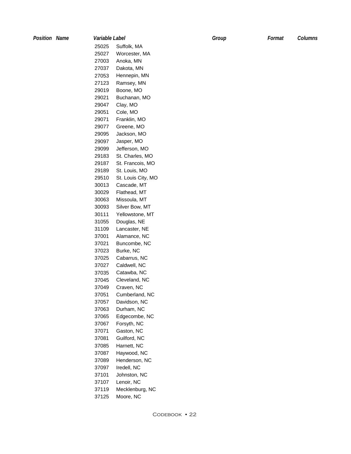*Position Name Variable Label Group Format Columns*  25025 25027 27003 27037 27053 27123 29019 29021 29047 29051 29071 29077 29095 29097 29099 29183 29187 29189 29510 30013 30029 30063 30093 30111 31055 31109 37001 37021 37023 37025 37027 37035 37045 37049 37051 37057 37063 37065 37067 37071 37081 37085 37087 37089 37097 37101 37107 37119 37125 Suffolk, MA Worcester, MA Anoka, MN Dakota, MN Hennepin, MN Ramsey, MN Boone, MO Buchanan, MO Clay, MO Cole, MO Franklin, MO Greene, MO Jackson, MO Jasper, MO Jefferson, MO St. Charles, MO St. Francois, MO St. Louis, MO St. Louis City, MO Cascade, MT Flathead, MT Missoula, MT Silver Bow, MT Yellowstone, MT Douglas, NE Lancaster, NE Alamance, NC Buncombe, NC Burke, NC Cabarrus, NC Caldwell, NC Catawba, NC Cleveland, NC Craven, NC Cumberland, NC Davidson, NC Durham, NC Edgecombe, NC Forsyth, NC Gaston, NC Guilford, NC Harnett, NC Haywood, NC Henderson, NC Iredell, NC Johnston, NC Lenoir, NC Mecklenburg, NC Moore, NC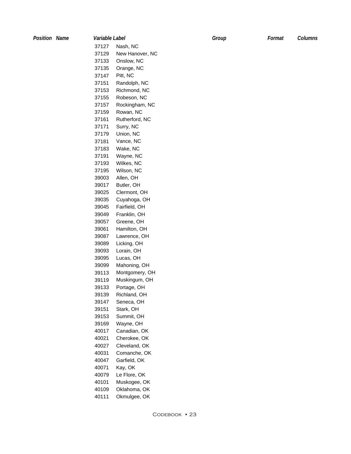*Position Name Variable Label Group Format Columns*  37127 37129 37133 37135 37147 37151 37153 37155 37157 37159 37161 37171 37179 37181 37183 37191 37193 37195 39003 39017 39025 39035 39045 39049 39057 39061 39087 39089 39093 39095 39099 39113 39119 39133 39139 39147 39151 39153 39169 40017 40021 40027 40031 40047 40071 40079 40101 40109 40111 Nash, NC New Hanover, NC Onslow, NC Orange, NC Pitt, NC Randolph, NC Richmond, NC Robeson, NC Rockingham, NC Rowan, NC Rutherford, NC Surry, NC Union, NC Vance, NC Wake, NC Wayne, NC Wilkes, NC Wilson, NC Allen, OH Butler, OH Clermont, OH Cuyahoga, OH Fairfield, OH Franklin, OH Greene, OH Hamilton, OH Lawrence, OH Licking, OH Lorain, OH Lucas, OH Mahoning, OH Montgomery, OH Muskingum, OH Portage, OH Richland, OH Seneca, OH Stark, OH Summit, OH Wayne, OH Canadian, OK Cherokee, OK Cleveland, OK Comanche, OK Garfield, OK Kay, OK Le Flore, OK Muskogee, OK Oklahoma, OK Okmulgee, OK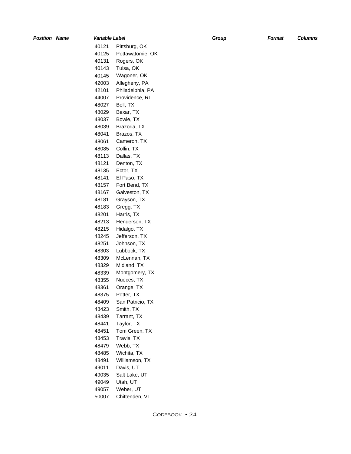| <b>Position Name</b> | Variable Label |                  | Group | Format | Columns |
|----------------------|----------------|------------------|-------|--------|---------|
|                      | 40121          | Pittsburg, OK    |       |        |         |
|                      | 40125          | Pottawatomie, OK |       |        |         |
|                      | 40131          | Rogers, OK       |       |        |         |
|                      | 40143          | Tulsa, OK        |       |        |         |
|                      | 40145          | Wagoner, OK      |       |        |         |
|                      | 42003          | Allegheny, PA    |       |        |         |
|                      | 42101          | Philadelphia, PA |       |        |         |
|                      | 44007          | Providence, RI   |       |        |         |
|                      | 48027          | Bell, TX         |       |        |         |
|                      | 48029          | Bexar, TX        |       |        |         |
|                      | 48037          | Bowie, TX        |       |        |         |
|                      | 48039          | Brazoria, TX     |       |        |         |
|                      | 48041          | Brazos, TX       |       |        |         |
|                      | 48061          | Cameron, TX      |       |        |         |
|                      | 48085          | Collin, TX       |       |        |         |
|                      | 48113          | Dallas, TX       |       |        |         |
|                      | 48121          | Denton, TX       |       |        |         |
|                      |                |                  |       |        |         |
|                      | 48135          | Ector, TX        |       |        |         |
|                      | 48141          | El Paso, TX      |       |        |         |
|                      | 48157          | Fort Bend, TX    |       |        |         |
|                      | 48167          | Galveston, TX    |       |        |         |
|                      | 48181          | Grayson, TX      |       |        |         |
|                      | 48183          | Gregg, TX        |       |        |         |
|                      | 48201          | Harris, TX       |       |        |         |
|                      | 48213          | Henderson, TX    |       |        |         |
|                      | 48215          | Hidalgo, TX      |       |        |         |
|                      | 48245          | Jefferson, TX    |       |        |         |
|                      | 48251          | Johnson, TX      |       |        |         |
|                      | 48303          | Lubbock, TX      |       |        |         |
|                      | 48309          | McLennan, TX     |       |        |         |
|                      | 48329          | Midland, TX      |       |        |         |
|                      | 48339          | Montgomery, TX   |       |        |         |
|                      | 48355          | Nueces, TX       |       |        |         |
|                      | 48361          | Orange, TX       |       |        |         |
|                      | 48375          | Potter, TX       |       |        |         |
|                      | 48409          | San Patricio, TX |       |        |         |
|                      | 48423          | Smith, TX        |       |        |         |
|                      | 48439          | Tarrant, TX      |       |        |         |
|                      | 48441          | Taylor, TX       |       |        |         |
|                      | 48451          | Tom Green, TX    |       |        |         |
|                      | 48453          | Travis, TX       |       |        |         |
|                      | 48479          | Webb, TX         |       |        |         |
|                      | 48485          | Wichita, TX      |       |        |         |
|                      | 48491          | Williamson, TX   |       |        |         |
|                      | 49011          | Davis, UT        |       |        |         |
|                      | 49035          | Salt Lake, UT    |       |        |         |
|                      | 49049          | Utah, UT         |       |        |         |
|                      | 49057          | Weber, UT        |       |        |         |
|                      | 50007          | Chittenden, VT   |       |        |         |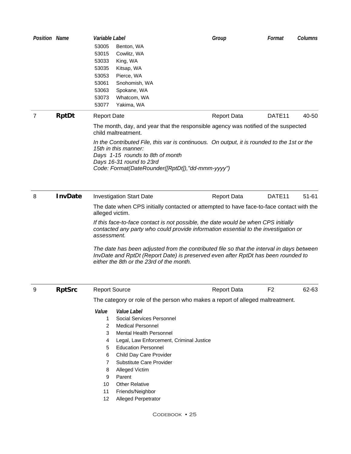| <b>Position Name</b> |                | Variable Label<br>53005<br>53015<br>53033<br>53035<br>53053<br>53061<br>53063<br>53073<br>53077 | Benton, WA<br>Cowlitz, WA<br>King, WA<br>Kitsap, WA<br>Pierce, WA<br>Snohomish, WA<br>Spokane, WA<br>Whatcom, WA<br>Yakima, WA                                                                                                                                                                                                                                                                                                                                                                      | Group              | Format             | Columns   |
|----------------------|----------------|-------------------------------------------------------------------------------------------------|-----------------------------------------------------------------------------------------------------------------------------------------------------------------------------------------------------------------------------------------------------------------------------------------------------------------------------------------------------------------------------------------------------------------------------------------------------------------------------------------------------|--------------------|--------------------|-----------|
| 7                    | <b>RptDt</b>   | <b>Report Date</b>                                                                              |                                                                                                                                                                                                                                                                                                                                                                                                                                                                                                     | <b>Report Data</b> | DATE <sub>11</sub> | 40-50     |
|                      |                |                                                                                                 | The month, day, and year that the responsible agency was notified of the suspected<br>child maltreatment.                                                                                                                                                                                                                                                                                                                                                                                           |                    |                    |           |
|                      |                |                                                                                                 | In the Contributed File, this var is continuous. On output, it is rounded to the 1st or the<br>15th in this manner:<br>Days 1-15 rounds to 8th of month<br>Days 16-31 round to 23rd<br>Code: Format(DateRounder([RptDt]),"dd-mmm-yyyy")                                                                                                                                                                                                                                                             |                    |                    |           |
| 8                    | <b>InvDate</b> |                                                                                                 | <b>Investigation Start Date</b>                                                                                                                                                                                                                                                                                                                                                                                                                                                                     | <b>Report Data</b> | DATE <sub>11</sub> | $51 - 61$ |
|                      |                | alleged victim.<br>assessment.                                                                  | The date when CPS initially contacted or attempted to have face-to-face contact with the<br>If this face-to-face contact is not possible, the date would be when CPS initially<br>contacted any party who could provide information essential to the investigation or<br>The date has been adjusted from the contributed file so that the interval in days between<br>InvDate and RptDt (Report Date) is preserved even after RptDt has been rounded to<br>either the 8th or the 23rd of the month. |                    |                    |           |
| 9                    | <b>RptSrc</b>  | <b>Report Source</b>                                                                            |                                                                                                                                                                                                                                                                                                                                                                                                                                                                                                     | <b>Report Data</b> | F <sub>2</sub>     | 62-63     |
|                      |                |                                                                                                 | The category or role of the person who makes a report of alleged maltreatment.                                                                                                                                                                                                                                                                                                                                                                                                                      |                    |                    |           |
|                      |                | Value<br>1<br>$\overline{2}$<br>3<br>4<br>5<br>6<br>7<br>8<br>9<br>10<br>11<br>12               | Value Label<br>Social Services Personnel<br><b>Medical Personnel</b><br><b>Mental Health Personnel</b><br>Legal, Law Enforcement, Criminal Justice<br><b>Education Personnel</b><br>Child Day Care Provider<br>Substitute Care Provider<br>Alleged Victim<br>Parent<br><b>Other Relative</b><br>Friends/Neighbor<br><b>Alleged Perpetrator</b>                                                                                                                                                      |                    |                    |           |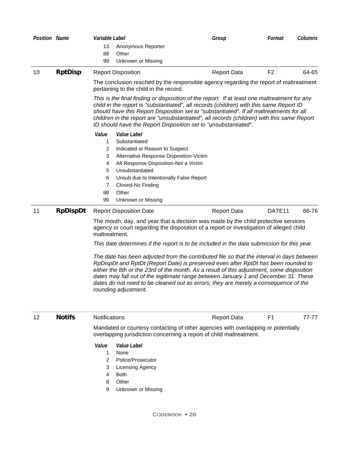| <b>Position Name</b> |                 | Variable Label                                                                                                                                                                                                                                                                               |                                                                                                                                                                                                                                                       | Group                                                                                                                                                                                                                                                                                                                                                                                                                                                      | Format             | <b>Columns</b> |
|----------------------|-----------------|----------------------------------------------------------------------------------------------------------------------------------------------------------------------------------------------------------------------------------------------------------------------------------------------|-------------------------------------------------------------------------------------------------------------------------------------------------------------------------------------------------------------------------------------------------------|------------------------------------------------------------------------------------------------------------------------------------------------------------------------------------------------------------------------------------------------------------------------------------------------------------------------------------------------------------------------------------------------------------------------------------------------------------|--------------------|----------------|
|                      |                 | 13                                                                                                                                                                                                                                                                                           | Anonymous Reporter                                                                                                                                                                                                                                    |                                                                                                                                                                                                                                                                                                                                                                                                                                                            |                    |                |
|                      |                 | 88                                                                                                                                                                                                                                                                                           | Other                                                                                                                                                                                                                                                 |                                                                                                                                                                                                                                                                                                                                                                                                                                                            |                    |                |
|                      |                 | 99                                                                                                                                                                                                                                                                                           | Unknown or Missing                                                                                                                                                                                                                                    |                                                                                                                                                                                                                                                                                                                                                                                                                                                            |                    |                |
| 10                   | <b>RptDisp</b>  |                                                                                                                                                                                                                                                                                              | <b>Report Disposition</b>                                                                                                                                                                                                                             | <b>Report Data</b>                                                                                                                                                                                                                                                                                                                                                                                                                                         | F <sub>2</sub>     | 64-65          |
|                      |                 |                                                                                                                                                                                                                                                                                              | pertaining to the child in the record.                                                                                                                                                                                                                | The conclusion reached by the responsible agency regarding the report of maltreatment                                                                                                                                                                                                                                                                                                                                                                      |                    |                |
|                      |                 |                                                                                                                                                                                                                                                                                              |                                                                                                                                                                                                                                                       | This is the final finding or disposition of the report. If at least one maltreatment for any<br>child in the report is "substantiated", all records (children) with this same Report ID<br>should have this Report Disposition set to "substantiated". If all maltreatments for all<br>children in the report are "unsubstantiated", all records (children) with this same Report<br>ID should have the Report Disposition set to "unsubstantiated".       |                    |                |
|                      |                 | Value<br>1<br>$\overline{\mathbf{c}}$<br>3<br>4<br>5<br>6<br>7<br>88                                                                                                                                                                                                                         | <i>Value Label</i><br>Substantiated<br>Indicated or Reason to Suspect<br>Alternative Response Disposition-Victim<br>Alt Response Disposition-Not a Victim<br>Unsubstantiated<br>Unsub due to Intentionally False Report<br>Closed-No Finding<br>Other |                                                                                                                                                                                                                                                                                                                                                                                                                                                            |                    |                |
|                      |                 | 99                                                                                                                                                                                                                                                                                           | Unknown or Missing                                                                                                                                                                                                                                    |                                                                                                                                                                                                                                                                                                                                                                                                                                                            |                    |                |
| 11                   | <b>RpDispDt</b> |                                                                                                                                                                                                                                                                                              | <b>Report Disposition Date</b>                                                                                                                                                                                                                        | <b>Report Data</b>                                                                                                                                                                                                                                                                                                                                                                                                                                         | DATE <sub>11</sub> | 66-76          |
|                      |                 | The month, day, and year that a decision was made by the child protective services<br>agency or court regarding the disposition of a report or investigation of alleged child<br>maltreatment.<br>This date determines if the report is to be included in the data submission for this year. |                                                                                                                                                                                                                                                       |                                                                                                                                                                                                                                                                                                                                                                                                                                                            |                    |                |
|                      |                 |                                                                                                                                                                                                                                                                                              | rounding adjustment.                                                                                                                                                                                                                                  | The date has been adjusted from the contributed file so that the interval in days between<br>RpDispDt and RptDt (Report Date) is preserved even after RptDt has been rounded to<br>either the 8th or the 23rd of the month. As a result of this adjustment, some disposition<br>dates may fall out of the legitimate range between January 1 and December 31. These<br>dates do not need to be cleaned out as errors; they are merely a consequence of the |                    |                |
| 12                   | <b>Notifs</b>   | Notifications                                                                                                                                                                                                                                                                                |                                                                                                                                                                                                                                                       | <b>Report Data</b>                                                                                                                                                                                                                                                                                                                                                                                                                                         | F <sub>1</sub>     | 77-77          |
|                      |                 |                                                                                                                                                                                                                                                                                              |                                                                                                                                                                                                                                                       | Mandated or courtesy contacting of other agencies with overlapping or potentially<br>overlapping jurisdiction concerning a report of child maltreatment.                                                                                                                                                                                                                                                                                                   |                    |                |
|                      |                 | Value<br>1<br>2<br>3<br>4<br>8<br>9                                                                                                                                                                                                                                                          | Value Label<br>None<br>Police/Prosecutor<br>Licensing Agency<br><b>Both</b><br>Other<br>Unknown or Missing                                                                                                                                            |                                                                                                                                                                                                                                                                                                                                                                                                                                                            |                    |                |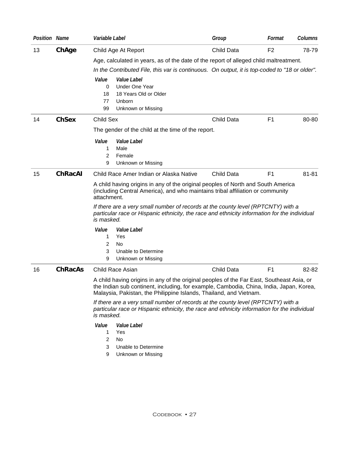| <b>Position Name</b> |                | Variable Label                                                                                                                                                                                                                                                                                                                                                                      | Group             | Format         | <b>Columns</b> |  |  |
|----------------------|----------------|-------------------------------------------------------------------------------------------------------------------------------------------------------------------------------------------------------------------------------------------------------------------------------------------------------------------------------------------------------------------------------------|-------------------|----------------|----------------|--|--|
| 13                   | ChAge          | Child Age At Report                                                                                                                                                                                                                                                                                                                                                                 | Child Data        | F <sub>2</sub> | 78-79          |  |  |
|                      |                | Age, calculated in years, as of the date of the report of alleged child maltreatment.                                                                                                                                                                                                                                                                                               |                   |                |                |  |  |
|                      |                | In the Contributed File, this var is continuous. On output, it is top-coded to "18 or older".                                                                                                                                                                                                                                                                                       |                   |                |                |  |  |
|                      |                | Value<br><i>Value Label</i><br><b>Under One Year</b><br>0<br>18 Years Old or Older<br>18<br>77<br>Unborn<br>Unknown or Missing<br>99                                                                                                                                                                                                                                                |                   |                |                |  |  |
| 14                   | <b>ChSex</b>   | Child Sex                                                                                                                                                                                                                                                                                                                                                                           | Child Data        | F1             | 80-80          |  |  |
|                      |                | The gender of the child at the time of the report.                                                                                                                                                                                                                                                                                                                                  |                   |                |                |  |  |
|                      |                | Value<br>Value Label<br>Male<br>1<br>Female<br>2<br>9<br>Unknown or Missing                                                                                                                                                                                                                                                                                                         |                   |                |                |  |  |
| 15                   | <b>ChRacAI</b> | Child Race Amer Indian or Alaska Native                                                                                                                                                                                                                                                                                                                                             | Child Data        | F <sub>1</sub> | 81-81          |  |  |
|                      |                | A child having origins in any of the original peoples of North and South America<br>(including Central America), and who maintains tribal affiliation or community<br>attachment.<br>If there are a very small number of records at the county level (RPTCNTY) with a<br>particular race or Hispanic ethnicity, the race and ethnicity information for the individual<br>is masked. |                   |                |                |  |  |
|                      |                | Value<br>Value Label                                                                                                                                                                                                                                                                                                                                                                |                   |                |                |  |  |
|                      |                | Yes<br>1                                                                                                                                                                                                                                                                                                                                                                            |                   |                |                |  |  |
|                      |                | 2<br>No<br>3<br>Unable to Determine<br>9<br>Unknown or Missing                                                                                                                                                                                                                                                                                                                      |                   |                |                |  |  |
| 16                   | <b>ChRacAs</b> | Child Race Asian                                                                                                                                                                                                                                                                                                                                                                    | <b>Child Data</b> | F <sub>1</sub> | 82-82          |  |  |
|                      |                | A child having origins in any of the original peoples of the Far East, Southeast Asia, or<br>the Indian sub continent, including, for example, Cambodia, China, India, Japan, Korea,<br>Malaysia, Pakistan, the Philippine Islands, Thailand, and Vietnam.                                                                                                                          |                   |                |                |  |  |
|                      |                | If there are a very small number of records at the county level (RPTCNTY) with a<br>particular race or Hispanic ethnicity, the race and ethnicity information for the individual<br>is masked.                                                                                                                                                                                      |                   |                |                |  |  |
|                      |                | Value<br>Value Label<br>Yes<br>1<br>2<br>No<br>3<br>Unable to Determine                                                                                                                                                                                                                                                                                                             |                   |                |                |  |  |

9 Unknown or Missing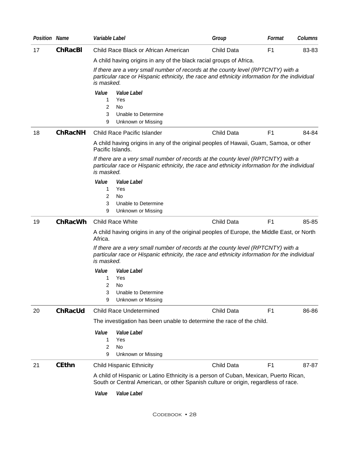| <b>Position Name</b> |                | Variable Label                                                                                                                                                                                 | Group      | Format         | Columns |
|----------------------|----------------|------------------------------------------------------------------------------------------------------------------------------------------------------------------------------------------------|------------|----------------|---------|
| 17                   | <b>ChRacBI</b> | Child Race Black or African American                                                                                                                                                           | Child Data | F <sub>1</sub> | 83-83   |
|                      |                | A child having origins in any of the black racial groups of Africa.                                                                                                                            |            |                |         |
|                      |                | If there are a very small number of records at the county level (RPTCNTY) with a<br>particular race or Hispanic ethnicity, the race and ethnicity information for the individual<br>is masked. |            |                |         |
|                      |                | Value<br>Value Label<br>1<br>Yes<br>2<br>No<br>3<br>Unable to Determine<br>9<br>Unknown or Missing                                                                                             |            |                |         |
| 18                   | <b>ChRacNH</b> | <b>Child Race Pacific Islander</b>                                                                                                                                                             | Child Data | F <sub>1</sub> | 84-84   |
|                      |                | A child having origins in any of the original peoples of Hawaii, Guam, Samoa, or other<br>Pacific Islands.                                                                                     |            |                |         |
|                      |                | If there are a very small number of records at the county level (RPTCNTY) with a<br>particular race or Hispanic ethnicity, the race and ethnicity information for the individual<br>is masked. |            |                |         |
|                      |                | Value<br>Value Label                                                                                                                                                                           |            |                |         |
|                      |                | Yes<br>1<br>2<br>No                                                                                                                                                                            |            |                |         |
|                      |                | 3<br>Unable to Determine                                                                                                                                                                       |            |                |         |
|                      |                | Unknown or Missing<br>9                                                                                                                                                                        |            |                |         |
| 19                   | <b>ChRacWh</b> | <b>Child Race White</b>                                                                                                                                                                        | Child Data | F <sub>1</sub> | 85-85   |
|                      |                | A child having origins in any of the original peoples of Europe, the Middle East, or North<br>Africa.                                                                                          |            |                |         |
|                      |                | If there are a very small number of records at the county level (RPTCNTY) with a<br>particular race or Hispanic ethnicity, the race and ethnicity information for the individual<br>is masked. |            |                |         |
|                      |                | Value<br>Value Label                                                                                                                                                                           |            |                |         |
|                      |                | Yes<br>1<br>2<br>No.                                                                                                                                                                           |            |                |         |
|                      |                | 3<br>Unable to Determine                                                                                                                                                                       |            |                |         |
|                      |                | Unknown or Missing<br>9                                                                                                                                                                        |            |                |         |
| 20                   | <b>ChRacUd</b> | <b>Child Race Undetermined</b>                                                                                                                                                                 | Child Data | F <sub>1</sub> | 86-86   |
|                      |                | The investigation has been unable to determine the race of the child.                                                                                                                          |            |                |         |
|                      |                | Value<br><i>Value Label</i><br>Yes<br>1                                                                                                                                                        |            |                |         |
|                      |                | 2<br>No                                                                                                                                                                                        |            |                |         |
|                      |                | 9<br>Unknown or Missing                                                                                                                                                                        |            |                |         |
| 21                   | <b>CEthn</b>   | <b>Child Hispanic Ethnicity</b>                                                                                                                                                                | Child Data | F <sub>1</sub> | 87-87   |
|                      |                | A child of Hispanic or Latino Ethnicity is a person of Cuban, Mexican, Puerto Rican,<br>South or Central American, or other Spanish culture or origin, regardless of race.                     |            |                |         |
|                      |                | Value<br>Value Label                                                                                                                                                                           |            |                |         |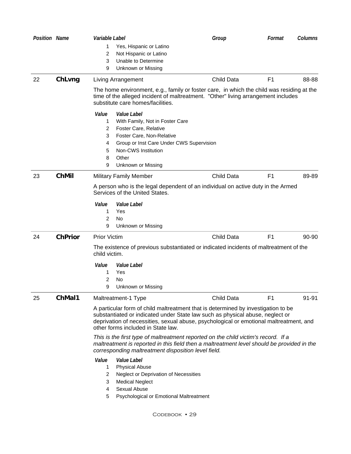| <b>Position Name</b> |                | Variable Label                                                                                                                                                                                                                                                                                     | Group             | Format         | Columns |
|----------------------|----------------|----------------------------------------------------------------------------------------------------------------------------------------------------------------------------------------------------------------------------------------------------------------------------------------------------|-------------------|----------------|---------|
|                      |                | 1.<br>Yes, Hispanic or Latino                                                                                                                                                                                                                                                                      |                   |                |         |
|                      |                | 2<br>Not Hispanic or Latino                                                                                                                                                                                                                                                                        |                   |                |         |
|                      |                | 3<br>Unable to Determine                                                                                                                                                                                                                                                                           |                   |                |         |
|                      |                | Unknown or Missing<br>9                                                                                                                                                                                                                                                                            |                   |                |         |
| 22                   | ChLvng         | Living Arrangement                                                                                                                                                                                                                                                                                 | Child Data        | F <sub>1</sub> | 88-88   |
|                      |                | The home environment, e.g., family or foster care, in which the child was residing at the<br>time of the alleged incident of maltreatment. "Other" living arrangement includes<br>substitute care homes/facilities.                                                                                |                   |                |         |
|                      |                | Value<br><i>Value Label</i><br>With Family, Not in Foster Care<br>1<br>Foster Care, Relative<br>2<br>3<br>Foster Care, Non-Relative                                                                                                                                                                |                   |                |         |
|                      |                | Group or Inst Care Under CWS Supervision<br>4                                                                                                                                                                                                                                                      |                   |                |         |
|                      |                | Non-CWS Institution<br>5                                                                                                                                                                                                                                                                           |                   |                |         |
|                      |                | Other<br>8                                                                                                                                                                                                                                                                                         |                   |                |         |
|                      |                | 9<br>Unknown or Missing                                                                                                                                                                                                                                                                            |                   |                |         |
| 23                   | <b>ChMil</b>   | <b>Military Family Member</b>                                                                                                                                                                                                                                                                      | Child Data        | F <sub>1</sub> | 89-89   |
|                      |                | A person who is the legal dependent of an individual on active duty in the Armed<br>Services of the United States.                                                                                                                                                                                 |                   |                |         |
|                      |                | Value<br><i>Value Label</i>                                                                                                                                                                                                                                                                        |                   |                |         |
|                      |                | 1<br>Yes                                                                                                                                                                                                                                                                                           |                   |                |         |
|                      |                | 2<br>No                                                                                                                                                                                                                                                                                            |                   |                |         |
|                      |                | 9<br>Unknown or Missing                                                                                                                                                                                                                                                                            |                   |                |         |
| 24                   | <b>ChPrior</b> | <b>Prior Victim</b>                                                                                                                                                                                                                                                                                | <b>Child Data</b> | F <sub>1</sub> | 90-90   |
|                      |                | The existence of previous substantiated or indicated incidents of maltreatment of the<br>child victim.                                                                                                                                                                                             |                   |                |         |
|                      |                | Value<br>Value Label                                                                                                                                                                                                                                                                               |                   |                |         |
|                      |                | Yes<br>1                                                                                                                                                                                                                                                                                           |                   |                |         |
|                      |                | 2<br>No                                                                                                                                                                                                                                                                                            |                   |                |         |
|                      |                | 9<br>Unknown or Missing                                                                                                                                                                                                                                                                            |                   |                |         |
| 25                   | ChMal1         | Maltreatment-1 Type                                                                                                                                                                                                                                                                                | Child Data        | F <sub>1</sub> | 91-91   |
|                      |                | A particular form of child maltreatment that is determined by investigation to be<br>substantiated or indicated under State law such as physical abuse, neglect or<br>deprivation of necessities, sexual abuse, psychological or emotional maltreatment, and<br>other forms included in State law. |                   |                |         |
|                      |                | This is the first type of maltreatment reported on the child victim's record. If a<br>maltreatment is reported in this field then a maltreatment level should be provided in the<br>corresponding maltreatment disposition level field.                                                            |                   |                |         |
|                      |                | Value<br>Value Label<br><b>Physical Abuse</b><br>$\mathbf{1}$<br>Neglect or Deprivation of Necessities<br>2<br>3<br><b>Medical Neglect</b><br>Sexual Abuse<br>4                                                                                                                                    |                   |                |         |

Codebook • 29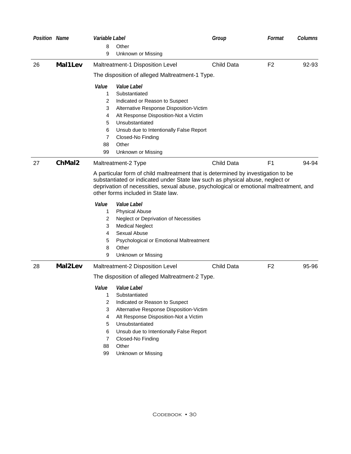| <b>Position Name</b> |         | Variable Label                                  |                                                                                                                                                                                                                                                                                                    | Group      | Format         | Columns |  |
|----------------------|---------|-------------------------------------------------|----------------------------------------------------------------------------------------------------------------------------------------------------------------------------------------------------------------------------------------------------------------------------------------------------|------------|----------------|---------|--|
|                      |         | 8                                               | Other                                                                                                                                                                                                                                                                                              |            |                |         |  |
|                      |         | 9                                               | Unknown or Missing                                                                                                                                                                                                                                                                                 |            |                |         |  |
| 26                   | Mal1Lev |                                                 | Maltreatment-1 Disposition Level                                                                                                                                                                                                                                                                   | Child Data | F <sub>2</sub> | 92-93   |  |
|                      |         | The disposition of alleged Maltreatment-1 Type. |                                                                                                                                                                                                                                                                                                    |            |                |         |  |
|                      |         | Value<br>1<br>2                                 | Value Label<br>Substantiated<br>Indicated or Reason to Suspect                                                                                                                                                                                                                                     |            |                |         |  |
|                      |         | 3<br>4                                          | Alternative Response Disposition-Victim<br>Alt Response Disposition-Not a Victim                                                                                                                                                                                                                   |            |                |         |  |
|                      |         | 5                                               | Unsubstantiated                                                                                                                                                                                                                                                                                    |            |                |         |  |
|                      |         | 6                                               | Unsub due to Intentionally False Report                                                                                                                                                                                                                                                            |            |                |         |  |
|                      |         | 7                                               | Closed-No Finding                                                                                                                                                                                                                                                                                  |            |                |         |  |
|                      |         | 88                                              | Other                                                                                                                                                                                                                                                                                              |            |                |         |  |
|                      |         | 99                                              | Unknown or Missing                                                                                                                                                                                                                                                                                 |            |                |         |  |
| 27                   | ChMal2  |                                                 | Maltreatment-2 Type                                                                                                                                                                                                                                                                                | Child Data | F <sub>1</sub> | 94-94   |  |
|                      |         |                                                 | A particular form of child maltreatment that is determined by investigation to be<br>substantiated or indicated under State law such as physical abuse, neglect or<br>deprivation of necessities, sexual abuse, psychological or emotional maltreatment, and<br>other forms included in State law. |            |                |         |  |
|                      |         | Value                                           | <i>Value Label</i>                                                                                                                                                                                                                                                                                 |            |                |         |  |
|                      |         | 1                                               | <b>Physical Abuse</b>                                                                                                                                                                                                                                                                              |            |                |         |  |
|                      |         | 2                                               | Neglect or Deprivation of Necessities                                                                                                                                                                                                                                                              |            |                |         |  |
|                      |         | 3                                               | <b>Medical Neglect</b>                                                                                                                                                                                                                                                                             |            |                |         |  |
|                      |         | 4                                               | Sexual Abuse                                                                                                                                                                                                                                                                                       |            |                |         |  |
|                      |         | 5                                               | Psychological or Emotional Maltreatment                                                                                                                                                                                                                                                            |            |                |         |  |
|                      |         | 8<br>9                                          | Other<br>Unknown or Missing                                                                                                                                                                                                                                                                        |            |                |         |  |
|                      |         |                                                 |                                                                                                                                                                                                                                                                                                    |            |                |         |  |
| 28                   | Mal2Lev |                                                 | Maltreatment-2 Disposition Level                                                                                                                                                                                                                                                                   | Child Data | F <sub>2</sub> | 95-96   |  |
|                      |         |                                                 | The disposition of alleged Maltreatment-2 Type.                                                                                                                                                                                                                                                    |            |                |         |  |
|                      |         | Value<br>1                                      | <i>Value Label</i><br>Substantiated                                                                                                                                                                                                                                                                |            |                |         |  |
|                      |         | 2                                               | Indicated or Reason to Suspect                                                                                                                                                                                                                                                                     |            |                |         |  |
|                      |         | 3                                               | Alternative Response Disposition-Victim                                                                                                                                                                                                                                                            |            |                |         |  |
|                      |         | 4                                               | Alt Response Disposition-Not a Victim                                                                                                                                                                                                                                                              |            |                |         |  |
|                      |         | 5                                               | Unsubstantiated                                                                                                                                                                                                                                                                                    |            |                |         |  |
|                      |         | 6                                               | Unsub due to Intentionally False Report                                                                                                                                                                                                                                                            |            |                |         |  |
|                      |         | 7                                               | Closed-No Finding                                                                                                                                                                                                                                                                                  |            |                |         |  |
|                      |         | 88                                              | Other                                                                                                                                                                                                                                                                                              |            |                |         |  |
|                      |         | 99                                              | <b>Unknown or Missing</b>                                                                                                                                                                                                                                                                          |            |                |         |  |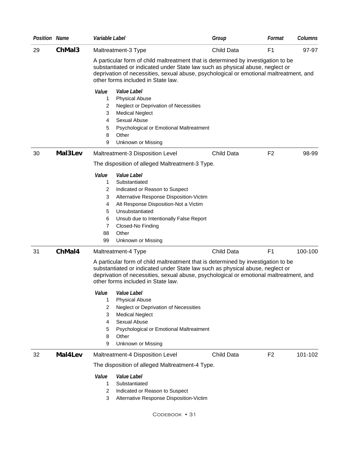| <b>Position Name</b> |         | Variable Label                                                                                                                                                                                               |                                                                                                                                                                                                                                                                                                                                                  | Group      | Format         | <b>Columns</b> |
|----------------------|---------|--------------------------------------------------------------------------------------------------------------------------------------------------------------------------------------------------------------|--------------------------------------------------------------------------------------------------------------------------------------------------------------------------------------------------------------------------------------------------------------------------------------------------------------------------------------------------|------------|----------------|----------------|
| 29                   | ChMaI3  | Maltreatment-3 Type                                                                                                                                                                                          |                                                                                                                                                                                                                                                                                                                                                  | Child Data | F <sub>1</sub> | 97-97          |
|                      |         | other forms included in State law.                                                                                                                                                                           | A particular form of child maltreatment that is determined by investigation to be<br>substantiated or indicated under State law such as physical abuse, neglect or<br>deprivation of necessities, sexual abuse, psychological or emotional maltreatment, and                                                                                     |            |                |                |
|                      |         | Value<br>Value Label<br><b>Physical Abuse</b><br>1<br>2<br>3<br><b>Medical Neglect</b><br>Sexual Abuse<br>4<br>5<br>8<br>Other<br>9<br>Unknown or Missing                                                    | Neglect or Deprivation of Necessities<br>Psychological or Emotional Maltreatment                                                                                                                                                                                                                                                                 |            |                |                |
| 30                   | MaI3Lev | Maltreatment-3 Disposition Level                                                                                                                                                                             |                                                                                                                                                                                                                                                                                                                                                  | Child Data | F <sub>2</sub> | 98-99          |
|                      |         |                                                                                                                                                                                                              | The disposition of alleged Maltreatment-3 Type.                                                                                                                                                                                                                                                                                                  |            |                |                |
|                      |         | Value<br>Value Label<br>Substantiated<br>1<br>$\overline{2}$<br>3<br>4<br>5<br>Unsubstantiated<br>6<br>7<br>Closed-No Finding<br>88<br>Other<br>99<br>Unknown or Missing                                     | Indicated or Reason to Suspect<br>Alternative Response Disposition-Victim<br>Alt Response Disposition-Not a Victim<br>Unsub due to Intentionally False Report                                                                                                                                                                                    |            |                |                |
| 31                   | ChMal4  | Maltreatment-4 Type                                                                                                                                                                                          |                                                                                                                                                                                                                                                                                                                                                  | Child Data | F <sub>1</sub> | 100-100        |
|                      |         | other forms included in State law.<br>Value<br>Value Label<br><b>Physical Abuse</b><br>1<br>$\overline{2}$<br><b>Medical Neglect</b><br>3<br>Sexual Abuse<br>4<br>5<br>Other<br>8<br>Unknown or Missing<br>9 | A particular form of child maltreatment that is determined by investigation to be<br>substantiated or indicated under State law such as physical abuse, neglect or<br>deprivation of necessities, sexual abuse, psychological or emotional maltreatment, and<br>Neglect or Deprivation of Necessities<br>Psychological or Emotional Maltreatment |            |                |                |
| 32                   | MaI4Lev | Maltreatment-4 Disposition Level                                                                                                                                                                             |                                                                                                                                                                                                                                                                                                                                                  | Child Data | F <sub>2</sub> | 101-102        |
|                      |         |                                                                                                                                                                                                              | The disposition of alleged Maltreatment-4 Type.                                                                                                                                                                                                                                                                                                  |            |                |                |
|                      |         | Value<br>Value Label<br>Substantiated<br>1.<br>$\overline{2}$<br>3                                                                                                                                           | Indicated or Reason to Suspect<br>Alternative Response Disposition-Victim<br>CODEBOOK • 31                                                                                                                                                                                                                                                       |            |                |                |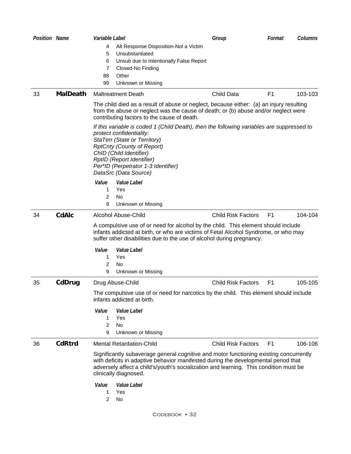| Position Name |                 | Variable Label |                                                                                                                                                                                                                                                                                                                    | Group                     | Format         | <b>Columns</b> |
|---------------|-----------------|----------------|--------------------------------------------------------------------------------------------------------------------------------------------------------------------------------------------------------------------------------------------------------------------------------------------------------------------|---------------------------|----------------|----------------|
|               |                 | 4              | Alt Response Disposition-Not a Victim                                                                                                                                                                                                                                                                              |                           |                |                |
|               |                 | 5              | Unsubstantiated                                                                                                                                                                                                                                                                                                    |                           |                |                |
|               |                 | 6              | Unsub due to Intentionally False Report                                                                                                                                                                                                                                                                            |                           |                |                |
|               |                 | 7              | Closed-No Finding                                                                                                                                                                                                                                                                                                  |                           |                |                |
|               |                 | 88             | Other                                                                                                                                                                                                                                                                                                              |                           |                |                |
|               |                 | 99             | Unknown or Missing                                                                                                                                                                                                                                                                                                 |                           |                |                |
| 33            | <b>MalDeath</b> |                | <b>Maltreatment Death</b>                                                                                                                                                                                                                                                                                          | Child Data                | F <sub>1</sub> | 103-103        |
|               |                 |                | The child died as a result of abuse or neglect, because either: (a) an injury resulting<br>from the abuse or neglect was the cause of death; or (b) abuse and/or neglect were<br>contributing factors to the cause of death.                                                                                       |                           |                |                |
|               |                 |                | If this variable is coded 1 (Child Death), then the following variables are suppressed to<br>protect confidentiality:<br>StaTerr (State or Territory)<br><b>RptCnty (County of Report)</b><br>ChID (Child Identifier)<br>RptID (Report Identifier)<br>Per*ID (Perpetrator 1-3 Identifier)<br>DataSrc (Data Source) |                           |                |                |
|               |                 | Value          | Value Label                                                                                                                                                                                                                                                                                                        |                           |                |                |
|               |                 | 1              | Yes                                                                                                                                                                                                                                                                                                                |                           |                |                |
|               |                 | 2              | No                                                                                                                                                                                                                                                                                                                 |                           |                |                |
|               |                 | 9              | Unknown or Missing                                                                                                                                                                                                                                                                                                 |                           |                |                |
| 34            | <b>CdAIc</b>    |                | Alcohol Abuse-Child                                                                                                                                                                                                                                                                                                | <b>Child Risk Factors</b> | F <sub>1</sub> | 104-104        |
|               |                 |                | A compulsive use of or need for alcohol by the child. This element should include<br>infants addicted at birth, or who are victims of Fetal Alcohol Syndrome, or who may<br>suffer other disabilities due to the use of alcohol during pregnancy.                                                                  |                           |                |                |
|               |                 | Value          | Value Label                                                                                                                                                                                                                                                                                                        |                           |                |                |
|               |                 | 1              | Yes                                                                                                                                                                                                                                                                                                                |                           |                |                |
|               |                 | 2              | No                                                                                                                                                                                                                                                                                                                 |                           |                |                |
|               |                 | 9              | Unknown or Missing                                                                                                                                                                                                                                                                                                 |                           |                |                |
| 35            | CdDrug          |                | Drug Abuse-Child                                                                                                                                                                                                                                                                                                   | <b>Child Risk Factors</b> | F <sub>1</sub> | 105-105        |
|               |                 |                | The compulsive use of or need for narcotics by the child. This element should include<br>infants addicted at birth.                                                                                                                                                                                                |                           |                |                |
|               |                 | Value          | Value Label                                                                                                                                                                                                                                                                                                        |                           |                |                |
|               |                 | 1              | Yes                                                                                                                                                                                                                                                                                                                |                           |                |                |
|               |                 | 2              | No.                                                                                                                                                                                                                                                                                                                |                           |                |                |
|               |                 | 9              | Unknown or Missing                                                                                                                                                                                                                                                                                                 |                           |                |                |
| 36            | <b>CdRtrd</b>   |                | <b>Mental Retardation-Child</b>                                                                                                                                                                                                                                                                                    | <b>Child Risk Factors</b> | F <sub>1</sub> | 106-106        |
|               |                 |                | Significantly subaverage general cognitive and motor functioning existing concurrently<br>with deficits in adaptive behavior manifested during the developmental period that<br>adversely affect a child's/youth's socialization and learning. This condition must be<br>clinically diagnosed.                     |                           |                |                |
|               |                 | Value          | Value Label                                                                                                                                                                                                                                                                                                        |                           |                |                |
|               |                 | 1              | Yes                                                                                                                                                                                                                                                                                                                |                           |                |                |
|               |                 | 2              | <b>No</b>                                                                                                                                                                                                                                                                                                          |                           |                |                |
|               |                 |                | CODEBOOK • 32                                                                                                                                                                                                                                                                                                      |                           |                |                |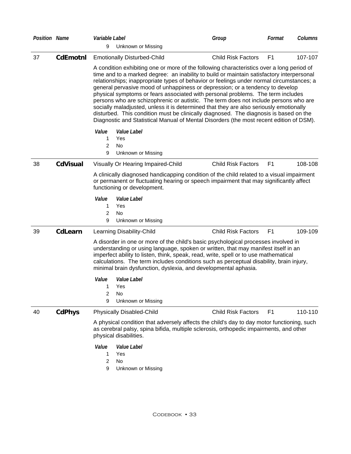| <b>Position Name</b> |                 | Variable Label                                                                                                                                                                                                                                                                                                                                                                                                                                                                                                                                                                                                                                                                                                                                                                                                               | Group                     | Columns<br>Format         |
|----------------------|-----------------|------------------------------------------------------------------------------------------------------------------------------------------------------------------------------------------------------------------------------------------------------------------------------------------------------------------------------------------------------------------------------------------------------------------------------------------------------------------------------------------------------------------------------------------------------------------------------------------------------------------------------------------------------------------------------------------------------------------------------------------------------------------------------------------------------------------------------|---------------------------|---------------------------|
|                      |                 | 9<br>Unknown or Missing                                                                                                                                                                                                                                                                                                                                                                                                                                                                                                                                                                                                                                                                                                                                                                                                      |                           |                           |
| 37                   | <b>CdEmotnl</b> | <b>Emotionally Disturbed-Child</b>                                                                                                                                                                                                                                                                                                                                                                                                                                                                                                                                                                                                                                                                                                                                                                                           | <b>Child Risk Factors</b> | 107-107<br>F <sub>1</sub> |
|                      |                 | A condition exhibiting one or more of the following characteristics over a long period of<br>time and to a marked degree: an inability to build or maintain satisfactory interpersonal<br>relationships; inappropriate types of behavior or feelings under normal circumstances; a<br>general pervasive mood of unhappiness or depression; or a tendency to develop<br>physical symptoms or fears associated with personal problems. The term includes<br>persons who are schizophrenic or autistic. The term does not include persons who are<br>socially maladjusted, unless it is determined that they are also seriously emotionally<br>disturbed. This condition must be clinically diagnosed. The diagnosis is based on the<br>Diagnostic and Statistical Manual of Mental Disorders (the most recent edition of DSM). |                           |                           |
|                      |                 | Value<br>Value Label                                                                                                                                                                                                                                                                                                                                                                                                                                                                                                                                                                                                                                                                                                                                                                                                         |                           |                           |
|                      |                 | Yes<br>1                                                                                                                                                                                                                                                                                                                                                                                                                                                                                                                                                                                                                                                                                                                                                                                                                     |                           |                           |
|                      |                 | 2<br>No                                                                                                                                                                                                                                                                                                                                                                                                                                                                                                                                                                                                                                                                                                                                                                                                                      |                           |                           |
|                      |                 | 9<br>Unknown or Missing                                                                                                                                                                                                                                                                                                                                                                                                                                                                                                                                                                                                                                                                                                                                                                                                      |                           |                           |
| 38                   | <b>CdVisual</b> | Visually Or Hearing Impaired-Child                                                                                                                                                                                                                                                                                                                                                                                                                                                                                                                                                                                                                                                                                                                                                                                           | <b>Child Risk Factors</b> | 108-108<br>F <sub>1</sub> |
|                      |                 | A clinically diagnosed handicapping condition of the child related to a visual impairment<br>or permanent or fluctuating hearing or speech impairment that may significantly affect<br>functioning or development.                                                                                                                                                                                                                                                                                                                                                                                                                                                                                                                                                                                                           |                           |                           |
|                      |                 | Value<br>Value Label<br>Yes<br>1<br>2<br>No<br>9<br>Unknown or Missing                                                                                                                                                                                                                                                                                                                                                                                                                                                                                                                                                                                                                                                                                                                                                       |                           |                           |
| 39                   | <b>CdLearn</b>  | Learning Disability-Child                                                                                                                                                                                                                                                                                                                                                                                                                                                                                                                                                                                                                                                                                                                                                                                                    | <b>Child Risk Factors</b> | F1<br>109-109             |
|                      |                 | A disorder in one or more of the child's basic psychological processes involved in<br>understanding or using language, spoken or written, that may manifest itself in an<br>imperfect ability to listen, think, speak, read, write, spell or to use mathematical<br>calculations. The term includes conditions such as perceptual disability, brain injury,<br>minimal brain dysfunction, dyslexia, and developmental aphasia.                                                                                                                                                                                                                                                                                                                                                                                               |                           |                           |
|                      |                 | Value<br>Value Label                                                                                                                                                                                                                                                                                                                                                                                                                                                                                                                                                                                                                                                                                                                                                                                                         |                           |                           |
|                      |                 | Yes<br>1                                                                                                                                                                                                                                                                                                                                                                                                                                                                                                                                                                                                                                                                                                                                                                                                                     |                           |                           |
|                      |                 | 2<br>No.<br>9<br>Unknown or Missing                                                                                                                                                                                                                                                                                                                                                                                                                                                                                                                                                                                                                                                                                                                                                                                          |                           |                           |
|                      |                 |                                                                                                                                                                                                                                                                                                                                                                                                                                                                                                                                                                                                                                                                                                                                                                                                                              |                           |                           |
| 40                   | <b>CdPhys</b>   | <b>Physically Disabled-Child</b>                                                                                                                                                                                                                                                                                                                                                                                                                                                                                                                                                                                                                                                                                                                                                                                             | <b>Child Risk Factors</b> | 110-110<br>F <sub>1</sub> |
|                      |                 | A physical condition that adversely affects the child's day to day motor functioning, such<br>as cerebral palsy, spina bifida, multiple sclerosis, orthopedic impairments, and other<br>physical disabilities.                                                                                                                                                                                                                                                                                                                                                                                                                                                                                                                                                                                                               |                           |                           |
|                      |                 | Value<br>Value Label                                                                                                                                                                                                                                                                                                                                                                                                                                                                                                                                                                                                                                                                                                                                                                                                         |                           |                           |
|                      |                 | Yes<br>1                                                                                                                                                                                                                                                                                                                                                                                                                                                                                                                                                                                                                                                                                                                                                                                                                     |                           |                           |
|                      |                 | $\overline{c}$<br>No                                                                                                                                                                                                                                                                                                                                                                                                                                                                                                                                                                                                                                                                                                                                                                                                         |                           |                           |
|                      |                 | 9<br>Unknown or Missing                                                                                                                                                                                                                                                                                                                                                                                                                                                                                                                                                                                                                                                                                                                                                                                                      |                           |                           |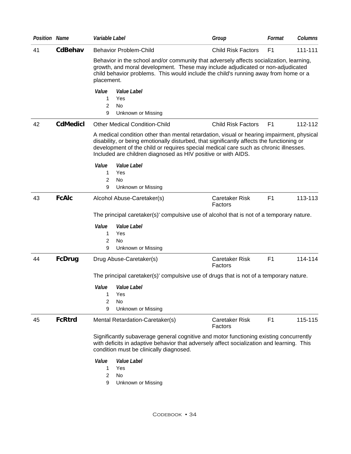| <b>Position Name</b> |                 | Variable Label       |                                                                                                                                                                                                                                                                                                                                                 | Group                            | Format         | Columns |
|----------------------|-----------------|----------------------|-------------------------------------------------------------------------------------------------------------------------------------------------------------------------------------------------------------------------------------------------------------------------------------------------------------------------------------------------|----------------------------------|----------------|---------|
| 41                   | CdBehav         |                      | <b>Behavior Problem-Child</b>                                                                                                                                                                                                                                                                                                                   | <b>Child Risk Factors</b>        | F <sub>1</sub> | 111-111 |
|                      |                 | placement.           | Behavior in the school and/or community that adversely affects socialization, learning,<br>growth, and moral development. These may include adjudicated or non-adjudicated<br>child behavior problems. This would include the child's running away from home or a                                                                               |                                  |                |         |
|                      |                 | Value<br>1<br>2<br>9 | Value Label<br>Yes<br><b>No</b><br>Unknown or Missing                                                                                                                                                                                                                                                                                           |                                  |                |         |
| 42                   | <b>CdMedicl</b> |                      | <b>Other Medical Condition-Child</b>                                                                                                                                                                                                                                                                                                            | <b>Child Risk Factors</b>        | F <sub>1</sub> | 112-112 |
|                      |                 |                      | A medical condition other than mental retardation, visual or hearing impairment, physical<br>disability, or being emotionally disturbed, that significantly affects the functioning or<br>development of the child or requires special medical care such as chronic illnesses.<br>Included are children diagnosed as HIV positive or with AIDS. |                                  |                |         |
|                      |                 | Value                | Value Label                                                                                                                                                                                                                                                                                                                                     |                                  |                |         |
|                      |                 | 1<br>2               | Yes<br>No                                                                                                                                                                                                                                                                                                                                       |                                  |                |         |
|                      |                 | 9                    | Unknown or Missing                                                                                                                                                                                                                                                                                                                              |                                  |                |         |
| 43                   | <b>FcAIc</b>    |                      | Alcohol Abuse-Caretaker(s)                                                                                                                                                                                                                                                                                                                      | Caretaker Risk<br>Factors        | F <sub>1</sub> | 113-113 |
|                      |                 |                      | The principal caretaker(s)' compulsive use of alcohol that is not of a temporary nature.                                                                                                                                                                                                                                                        |                                  |                |         |
|                      |                 | Value                | Value Label                                                                                                                                                                                                                                                                                                                                     |                                  |                |         |
|                      |                 | 1                    | Yes                                                                                                                                                                                                                                                                                                                                             |                                  |                |         |
|                      |                 | 2                    | No                                                                                                                                                                                                                                                                                                                                              |                                  |                |         |
|                      |                 | 9                    | Unknown or Missing                                                                                                                                                                                                                                                                                                                              |                                  |                |         |
| 44                   | <b>FcDrug</b>   |                      | Drug Abuse-Caretaker(s)                                                                                                                                                                                                                                                                                                                         | <b>Caretaker Risk</b><br>Factors | F <sub>1</sub> | 114-114 |
|                      |                 |                      | The principal caretaker(s)' compulsive use of drugs that is not of a temporary nature.                                                                                                                                                                                                                                                          |                                  |                |         |
|                      |                 | Value                | Value Label                                                                                                                                                                                                                                                                                                                                     |                                  |                |         |
|                      |                 | 1                    | Yes                                                                                                                                                                                                                                                                                                                                             |                                  |                |         |
|                      |                 | 2<br>9               | No<br>Unknown or Missing                                                                                                                                                                                                                                                                                                                        |                                  |                |         |
| 45                   | <b>FcRtrd</b>   |                      | Mental Retardation-Caretaker(s)                                                                                                                                                                                                                                                                                                                 | <b>Caretaker Risk</b>            | F1             | 115-115 |
|                      |                 |                      |                                                                                                                                                                                                                                                                                                                                                 | Factors                          |                |         |
|                      |                 |                      | Significantly subaverage general cognitive and motor functioning existing concurrently<br>with deficits in adaptive behavior that adversely affect socialization and learning. This<br>condition must be clinically diagnosed.                                                                                                                  |                                  |                |         |
|                      |                 | Value<br>1           | Value Label<br>Yes                                                                                                                                                                                                                                                                                                                              |                                  |                |         |
|                      |                 | $\overline{c}$       | No                                                                                                                                                                                                                                                                                                                                              |                                  |                |         |
|                      |                 | 9                    | Unknown or Missing                                                                                                                                                                                                                                                                                                                              |                                  |                |         |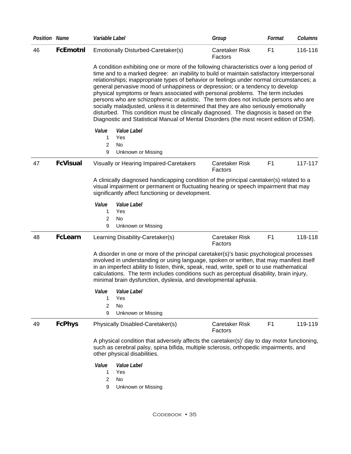| <b>Position Name</b> |                 | Variable Label                                                                                                                                                                                                                                                                                                                                                                                                                                                                                                                                                                                                                                                                                                                                                                                                               | Group                            | Format         | Columns |
|----------------------|-----------------|------------------------------------------------------------------------------------------------------------------------------------------------------------------------------------------------------------------------------------------------------------------------------------------------------------------------------------------------------------------------------------------------------------------------------------------------------------------------------------------------------------------------------------------------------------------------------------------------------------------------------------------------------------------------------------------------------------------------------------------------------------------------------------------------------------------------------|----------------------------------|----------------|---------|
| 46                   | <b>FcEmotnl</b> | Emotionally Disturbed-Caretaker(s)                                                                                                                                                                                                                                                                                                                                                                                                                                                                                                                                                                                                                                                                                                                                                                                           | Caretaker Risk<br>Factors        | F <sub>1</sub> | 116-116 |
|                      |                 | A condition exhibiting one or more of the following characteristics over a long period of<br>time and to a marked degree: an inability to build or maintain satisfactory interpersonal<br>relationships; inappropriate types of behavior or feelings under normal circumstances; a<br>general pervasive mood of unhappiness or depression; or a tendency to develop<br>physical symptoms or fears associated with personal problems. The term includes<br>persons who are schizophrenic or autistic. The term does not include persons who are<br>socially maladjusted, unless it is determined that they are also seriously emotionally<br>disturbed. This condition must be clinically diagnosed. The diagnosis is based on the<br>Diagnostic and Statistical Manual of Mental Disorders (the most recent edition of DSM). |                                  |                |         |
|                      |                 | Value<br>Value Label<br>1<br>Yes<br>2<br>No                                                                                                                                                                                                                                                                                                                                                                                                                                                                                                                                                                                                                                                                                                                                                                                  |                                  |                |         |
| 47                   | <b>FcVisual</b> | 9<br>Unknown or Missing<br>Visually or Hearing Impaired-Caretakers                                                                                                                                                                                                                                                                                                                                                                                                                                                                                                                                                                                                                                                                                                                                                           | Caretaker Risk<br>Factors        | F <sub>1</sub> | 117-117 |
|                      |                 | A clinically diagnosed handicapping condition of the principal caretaker(s) related to a<br>visual impairment or permanent or fluctuating hearing or speech impairment that may<br>significantly affect functioning or development.                                                                                                                                                                                                                                                                                                                                                                                                                                                                                                                                                                                          |                                  |                |         |
|                      |                 | Value<br>Value Label<br>Yes<br>1<br>2<br>No<br>9<br>Unknown or Missing                                                                                                                                                                                                                                                                                                                                                                                                                                                                                                                                                                                                                                                                                                                                                       |                                  |                |         |
| 48                   | <b>FcLearn</b>  | Learning Disability-Caretaker(s)                                                                                                                                                                                                                                                                                                                                                                                                                                                                                                                                                                                                                                                                                                                                                                                             | <b>Caretaker Risk</b><br>Factors | F <sub>1</sub> | 118-118 |
|                      |                 | A disorder in one or more of the principal caretaker(s)'s basic psychological processes<br>involved in understanding or using language, spoken or written, that may manifest itself<br>in an imperfect ability to listen, think, speak, read, write, spell or to use mathematical<br>calculations. The term includes conditions such as perceptual disability, brain injury,<br>minimal brain dysfunction, dyslexia, and developmental aphasia.                                                                                                                                                                                                                                                                                                                                                                              |                                  |                |         |
|                      |                 | Value<br><i>Value Label</i><br>1<br>Yes<br>2<br><b>No</b><br>9<br>Unknown or Missing                                                                                                                                                                                                                                                                                                                                                                                                                                                                                                                                                                                                                                                                                                                                         |                                  |                |         |
| 49                   | <b>FcPhys</b>   | Physically Disabled-Caretaker(s)                                                                                                                                                                                                                                                                                                                                                                                                                                                                                                                                                                                                                                                                                                                                                                                             | <b>Caretaker Risk</b><br>Factors | F <sub>1</sub> | 119-119 |
|                      |                 | A physical condition that adversely affects the caretaker(s)' day to day motor functioning,<br>such as cerebral palsy, spina bifida, multiple sclerosis, orthopedic impairments, and<br>other physical disabilities.                                                                                                                                                                                                                                                                                                                                                                                                                                                                                                                                                                                                         |                                  |                |         |
|                      |                 | Value Label<br>Value<br>Yes<br>1<br><b>No</b><br>2<br>9<br>Unknown or Missing                                                                                                                                                                                                                                                                                                                                                                                                                                                                                                                                                                                                                                                                                                                                                |                                  |                |         |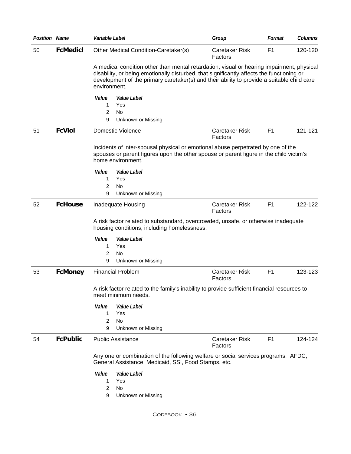| <b>Position Name</b> |                 | Variable Label                                                                                                                                                                                                                                                                                       | Group                            | Format         | Columns |
|----------------------|-----------------|------------------------------------------------------------------------------------------------------------------------------------------------------------------------------------------------------------------------------------------------------------------------------------------------------|----------------------------------|----------------|---------|
| 50                   | <b>FcMedicl</b> | Other Medical Condition-Caretaker(s)                                                                                                                                                                                                                                                                 | Caretaker Risk<br>Factors        | F <sub>1</sub> | 120-120 |
|                      |                 | A medical condition other than mental retardation, visual or hearing impairment, physical<br>disability, or being emotionally disturbed, that significantly affects the functioning or<br>development of the primary caretaker(s) and their ability to provide a suitable child care<br>environment. |                                  |                |         |
|                      |                 | Value<br>Value Label<br>Yes<br>1<br><b>No</b><br>2<br>Unknown or Missing<br>9                                                                                                                                                                                                                        |                                  |                |         |
| 51                   | <b>FcViol</b>   | Domestic Violence                                                                                                                                                                                                                                                                                    | Caretaker Risk<br>Factors        | F <sub>1</sub> | 121-121 |
|                      |                 | Incidents of inter-spousal physical or emotional abuse perpetrated by one of the<br>spouses or parent figures upon the other spouse or parent figure in the child victim's<br>home environment.                                                                                                      |                                  |                |         |
|                      |                 | Value<br><i>Value Label</i><br>1<br>Yes<br>2<br>No<br>9<br>Unknown or Missing                                                                                                                                                                                                                        |                                  |                |         |
| 52                   | <b>FcHouse</b>  | Inadequate Housing                                                                                                                                                                                                                                                                                   | Caretaker Risk<br>Factors        | F <sub>1</sub> | 122-122 |
|                      |                 | A risk factor related to substandard, overcrowded, unsafe, or otherwise inadequate<br>housing conditions, including homelessness.<br>Value<br><i>Value Label</i>                                                                                                                                     |                                  |                |         |
|                      |                 | Yes<br>1                                                                                                                                                                                                                                                                                             |                                  |                |         |
|                      |                 | 2<br>No                                                                                                                                                                                                                                                                                              |                                  |                |         |
| 53                   | <b>FcMoney</b>  | 9<br>Unknown or Missing<br><b>Financial Problem</b>                                                                                                                                                                                                                                                  | <b>Caretaker Risk</b>            | F <sub>1</sub> | 123-123 |
|                      |                 | A risk factor related to the family's inability to provide sufficient financial resources to<br>meet minimum needs.                                                                                                                                                                                  | Factors                          |                |         |
|                      |                 | Value<br>Value Label<br>Yes<br>1<br>2<br>No<br>9<br>Unknown or Missing                                                                                                                                                                                                                               |                                  |                |         |
| 54                   | <b>FcPublic</b> | <b>Public Assistance</b>                                                                                                                                                                                                                                                                             | <b>Caretaker Risk</b><br>Factors | F <sub>1</sub> | 124-124 |
|                      |                 | Any one or combination of the following welfare or social services programs: AFDC,<br>General Assistance, Medicaid, SSI, Food Stamps, etc.                                                                                                                                                           |                                  |                |         |
|                      |                 | Value<br>Value Label<br>Yes<br>1<br>2<br>No.<br>9<br>Unknown or Missing                                                                                                                                                                                                                              |                                  |                |         |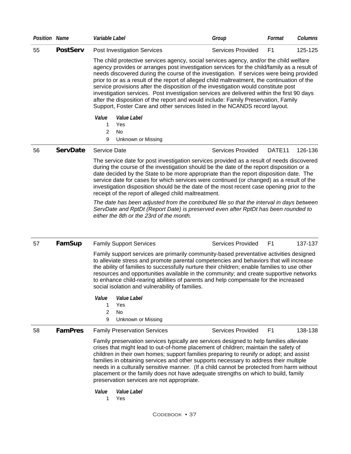| <b>Position Name</b> |                 | Variable Label                                                                                                                                                                                                                                                                                                                                                                                                                                                                                                                                                                                                                                                                                                                              | Group                    | Format             | Columns |
|----------------------|-----------------|---------------------------------------------------------------------------------------------------------------------------------------------------------------------------------------------------------------------------------------------------------------------------------------------------------------------------------------------------------------------------------------------------------------------------------------------------------------------------------------------------------------------------------------------------------------------------------------------------------------------------------------------------------------------------------------------------------------------------------------------|--------------------------|--------------------|---------|
| 55                   | <b>PostServ</b> | <b>Post Investigation Services</b>                                                                                                                                                                                                                                                                                                                                                                                                                                                                                                                                                                                                                                                                                                          | <b>Services Provided</b> | F <sub>1</sub>     | 125-125 |
|                      |                 | The child protective services agency, social services agency, and/or the child welfare<br>agency provides or arranges post investigation services for the child/family as a result of<br>needs discovered during the course of the investigation. If services were being provided<br>prior to or as a result of the report of alleged child maltreatment, the continuation of the<br>service provisions after the disposition of the investigation would constitute post<br>investigation services. Post investigation services are delivered within the first 90 days<br>after the disposition of the report and would include: Family Preservation, Family<br>Support, Foster Care and other services listed in the NCANDS record layout. |                          |                    |         |
|                      |                 | Value<br>Value Label<br>Yes<br>1<br>2<br>No                                                                                                                                                                                                                                                                                                                                                                                                                                                                                                                                                                                                                                                                                                 |                          |                    |         |
|                      |                 | 9<br>Unknown or Missing                                                                                                                                                                                                                                                                                                                                                                                                                                                                                                                                                                                                                                                                                                                     |                          |                    |         |
| 56                   | <b>ServDate</b> | <b>Service Date</b>                                                                                                                                                                                                                                                                                                                                                                                                                                                                                                                                                                                                                                                                                                                         | <b>Services Provided</b> | DATE <sub>11</sub> | 126-136 |
|                      |                 | The service date for post investigation services provided as a result of needs discovered<br>during the course of the investigation should be the date of the report disposition or a<br>date decided by the State to be more appropriate than the report disposition date. The<br>service date for cases for which services were continued (or changed) as a result of the<br>investigation disposition should be the date of the most recent case opening prior to the<br>receipt of the report of alleged child maltreatment.                                                                                                                                                                                                            |                          |                    |         |
|                      |                 | The date has been adjusted from the contributed file so that the interval in days between<br>ServDate and RptDt (Report Date) is preserved even after RptDt has been rounded to<br>either the 8th or the 23rd of the month.                                                                                                                                                                                                                                                                                                                                                                                                                                                                                                                 |                          |                    |         |
| 57                   | FamSup          | <b>Family Support Services</b>                                                                                                                                                                                                                                                                                                                                                                                                                                                                                                                                                                                                                                                                                                              | <b>Services Provided</b> | F <sub>1</sub>     | 137-137 |
|                      |                 | Family support services are primarily community-based preventative activities designed<br>to alleviate stress and promote parental competencies and behaviors that will increase<br>the ability of families to successfully nurture their children; enable families to use other<br>resources and opportunities available in the community; and create supportive networks<br>to enhance child-rearing abilities of parents and help compensate for the increased<br>social isolation and vulnerability of families.<br>Value<br>Value Label                                                                                                                                                                                                |                          |                    |         |
|                      |                 | Yes<br>1<br>$\overline{c}$<br>No                                                                                                                                                                                                                                                                                                                                                                                                                                                                                                                                                                                                                                                                                                            |                          |                    |         |
|                      |                 | 9<br>Unknown or Missing                                                                                                                                                                                                                                                                                                                                                                                                                                                                                                                                                                                                                                                                                                                     |                          |                    |         |
| 58                   | <b>FamPres</b>  | <b>Family Preservation Services</b>                                                                                                                                                                                                                                                                                                                                                                                                                                                                                                                                                                                                                                                                                                         | <b>Services Provided</b> | F <sub>1</sub>     | 138-138 |
|                      |                 | Family preservation services typically are services designed to help families alleviate<br>crises that might lead to out-of-home placement of children; maintain the safety of<br>children in their own homes; support families preparing to reunify or adopt; and assist<br>families in obtaining services and other supports necessary to address their multiple<br>needs in a culturally sensitive manner. (If a child cannot be protected from harm without<br>placement or the family does not have adequate strengths on which to build, family                                                                                                                                                                                       |                          |                    |         |

preservation services are not appropriate. *Value Value Label* 

1 Yes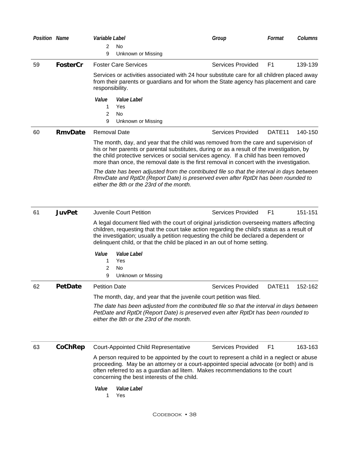| <b>Position Name</b> | Variable Label                                                 |                                | Group                                                                                                                                                                                                                                                                                                                 | Format                                                                                           | <b>Columns</b>                                                                                                                                                                                                                                                                                                                                                                                                                                                                                                                                                                                                                                                                                                                                                                                                                                                                                                                                                                                                                                                                                                                                                                                                                                                                                                                                                                                                                                                                                                                                                                                   |
|----------------------|----------------------------------------------------------------|--------------------------------|-----------------------------------------------------------------------------------------------------------------------------------------------------------------------------------------------------------------------------------------------------------------------------------------------------------------------|--------------------------------------------------------------------------------------------------|--------------------------------------------------------------------------------------------------------------------------------------------------------------------------------------------------------------------------------------------------------------------------------------------------------------------------------------------------------------------------------------------------------------------------------------------------------------------------------------------------------------------------------------------------------------------------------------------------------------------------------------------------------------------------------------------------------------------------------------------------------------------------------------------------------------------------------------------------------------------------------------------------------------------------------------------------------------------------------------------------------------------------------------------------------------------------------------------------------------------------------------------------------------------------------------------------------------------------------------------------------------------------------------------------------------------------------------------------------------------------------------------------------------------------------------------------------------------------------------------------------------------------------------------------------------------------------------------------|
|                      | <b>No</b><br>2                                                 |                                |                                                                                                                                                                                                                                                                                                                       |                                                                                                  |                                                                                                                                                                                                                                                                                                                                                                                                                                                                                                                                                                                                                                                                                                                                                                                                                                                                                                                                                                                                                                                                                                                                                                                                                                                                                                                                                                                                                                                                                                                                                                                                  |
|                      | 9                                                              |                                |                                                                                                                                                                                                                                                                                                                       |                                                                                                  |                                                                                                                                                                                                                                                                                                                                                                                                                                                                                                                                                                                                                                                                                                                                                                                                                                                                                                                                                                                                                                                                                                                                                                                                                                                                                                                                                                                                                                                                                                                                                                                                  |
| <b>FosterCr</b>      |                                                                |                                | <b>Services Provided</b>                                                                                                                                                                                                                                                                                              | F <sub>1</sub>                                                                                   | 139-139                                                                                                                                                                                                                                                                                                                                                                                                                                                                                                                                                                                                                                                                                                                                                                                                                                                                                                                                                                                                                                                                                                                                                                                                                                                                                                                                                                                                                                                                                                                                                                                          |
|                      | responsibility.                                                |                                |                                                                                                                                                                                                                                                                                                                       |                                                                                                  |                                                                                                                                                                                                                                                                                                                                                                                                                                                                                                                                                                                                                                                                                                                                                                                                                                                                                                                                                                                                                                                                                                                                                                                                                                                                                                                                                                                                                                                                                                                                                                                                  |
|                      | Value<br><i>Value Label</i><br>Yes<br>1<br><b>No</b><br>2<br>9 |                                |                                                                                                                                                                                                                                                                                                                       |                                                                                                  |                                                                                                                                                                                                                                                                                                                                                                                                                                                                                                                                                                                                                                                                                                                                                                                                                                                                                                                                                                                                                                                                                                                                                                                                                                                                                                                                                                                                                                                                                                                                                                                                  |
| <b>RmvDate</b>       | <b>Removal Date</b>                                            |                                | Services Provided                                                                                                                                                                                                                                                                                                     | DATE <sub>11</sub>                                                                               | 140-150                                                                                                                                                                                                                                                                                                                                                                                                                                                                                                                                                                                                                                                                                                                                                                                                                                                                                                                                                                                                                                                                                                                                                                                                                                                                                                                                                                                                                                                                                                                                                                                          |
|                      |                                                                |                                |                                                                                                                                                                                                                                                                                                                       |                                                                                                  |                                                                                                                                                                                                                                                                                                                                                                                                                                                                                                                                                                                                                                                                                                                                                                                                                                                                                                                                                                                                                                                                                                                                                                                                                                                                                                                                                                                                                                                                                                                                                                                                  |
|                      |                                                                |                                |                                                                                                                                                                                                                                                                                                                       |                                                                                                  |                                                                                                                                                                                                                                                                                                                                                                                                                                                                                                                                                                                                                                                                                                                                                                                                                                                                                                                                                                                                                                                                                                                                                                                                                                                                                                                                                                                                                                                                                                                                                                                                  |
| <b>JuvPet</b>        |                                                                |                                | <b>Services Provided</b>                                                                                                                                                                                                                                                                                              | F <sub>1</sub>                                                                                   | 151-151                                                                                                                                                                                                                                                                                                                                                                                                                                                                                                                                                                                                                                                                                                                                                                                                                                                                                                                                                                                                                                                                                                                                                                                                                                                                                                                                                                                                                                                                                                                                                                                          |
|                      |                                                                |                                |                                                                                                                                                                                                                                                                                                                       |                                                                                                  |                                                                                                                                                                                                                                                                                                                                                                                                                                                                                                                                                                                                                                                                                                                                                                                                                                                                                                                                                                                                                                                                                                                                                                                                                                                                                                                                                                                                                                                                                                                                                                                                  |
|                      | Value<br>Value Label<br>Yes<br>1                               |                                |                                                                                                                                                                                                                                                                                                                       |                                                                                                  |                                                                                                                                                                                                                                                                                                                                                                                                                                                                                                                                                                                                                                                                                                                                                                                                                                                                                                                                                                                                                                                                                                                                                                                                                                                                                                                                                                                                                                                                                                                                                                                                  |
|                      | No                                                             |                                |                                                                                                                                                                                                                                                                                                                       |                                                                                                  |                                                                                                                                                                                                                                                                                                                                                                                                                                                                                                                                                                                                                                                                                                                                                                                                                                                                                                                                                                                                                                                                                                                                                                                                                                                                                                                                                                                                                                                                                                                                                                                                  |
|                      |                                                                |                                |                                                                                                                                                                                                                                                                                                                       |                                                                                                  | 152-162                                                                                                                                                                                                                                                                                                                                                                                                                                                                                                                                                                                                                                                                                                                                                                                                                                                                                                                                                                                                                                                                                                                                                                                                                                                                                                                                                                                                                                                                                                                                                                                          |
|                      |                                                                |                                |                                                                                                                                                                                                                                                                                                                       |                                                                                                  |                                                                                                                                                                                                                                                                                                                                                                                                                                                                                                                                                                                                                                                                                                                                                                                                                                                                                                                                                                                                                                                                                                                                                                                                                                                                                                                                                                                                                                                                                                                                                                                                  |
|                      |                                                                |                                |                                                                                                                                                                                                                                                                                                                       |                                                                                                  |                                                                                                                                                                                                                                                                                                                                                                                                                                                                                                                                                                                                                                                                                                                                                                                                                                                                                                                                                                                                                                                                                                                                                                                                                                                                                                                                                                                                                                                                                                                                                                                                  |
|                      |                                                                |                                |                                                                                                                                                                                                                                                                                                                       |                                                                                                  |                                                                                                                                                                                                                                                                                                                                                                                                                                                                                                                                                                                                                                                                                                                                                                                                                                                                                                                                                                                                                                                                                                                                                                                                                                                                                                                                                                                                                                                                                                                                                                                                  |
|                      |                                                                |                                |                                                                                                                                                                                                                                                                                                                       |                                                                                                  |                                                                                                                                                                                                                                                                                                                                                                                                                                                                                                                                                                                                                                                                                                                                                                                                                                                                                                                                                                                                                                                                                                                                                                                                                                                                                                                                                                                                                                                                                                                                                                                                  |
| CoChRep              |                                                                |                                | <b>Services Provided</b>                                                                                                                                                                                                                                                                                              | F <sub>1</sub>                                                                                   | 163-163                                                                                                                                                                                                                                                                                                                                                                                                                                                                                                                                                                                                                                                                                                                                                                                                                                                                                                                                                                                                                                                                                                                                                                                                                                                                                                                                                                                                                                                                                                                                                                                          |
|                      |                                                                |                                |                                                                                                                                                                                                                                                                                                                       |                                                                                                  |                                                                                                                                                                                                                                                                                                                                                                                                                                                                                                                                                                                                                                                                                                                                                                                                                                                                                                                                                                                                                                                                                                                                                                                                                                                                                                                                                                                                                                                                                                                                                                                                  |
|                      | Value<br><i>Value Label</i><br>Yes<br>1                        |                                |                                                                                                                                                                                                                                                                                                                       |                                                                                                  |                                                                                                                                                                                                                                                                                                                                                                                                                                                                                                                                                                                                                                                                                                                                                                                                                                                                                                                                                                                                                                                                                                                                                                                                                                                                                                                                                                                                                                                                                                                                                                                                  |
|                      | <b>PetDate</b>                                                 | 2<br>9<br><b>Petition Date</b> | Unknown or Missing<br><b>Foster Care Services</b><br>Unknown or Missing<br>either the 8th or the 23rd of the month.<br><b>Juvenile Court Petition</b><br>Unknown or Missing<br>either the 8th or the 23rd of the month.<br><b>Court-Appointed Child Representative</b><br>concerning the best interests of the child. | <b>Services Provided</b><br>The month, day, and year that the juvenile court petition was filed. | Services or activities associated with 24 hour substitute care for all children placed away<br>from their parents or guardians and for whom the State agency has placement and care<br>The month, day, and year that the child was removed from the care and supervision of<br>his or her parents or parental substitutes, during or as a result of the investigation, by<br>the child protective services or social services agency. If a child has been removed<br>more than once, the removal date is the first removal in concert with the investigation.<br>The date has been adjusted from the contributed file so that the interval in days between<br>RmvDate and RptDt (Report Date) is preserved even after RptDt has been rounded to<br>A legal document filed with the court of original jurisdiction overseeing matters affecting<br>children, requesting that the court take action regarding the child's status as a result of<br>the investigation; usually a petition requesting the child be declared a dependent or<br>delinquent child, or that the child be placed in an out of home setting.<br>DATE <sub>11</sub><br>The date has been adjusted from the contributed file so that the interval in days between<br>PetDate and RptDt (Report Date) is preserved even after RptDt has been rounded to<br>A person required to be appointed by the court to represent a child in a neglect or abuse<br>proceeding. May be an attorney or a court-appointed special advocate (or both) and is<br>often referred to as a guardian ad litem. Makes recommendations to the court |

Codebook • 38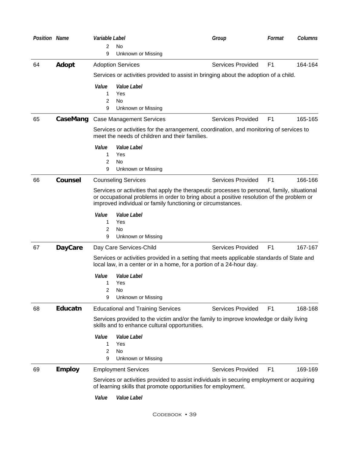| Position Name |                | Variable Label |                                                                                                                                                                                                                                                         | Group                    | Format         | Columns |
|---------------|----------------|----------------|---------------------------------------------------------------------------------------------------------------------------------------------------------------------------------------------------------------------------------------------------------|--------------------------|----------------|---------|
|               |                | 2              | No                                                                                                                                                                                                                                                      |                          |                |         |
|               |                | 9              | Unknown or Missing                                                                                                                                                                                                                                      |                          |                |         |
| 64            | Adopt          |                | <b>Adoption Services</b>                                                                                                                                                                                                                                | <b>Services Provided</b> | F <sub>1</sub> | 164-164 |
|               |                |                | Services or activities provided to assist in bringing about the adoption of a child.                                                                                                                                                                    |                          |                |         |
|               |                | Value          | <i>Value Label</i>                                                                                                                                                                                                                                      |                          |                |         |
|               |                | 1              | Yes                                                                                                                                                                                                                                                     |                          |                |         |
|               |                | 2              | <b>No</b>                                                                                                                                                                                                                                               |                          |                |         |
|               |                | 9              | Unknown or Missing                                                                                                                                                                                                                                      |                          |                |         |
| 65            | CaseMang       |                | <b>Case Management Services</b>                                                                                                                                                                                                                         | <b>Services Provided</b> | F <sub>1</sub> | 165-165 |
|               |                |                | Services or activities for the arrangement, coordination, and monitoring of services to<br>meet the needs of children and their families.                                                                                                               |                          |                |         |
|               |                | Value          | <i>Value Label</i>                                                                                                                                                                                                                                      |                          |                |         |
|               |                | 1              | Yes                                                                                                                                                                                                                                                     |                          |                |         |
|               |                | 2              | No                                                                                                                                                                                                                                                      |                          |                |         |
|               |                | 9              | Unknown or Missing                                                                                                                                                                                                                                      |                          |                |         |
| 66            | <b>Counsel</b> |                | <b>Counseling Services</b>                                                                                                                                                                                                                              | <b>Services Provided</b> | F <sub>1</sub> | 166-166 |
|               |                |                | Services or activities that apply the therapeutic processes to personal, family, situational<br>or occupational problems in order to bring about a positive resolution of the problem or<br>improved individual or family functioning or circumstances. |                          |                |         |
|               |                | Value          | Value Label                                                                                                                                                                                                                                             |                          |                |         |
|               |                | 1              | Yes                                                                                                                                                                                                                                                     |                          |                |         |
|               |                | 2              | No                                                                                                                                                                                                                                                      |                          |                |         |
|               |                | 9              | Unknown or Missing                                                                                                                                                                                                                                      |                          |                |         |
| 67            | <b>DayCare</b> |                | Day Care Services-Child                                                                                                                                                                                                                                 | <b>Services Provided</b> | F <sub>1</sub> | 167-167 |
|               |                |                | Services or activities provided in a setting that meets applicable standards of State and<br>local law, in a center or in a home, for a portion of a 24-hour day.                                                                                       |                          |                |         |
|               |                | Value          | Value Label                                                                                                                                                                                                                                             |                          |                |         |
|               |                | 1              | Yes                                                                                                                                                                                                                                                     |                          |                |         |
|               |                | 2              | No.                                                                                                                                                                                                                                                     |                          |                |         |
|               |                | 9              | Unknown or Missing                                                                                                                                                                                                                                      |                          |                |         |
| 68            | Educatn        |                | <b>Educational and Training Services</b>                                                                                                                                                                                                                | <b>Services Provided</b> | F <sub>1</sub> | 168-168 |
|               |                |                | Services provided to the victim and/or the family to improve knowledge or daily living<br>skills and to enhance cultural opportunities.                                                                                                                 |                          |                |         |
|               |                | Value          | Value Label                                                                                                                                                                                                                                             |                          |                |         |
|               |                | 1              | Yes                                                                                                                                                                                                                                                     |                          |                |         |
|               |                | 2              | No                                                                                                                                                                                                                                                      |                          |                |         |
|               |                | 9              | Unknown or Missing                                                                                                                                                                                                                                      |                          |                |         |
| 69            | <b>Employ</b>  |                | <b>Employment Services</b>                                                                                                                                                                                                                              | <b>Services Provided</b> | F <sub>1</sub> | 169-169 |
|               |                |                | Services or activities provided to assist individuals in securing employment or acquiring<br>of learning skills that promote opportunities for employment.                                                                                              |                          |                |         |
|               |                | Value          | Value Label                                                                                                                                                                                                                                             |                          |                |         |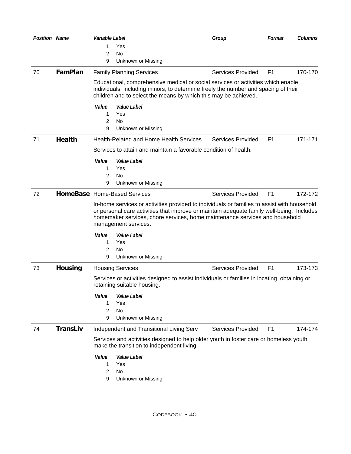| <b>Position Name</b> |                 | Variable Label       |                                                                                                                                                                                                                                                                                                 | Group                    | Format         | Columns |
|----------------------|-----------------|----------------------|-------------------------------------------------------------------------------------------------------------------------------------------------------------------------------------------------------------------------------------------------------------------------------------------------|--------------------------|----------------|---------|
|                      |                 | 1.<br>2              | Yes<br>No                                                                                                                                                                                                                                                                                       |                          |                |         |
|                      |                 | 9                    | Unknown or Missing                                                                                                                                                                                                                                                                              |                          |                |         |
| 70                   | FamPlan         |                      | <b>Family Planning Services</b>                                                                                                                                                                                                                                                                 | <b>Services Provided</b> | F <sub>1</sub> | 170-170 |
|                      |                 |                      | Educational, comprehensive medical or social services or activities which enable<br>individuals, including minors, to determine freely the number and spacing of their<br>children and to select the means by which this may be achieved.                                                       |                          |                |         |
|                      |                 | Value<br>1<br>2<br>9 | <i>Value Label</i><br>Yes<br>No<br>Unknown or Missing                                                                                                                                                                                                                                           |                          |                |         |
| 71                   | <b>Health</b>   |                      | <b>Health-Related and Home Health Services</b>                                                                                                                                                                                                                                                  | Services Provided        | F <sub>1</sub> | 171-171 |
|                      |                 |                      | Services to attain and maintain a favorable condition of health.                                                                                                                                                                                                                                |                          |                |         |
|                      |                 | Value<br>1<br>2<br>9 | Value Label<br>Yes<br>No<br>Unknown or Missing                                                                                                                                                                                                                                                  |                          |                |         |
| 72                   |                 |                      | HomeBase Home-Based Services                                                                                                                                                                                                                                                                    | Services Provided        | F <sub>1</sub> | 172-172 |
|                      |                 |                      | In-home services or activities provided to individuals or families to assist with household<br>or personal care activities that improve or maintain adequate family well-being. Includes<br>homemaker services, chore services, home maintenance services and household<br>management services. |                          |                |         |
|                      |                 | Value<br>1<br>2<br>9 | Value Label<br>Yes<br>No<br>Unknown or Missing                                                                                                                                                                                                                                                  |                          |                |         |
| 73                   | Housing         |                      | <b>Housing Services</b>                                                                                                                                                                                                                                                                         | <b>Services Provided</b> | F <sub>1</sub> | 173-173 |
|                      |                 |                      | Services or activities designed to assist individuals or families in locating, obtaining or<br>retaining suitable housing.                                                                                                                                                                      |                          |                |         |
|                      |                 | Value<br>1<br>2<br>9 | <i>Value Label</i><br>Yes<br>No<br>Unknown or Missing                                                                                                                                                                                                                                           |                          |                |         |
| 74                   | <b>TransLiv</b> |                      | Independent and Transitional Living Serv                                                                                                                                                                                                                                                        | <b>Services Provided</b> | F <sub>1</sub> | 174-174 |
|                      |                 |                      | Services and activities designed to help older youth in foster care or homeless youth<br>make the transition to independent living.                                                                                                                                                             |                          |                |         |
|                      |                 | Value<br>1<br>2<br>9 | Value Label<br>Yes<br>No<br>Unknown or Missing                                                                                                                                                                                                                                                  |                          |                |         |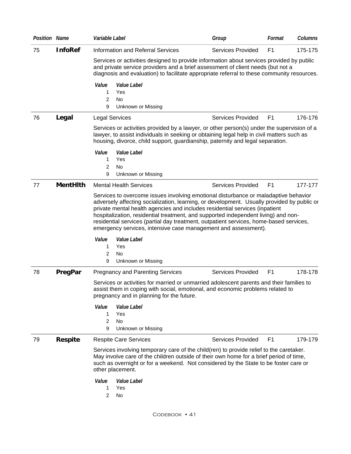| <b>InfoRef</b><br>75<br>Information and Referral Services<br><b>Services Provided</b><br>F <sub>1</sub><br>Services or activities designed to provide information about services provided by public<br>and private service providers and a brief assessment of client needs (but not a<br>diagnosis and evaluation) to facilitate appropriate referral to these community resources.<br>Value<br>Value Label<br>Yes<br>1<br>$\overline{c}$<br>No<br>9<br>Unknown or Missing<br>Legal<br>F <sub>1</sub><br>76<br><b>Services Provided</b><br><b>Legal Services</b><br>Services or activities provided by a lawyer, or other person(s) under the supervision of a<br>lawyer, to assist individuals in seeking or obtaining legal help in civil matters such as<br>housing, divorce, child support, guardianship, paternity and legal separation.<br>Value<br>Value Label<br>Yes<br>1<br>2<br>No<br>9<br>Unknown or Missing<br><b>MentHith</b><br>F <sub>1</sub><br>77<br><b>Mental Health Services</b><br><b>Services Provided</b><br>Services to overcome issues involving emotional disturbance or maladaptive behavior<br>adversely affecting socialization, learning, or development. Usually provided by public or<br>private mental health agencies and includes residential services (inpatient<br>hospitalization, residential treatment, and supported independent living) and non-<br>residential services (partial day treatment, outpatient services, home-based services,<br>emergency services, intensive case management and assessment).<br>Value<br>Value Label<br>Yes<br>1<br>2<br>No<br>9<br>Unknown or Missing<br>PregPar<br>78<br><b>Services Provided</b><br>F <sub>1</sub><br><b>Pregnancy and Parenting Services</b><br>Services or activities for married or unmarried adolescent parents and their families to<br>assist them in coping with social, emotional, and economic problems related to<br>pregnancy and in planning for the future.<br>Value<br>Value Label<br>1<br>Yes<br>2<br>No<br>9<br>Unknown or Missing<br><b>Respite</b><br><b>Services Provided</b><br>F <sub>1</sub><br>79<br><b>Respite Care Services</b><br>Services involving temporary care of the child (ren) to provide relief to the caretaker.<br>May involve care of the children outside of their own home for a brief period of time,<br>such as overnight or for a weekend. Not considered by the State to be foster care or<br>other placement.<br>Value<br>Value Label<br>1<br>Yes<br>$\overline{c}$<br>No | <b>Position Name</b> | Variable Label | Group | Format | <b>Columns</b> |
|---------------------------------------------------------------------------------------------------------------------------------------------------------------------------------------------------------------------------------------------------------------------------------------------------------------------------------------------------------------------------------------------------------------------------------------------------------------------------------------------------------------------------------------------------------------------------------------------------------------------------------------------------------------------------------------------------------------------------------------------------------------------------------------------------------------------------------------------------------------------------------------------------------------------------------------------------------------------------------------------------------------------------------------------------------------------------------------------------------------------------------------------------------------------------------------------------------------------------------------------------------------------------------------------------------------------------------------------------------------------------------------------------------------------------------------------------------------------------------------------------------------------------------------------------------------------------------------------------------------------------------------------------------------------------------------------------------------------------------------------------------------------------------------------------------------------------------------------------------------------------------------------------------------------------------------------------------------------------------------------------------------------------------------------------------------------------------------------------------------------------------------------------------------------------------------------------------------------------------------------------------------------------------------------------------------------------------------------------------------------------------------------------------------------------------------------------------------------------------------------------------------------|----------------------|----------------|-------|--------|----------------|
|                                                                                                                                                                                                                                                                                                                                                                                                                                                                                                                                                                                                                                                                                                                                                                                                                                                                                                                                                                                                                                                                                                                                                                                                                                                                                                                                                                                                                                                                                                                                                                                                                                                                                                                                                                                                                                                                                                                                                                                                                                                                                                                                                                                                                                                                                                                                                                                                                                                                                                                     |                      |                |       |        | 175-175        |
|                                                                                                                                                                                                                                                                                                                                                                                                                                                                                                                                                                                                                                                                                                                                                                                                                                                                                                                                                                                                                                                                                                                                                                                                                                                                                                                                                                                                                                                                                                                                                                                                                                                                                                                                                                                                                                                                                                                                                                                                                                                                                                                                                                                                                                                                                                                                                                                                                                                                                                                     |                      |                |       |        |                |
|                                                                                                                                                                                                                                                                                                                                                                                                                                                                                                                                                                                                                                                                                                                                                                                                                                                                                                                                                                                                                                                                                                                                                                                                                                                                                                                                                                                                                                                                                                                                                                                                                                                                                                                                                                                                                                                                                                                                                                                                                                                                                                                                                                                                                                                                                                                                                                                                                                                                                                                     |                      |                |       |        |                |
|                                                                                                                                                                                                                                                                                                                                                                                                                                                                                                                                                                                                                                                                                                                                                                                                                                                                                                                                                                                                                                                                                                                                                                                                                                                                                                                                                                                                                                                                                                                                                                                                                                                                                                                                                                                                                                                                                                                                                                                                                                                                                                                                                                                                                                                                                                                                                                                                                                                                                                                     |                      |                |       |        | 176-176        |
|                                                                                                                                                                                                                                                                                                                                                                                                                                                                                                                                                                                                                                                                                                                                                                                                                                                                                                                                                                                                                                                                                                                                                                                                                                                                                                                                                                                                                                                                                                                                                                                                                                                                                                                                                                                                                                                                                                                                                                                                                                                                                                                                                                                                                                                                                                                                                                                                                                                                                                                     |                      |                |       |        |                |
|                                                                                                                                                                                                                                                                                                                                                                                                                                                                                                                                                                                                                                                                                                                                                                                                                                                                                                                                                                                                                                                                                                                                                                                                                                                                                                                                                                                                                                                                                                                                                                                                                                                                                                                                                                                                                                                                                                                                                                                                                                                                                                                                                                                                                                                                                                                                                                                                                                                                                                                     |                      |                |       |        |                |
|                                                                                                                                                                                                                                                                                                                                                                                                                                                                                                                                                                                                                                                                                                                                                                                                                                                                                                                                                                                                                                                                                                                                                                                                                                                                                                                                                                                                                                                                                                                                                                                                                                                                                                                                                                                                                                                                                                                                                                                                                                                                                                                                                                                                                                                                                                                                                                                                                                                                                                                     |                      |                |       |        |                |
|                                                                                                                                                                                                                                                                                                                                                                                                                                                                                                                                                                                                                                                                                                                                                                                                                                                                                                                                                                                                                                                                                                                                                                                                                                                                                                                                                                                                                                                                                                                                                                                                                                                                                                                                                                                                                                                                                                                                                                                                                                                                                                                                                                                                                                                                                                                                                                                                                                                                                                                     |                      |                |       |        |                |
|                                                                                                                                                                                                                                                                                                                                                                                                                                                                                                                                                                                                                                                                                                                                                                                                                                                                                                                                                                                                                                                                                                                                                                                                                                                                                                                                                                                                                                                                                                                                                                                                                                                                                                                                                                                                                                                                                                                                                                                                                                                                                                                                                                                                                                                                                                                                                                                                                                                                                                                     |                      |                |       |        | 177-177        |
|                                                                                                                                                                                                                                                                                                                                                                                                                                                                                                                                                                                                                                                                                                                                                                                                                                                                                                                                                                                                                                                                                                                                                                                                                                                                                                                                                                                                                                                                                                                                                                                                                                                                                                                                                                                                                                                                                                                                                                                                                                                                                                                                                                                                                                                                                                                                                                                                                                                                                                                     |                      |                |       |        |                |
|                                                                                                                                                                                                                                                                                                                                                                                                                                                                                                                                                                                                                                                                                                                                                                                                                                                                                                                                                                                                                                                                                                                                                                                                                                                                                                                                                                                                                                                                                                                                                                                                                                                                                                                                                                                                                                                                                                                                                                                                                                                                                                                                                                                                                                                                                                                                                                                                                                                                                                                     |                      |                |       |        |                |
|                                                                                                                                                                                                                                                                                                                                                                                                                                                                                                                                                                                                                                                                                                                                                                                                                                                                                                                                                                                                                                                                                                                                                                                                                                                                                                                                                                                                                                                                                                                                                                                                                                                                                                                                                                                                                                                                                                                                                                                                                                                                                                                                                                                                                                                                                                                                                                                                                                                                                                                     |                      |                |       |        |                |
|                                                                                                                                                                                                                                                                                                                                                                                                                                                                                                                                                                                                                                                                                                                                                                                                                                                                                                                                                                                                                                                                                                                                                                                                                                                                                                                                                                                                                                                                                                                                                                                                                                                                                                                                                                                                                                                                                                                                                                                                                                                                                                                                                                                                                                                                                                                                                                                                                                                                                                                     |                      |                |       |        |                |
|                                                                                                                                                                                                                                                                                                                                                                                                                                                                                                                                                                                                                                                                                                                                                                                                                                                                                                                                                                                                                                                                                                                                                                                                                                                                                                                                                                                                                                                                                                                                                                                                                                                                                                                                                                                                                                                                                                                                                                                                                                                                                                                                                                                                                                                                                                                                                                                                                                                                                                                     |                      |                |       |        | 178-178        |
|                                                                                                                                                                                                                                                                                                                                                                                                                                                                                                                                                                                                                                                                                                                                                                                                                                                                                                                                                                                                                                                                                                                                                                                                                                                                                                                                                                                                                                                                                                                                                                                                                                                                                                                                                                                                                                                                                                                                                                                                                                                                                                                                                                                                                                                                                                                                                                                                                                                                                                                     |                      |                |       |        |                |
|                                                                                                                                                                                                                                                                                                                                                                                                                                                                                                                                                                                                                                                                                                                                                                                                                                                                                                                                                                                                                                                                                                                                                                                                                                                                                                                                                                                                                                                                                                                                                                                                                                                                                                                                                                                                                                                                                                                                                                                                                                                                                                                                                                                                                                                                                                                                                                                                                                                                                                                     |                      |                |       |        |                |
|                                                                                                                                                                                                                                                                                                                                                                                                                                                                                                                                                                                                                                                                                                                                                                                                                                                                                                                                                                                                                                                                                                                                                                                                                                                                                                                                                                                                                                                                                                                                                                                                                                                                                                                                                                                                                                                                                                                                                                                                                                                                                                                                                                                                                                                                                                                                                                                                                                                                                                                     |                      |                |       |        |                |
|                                                                                                                                                                                                                                                                                                                                                                                                                                                                                                                                                                                                                                                                                                                                                                                                                                                                                                                                                                                                                                                                                                                                                                                                                                                                                                                                                                                                                                                                                                                                                                                                                                                                                                                                                                                                                                                                                                                                                                                                                                                                                                                                                                                                                                                                                                                                                                                                                                                                                                                     |                      |                |       |        |                |
|                                                                                                                                                                                                                                                                                                                                                                                                                                                                                                                                                                                                                                                                                                                                                                                                                                                                                                                                                                                                                                                                                                                                                                                                                                                                                                                                                                                                                                                                                                                                                                                                                                                                                                                                                                                                                                                                                                                                                                                                                                                                                                                                                                                                                                                                                                                                                                                                                                                                                                                     |                      |                |       |        | 179-179        |
|                                                                                                                                                                                                                                                                                                                                                                                                                                                                                                                                                                                                                                                                                                                                                                                                                                                                                                                                                                                                                                                                                                                                                                                                                                                                                                                                                                                                                                                                                                                                                                                                                                                                                                                                                                                                                                                                                                                                                                                                                                                                                                                                                                                                                                                                                                                                                                                                                                                                                                                     |                      |                |       |        |                |
|                                                                                                                                                                                                                                                                                                                                                                                                                                                                                                                                                                                                                                                                                                                                                                                                                                                                                                                                                                                                                                                                                                                                                                                                                                                                                                                                                                                                                                                                                                                                                                                                                                                                                                                                                                                                                                                                                                                                                                                                                                                                                                                                                                                                                                                                                                                                                                                                                                                                                                                     |                      |                |       |        |                |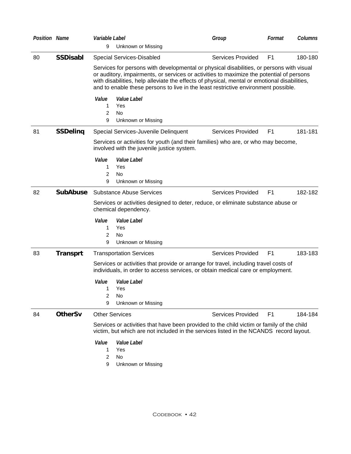| <b>Position Name</b> |                 | Variable Label       |                                                                                                                                                                                                                                                                                                                                                                                                                | Group                    | Format         | Columns |
|----------------------|-----------------|----------------------|----------------------------------------------------------------------------------------------------------------------------------------------------------------------------------------------------------------------------------------------------------------------------------------------------------------------------------------------------------------------------------------------------------------|--------------------------|----------------|---------|
|                      |                 | 9                    | Unknown or Missing                                                                                                                                                                                                                                                                                                                                                                                             |                          |                |         |
| 80                   | <b>SSDisabl</b> |                      | <b>Special Services-Disabled</b><br>Services for persons with developmental or physical disabilities, or persons with visual<br>or auditory, impairments, or services or activities to maximize the potential of persons<br>with disabilities, help alleviate the effects of physical, mental or emotional disabilities,<br>and to enable these persons to live in the least restrictive environment possible. | <b>Services Provided</b> | F <sub>1</sub> | 180-180 |
|                      |                 | Value<br>1<br>2<br>9 | Value Label<br>Yes<br><b>No</b><br>Unknown or Missing                                                                                                                                                                                                                                                                                                                                                          |                          |                |         |
| 81                   | <b>SSDeling</b> |                      | Special Services-Juvenile Delinquent                                                                                                                                                                                                                                                                                                                                                                           | <b>Services Provided</b> | F <sub>1</sub> | 181-181 |
|                      |                 |                      | Services or activities for youth (and their families) who are, or who may become,<br>involved with the juvenile justice system.                                                                                                                                                                                                                                                                                |                          |                |         |
|                      |                 | Value<br>1<br>2<br>9 | Value Label<br>Yes<br><b>No</b><br>Unknown or Missing                                                                                                                                                                                                                                                                                                                                                          |                          |                |         |
| 82                   | <b>SubAbuse</b> |                      | <b>Substance Abuse Services</b>                                                                                                                                                                                                                                                                                                                                                                                | <b>Services Provided</b> | F <sub>1</sub> | 182-182 |
|                      |                 |                      | Services or activities designed to deter, reduce, or eliminate substance abuse or<br>chemical dependency.                                                                                                                                                                                                                                                                                                      |                          |                |         |
|                      |                 | Value<br>1<br>2<br>9 | Value Label<br>Yes<br>No<br>Unknown or Missing                                                                                                                                                                                                                                                                                                                                                                 |                          |                |         |
| 83                   | <b>Transprt</b> |                      | <b>Transportation Services</b>                                                                                                                                                                                                                                                                                                                                                                                 | <b>Services Provided</b> | F <sub>1</sub> | 183-183 |
|                      |                 |                      | Services or activities that provide or arrange for travel, including travel costs of<br>individuals, in order to access services, or obtain medical care or employment.                                                                                                                                                                                                                                        |                          |                |         |
|                      |                 | Value<br>1<br>2<br>9 | Value Label<br>Yes<br>No<br>Unknown or Missing                                                                                                                                                                                                                                                                                                                                                                 |                          |                |         |
| 84                   | <b>OtherSv</b>  |                      | <b>Other Services</b>                                                                                                                                                                                                                                                                                                                                                                                          | <b>Services Provided</b> | F <sub>1</sub> | 184-184 |
|                      |                 |                      | Services or activities that have been provided to the child victim or family of the child<br>victim, but which are not included in the services listed in the NCANDS record layout.                                                                                                                                                                                                                            |                          |                |         |
|                      |                 | Value<br>1<br>2<br>9 | Value Label<br>Yes<br><b>No</b><br>Unknown or Missing                                                                                                                                                                                                                                                                                                                                                          |                          |                |         |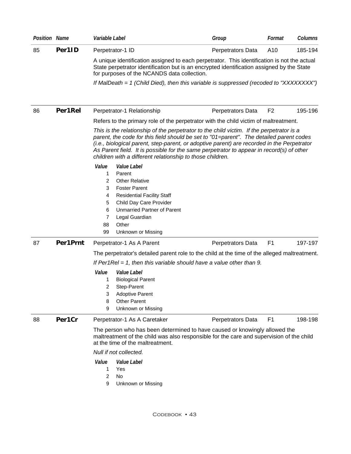| Position Name |          | Variable Label                                                                                                                                                                                                                                                                        | Group                                                                                                                                                                                                                                                                                                                                                                         | Format         | Columns |
|---------------|----------|---------------------------------------------------------------------------------------------------------------------------------------------------------------------------------------------------------------------------------------------------------------------------------------|-------------------------------------------------------------------------------------------------------------------------------------------------------------------------------------------------------------------------------------------------------------------------------------------------------------------------------------------------------------------------------|----------------|---------|
| 85            | Per1ID   | Perpetrator-1 ID                                                                                                                                                                                                                                                                      | Perpetrators Data                                                                                                                                                                                                                                                                                                                                                             | A10            | 185-194 |
|               |          | for purposes of the NCANDS data collection.                                                                                                                                                                                                                                           | A unique identification assigned to each perpetrator. This identification is not the actual<br>State perpetrator identification but is an encrypted identification assigned by the State                                                                                                                                                                                      |                |         |
|               |          |                                                                                                                                                                                                                                                                                       | If MalDeath = 1 (Child Died), then this variable is suppressed (recoded to "XXXXXXXX")                                                                                                                                                                                                                                                                                        |                |         |
| 86            | Per1Rel  | Perpetrator-1 Relationship                                                                                                                                                                                                                                                            | Perpetrators Data                                                                                                                                                                                                                                                                                                                                                             | F <sub>2</sub> | 195-196 |
|               |          |                                                                                                                                                                                                                                                                                       | Refers to the primary role of the perpetrator with the child victim of maltreatment.                                                                                                                                                                                                                                                                                          |                |         |
|               |          | children with a different relationship to those children.                                                                                                                                                                                                                             | This is the relationship of the perpetrator to the child victim. If the perpetrator is a<br>parent, the code for this field should be set to "01=parent". The detailed parent codes<br>(i.e., biological parent, step-parent, or adoptive parent) are recorded in the Perpetrator<br>As Parent field. It is possible for the same perpetrator to appear in record(s) of other |                |         |
|               |          | Value<br>Value Label<br>Parent<br>1<br><b>Other Relative</b><br>2<br><b>Foster Parent</b><br>3<br><b>Residential Facility Staff</b><br>4<br>Child Day Care Provider<br>5<br><b>Unmarried Partner of Parent</b><br>6<br>Legal Guardian<br>7<br>Other<br>88<br>99<br>Unknown or Missing |                                                                                                                                                                                                                                                                                                                                                                               |                |         |
| 87            | Per1Prnt | Perpetrator-1 As A Parent                                                                                                                                                                                                                                                             | Perpetrators Data                                                                                                                                                                                                                                                                                                                                                             | F <sub>1</sub> | 197-197 |
|               |          |                                                                                                                                                                                                                                                                                       | The perpetrator's detailed parent role to the child at the time of the alleged maltreatment.                                                                                                                                                                                                                                                                                  |                |         |
|               |          |                                                                                                                                                                                                                                                                                       | If Per1ReI = 1, then this variable should have a value other than 9.                                                                                                                                                                                                                                                                                                          |                |         |
|               |          | Value<br><i>Value Label</i><br><b>Biological Parent</b><br>1<br>Step-Parent<br>2<br><b>Adoptive Parent</b><br>3<br><b>Other Parent</b><br>8<br>Unknown or Missing<br>9                                                                                                                |                                                                                                                                                                                                                                                                                                                                                                               |                |         |
| 88            | Per1Cr   | Perpetrator-1 As A Caretaker                                                                                                                                                                                                                                                          | Perpetrators Data                                                                                                                                                                                                                                                                                                                                                             | F <sub>1</sub> | 198-198 |
|               |          | at the time of the maltreatment.                                                                                                                                                                                                                                                      | The person who has been determined to have caused or knowingly allowed the<br>maltreatment of the child was also responsible for the care and supervision of the child                                                                                                                                                                                                        |                |         |
|               |          | Null if not collected.                                                                                                                                                                                                                                                                |                                                                                                                                                                                                                                                                                                                                                                               |                |         |
|               |          | Value<br>Value Label<br>Yes<br>1<br>2<br>No<br>Unknown or Missing<br>9                                                                                                                                                                                                                |                                                                                                                                                                                                                                                                                                                                                                               |                |         |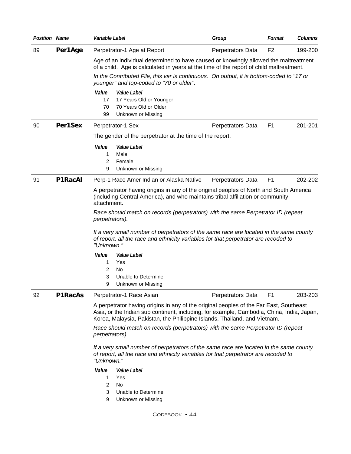| <b>Position Name</b> |         | Variable Label                                                                                                                                                                                                                                                   | Group             | Format         | Columns |
|----------------------|---------|------------------------------------------------------------------------------------------------------------------------------------------------------------------------------------------------------------------------------------------------------------------|-------------------|----------------|---------|
| 89                   | Per1Age | Perpetrator-1 Age at Report                                                                                                                                                                                                                                      | Perpetrators Data | F <sub>2</sub> | 199-200 |
|                      |         | Age of an individual determined to have caused or knowingly allowed the maltreatment<br>of a child. Age is calculated in years at the time of the report of child maltreatment.                                                                                  |                   |                |         |
|                      |         | In the Contributed File, this var is continuous. On output, it is bottom-coded to "17 or<br>younger" and top-coded to "70 or older".                                                                                                                             |                   |                |         |
|                      |         | Value<br>Value Label<br>17<br>17 Years Old or Younger<br>70 Years Old or Older<br>70<br>99<br><b>Unknown or Missing</b>                                                                                                                                          |                   |                |         |
| 90                   | Per1Sex | Perpetrator-1 Sex                                                                                                                                                                                                                                                | Perpetrators Data | F1             | 201-201 |
|                      |         | The gender of the perpetrator at the time of the report.                                                                                                                                                                                                         |                   |                |         |
|                      |         | Value<br>Value Label<br>1<br>Male<br>Female<br>2<br>Unknown or Missing<br>9                                                                                                                                                                                      |                   |                |         |
| 91                   | P1RacAI | Perp-1 Race Amer Indian or Alaska Native                                                                                                                                                                                                                         | Perpetrators Data | F <sub>1</sub> | 202-202 |
|                      |         | A perpetrator having origins in any of the original peoples of North and South America<br>(including Central America), and who maintains tribal affiliation or community<br>attachment.                                                                          |                   |                |         |
|                      |         | Race should match on records (perpetrators) with the same Perpetrator ID (repeat<br>perpetrators).                                                                                                                                                               |                   |                |         |
|                      |         | If a very small number of perpetrators of the same race are located in the same county<br>of report, all the race and ethnicity variables for that perpetrator are recoded to<br>"Unknown."                                                                      |                   |                |         |
|                      |         | Value<br>Value Label<br>Yes<br>1<br>2<br>No<br>3<br>Unable to Determine<br>Unknown or Missing<br>9                                                                                                                                                               |                   |                |         |
| 92                   | P1RacAs | Perpetrator-1 Race Asian                                                                                                                                                                                                                                         | Perpetrators Data | F <sub>1</sub> | 203-203 |
|                      |         | A perpetrator having origins in any of the original peoples of the Far East, Southeast<br>Asia, or the Indian sub continent, including, for example, Cambodia, China, India, Japan,<br>Korea, Malaysia, Pakistan, the Philippine Islands, Thailand, and Vietnam. |                   |                |         |
|                      |         | Race should match on records (perpetrators) with the same Perpetrator ID (repeat<br>perpetrators).                                                                                                                                                               |                   |                |         |
|                      |         | If a very small number of perpetrators of the same race are located in the same county<br>of report, all the race and ethnicity variables for that perpetrator are recoded to<br>"Unknown."                                                                      |                   |                |         |
|                      |         | Value<br>Value Label<br>1<br>Yes                                                                                                                                                                                                                                 |                   |                |         |
|                      |         | 2<br>No<br>3<br>Unable to Determine                                                                                                                                                                                                                              |                   |                |         |
|                      |         | 9<br>Unknown or Missing                                                                                                                                                                                                                                          |                   |                |         |
|                      |         | CODEBOOK • 44                                                                                                                                                                                                                                                    |                   |                |         |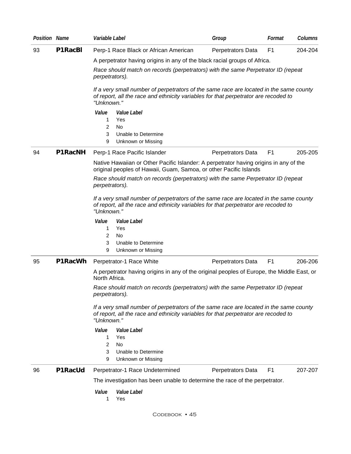| <b>Position Name</b> |                | Variable Label                                                                                                                                                                              | Group             | Format         | Columns |
|----------------------|----------------|---------------------------------------------------------------------------------------------------------------------------------------------------------------------------------------------|-------------------|----------------|---------|
| 93                   | P1RacBI        | Perp-1 Race Black or African American                                                                                                                                                       | Perpetrators Data | F <sub>1</sub> | 204-204 |
|                      |                | A perpetrator having origins in any of the black racial groups of Africa.                                                                                                                   |                   |                |         |
|                      |                | Race should match on records (perpetrators) with the same Perpetrator ID (repeat<br>perpetrators).                                                                                          |                   |                |         |
|                      |                | If a very small number of perpetrators of the same race are located in the same county<br>of report, all the race and ethnicity variables for that perpetrator are recoded to<br>"Unknown." |                   |                |         |
|                      |                | Value<br>Value Label<br>Yes<br>1<br>2<br>No                                                                                                                                                 |                   |                |         |
|                      |                | 3<br>Unable to Determine<br>9<br>Unknown or Missing                                                                                                                                         |                   |                |         |
| 94                   | <b>P1RacNH</b> | Perp-1 Race Pacific Islander                                                                                                                                                                | Perpetrators Data | F <sub>1</sub> | 205-205 |
|                      |                | Native Hawaiian or Other Pacific Islander: A perpetrator having origins in any of the<br>original peoples of Hawaii, Guam, Samoa, or other Pacific Islands                                  |                   |                |         |
|                      |                | Race should match on records (perpetrators) with the same Perpetrator ID (repeat<br>perpetrators).                                                                                          |                   |                |         |
|                      |                | If a very small number of perpetrators of the same race are located in the same county<br>of report, all the race and ethnicity variables for that perpetrator are recoded to<br>"Unknown." |                   |                |         |
|                      |                | Value<br>Value Label<br>1<br>Yes<br>2<br>No<br>3<br>Unable to Determine                                                                                                                     |                   |                |         |
|                      |                | 9<br>Unknown or Missing                                                                                                                                                                     |                   |                |         |
| 95                   | P1RacWh        | Perpetrator-1 Race White                                                                                                                                                                    | Perpetrators Data | F <sub>1</sub> | 206-206 |
|                      |                | A perpetrator having origins in any of the original peoples of Europe, the Middle East, or<br>North Africa.                                                                                 |                   |                |         |
|                      |                | Race should match on records (perpetrators) with the same Perpetrator ID (repeat<br>perpetrators).                                                                                          |                   |                |         |
|                      |                | If a very small number of perpetrators of the same race are located in the same county<br>of report, all the race and ethnicity variables for that perpetrator are recoded to<br>"Unknown." |                   |                |         |
|                      |                | Value<br>Value Label                                                                                                                                                                        |                   |                |         |
|                      |                | 1<br>Yes<br>2<br>No                                                                                                                                                                         |                   |                |         |
|                      |                | 3<br>Unable to Determine<br>Unknown or Missing<br>9                                                                                                                                         |                   |                |         |
| 96                   | P1RacUd        | Perpetrator-1 Race Undetermined                                                                                                                                                             | Perpetrators Data | F <sub>1</sub> | 207-207 |
|                      |                | The investigation has been unable to determine the race of the perpetrator.                                                                                                                 |                   |                |         |
|                      |                | Value<br>Value Label<br>1<br>Yes                                                                                                                                                            |                   |                |         |
|                      |                |                                                                                                                                                                                             |                   |                |         |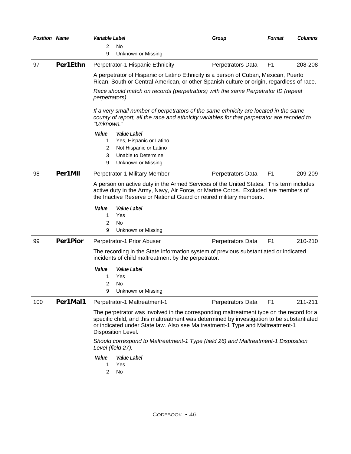| <b>Position Name</b> |          | Variable Label    |                                                     | Group                                                                                                                                                                                                                                                                 | Format         | Columns |
|----------------------|----------|-------------------|-----------------------------------------------------|-----------------------------------------------------------------------------------------------------------------------------------------------------------------------------------------------------------------------------------------------------------------------|----------------|---------|
|                      |          | 2                 | <b>No</b>                                           |                                                                                                                                                                                                                                                                       |                |         |
|                      |          | 9                 | Unknown or Missing                                  |                                                                                                                                                                                                                                                                       |                |         |
| 97                   | Per1Ethn |                   | Perpetrator-1 Hispanic Ethnicity                    | Perpetrators Data                                                                                                                                                                                                                                                     | F <sub>1</sub> | 208-208 |
|                      |          |                   |                                                     | A perpetrator of Hispanic or Latino Ethnicity is a person of Cuban, Mexican, Puerto<br>Rican, South or Central American, or other Spanish culture or origin, regardless of race.                                                                                      |                |         |
|                      |          | perpetrators).    |                                                     | Race should match on records (perpetrators) with the same Perpetrator ID (repeat                                                                                                                                                                                      |                |         |
|                      |          | "Unknown."        |                                                     | If a very small number of perpetrators of the same ethnicity are located in the same<br>county of report, all the race and ethnicity variables for that perpetrator are recoded to                                                                                    |                |         |
|                      |          | Value             | Value Label                                         |                                                                                                                                                                                                                                                                       |                |         |
|                      |          | 1                 | Yes, Hispanic or Latino                             |                                                                                                                                                                                                                                                                       |                |         |
|                      |          | $\overline{2}$    | Not Hispanic or Latino                              |                                                                                                                                                                                                                                                                       |                |         |
|                      |          | 3                 | Unable to Determine                                 |                                                                                                                                                                                                                                                                       |                |         |
|                      |          | 9                 | Unknown or Missing                                  |                                                                                                                                                                                                                                                                       |                |         |
| 98                   | Per1Mil  |                   | Perpetrator-1 Military Member                       | Perpetrators Data                                                                                                                                                                                                                                                     | F <sub>1</sub> | 209-209 |
|                      |          |                   |                                                     | A person on active duty in the Armed Services of the United States. This term includes<br>active duty in the Army, Navy, Air Force, or Marine Corps. Excluded are members of<br>the Inactive Reserve or National Guard or retired military members.                   |                |         |
|                      |          | Value<br>1        | Value Label<br>Yes                                  |                                                                                                                                                                                                                                                                       |                |         |
|                      |          | 2                 | No                                                  |                                                                                                                                                                                                                                                                       |                |         |
|                      |          | 9                 | Unknown or Missing                                  |                                                                                                                                                                                                                                                                       |                |         |
| 99                   | Per1Pior |                   | Perpetrator-1 Prior Abuser                          | Perpetrators Data                                                                                                                                                                                                                                                     | F <sub>1</sub> | 210-210 |
|                      |          |                   | incidents of child maltreatment by the perpetrator. | The recording in the State information system of previous substantiated or indicated                                                                                                                                                                                  |                |         |
|                      |          | Value             | Value Label                                         |                                                                                                                                                                                                                                                                       |                |         |
|                      |          | 1                 | Yes                                                 |                                                                                                                                                                                                                                                                       |                |         |
|                      |          | 2                 | No                                                  |                                                                                                                                                                                                                                                                       |                |         |
|                      |          | 9                 | Unknown or Missing                                  |                                                                                                                                                                                                                                                                       |                |         |
| 100                  | Per1Mal1 |                   | Perpetrator-1 Maltreatment-1                        | Perpetrators Data                                                                                                                                                                                                                                                     | F <sub>1</sub> | 211-211 |
|                      |          |                   | Disposition Level.                                  | The perpetrator was involved in the corresponding maltreatment type on the record for a<br>specific child, and this maltreatment was determined by investigation to be substantiated<br>or indicated under State law. Also see Maltreatment-1 Type and Maltreatment-1 |                |         |
|                      |          | Level (field 27). |                                                     | Should correspond to Maltreatment-1 Type (field 26) and Maltreatment-1 Disposition                                                                                                                                                                                    |                |         |
|                      |          | Value             | Value Label                                         |                                                                                                                                                                                                                                                                       |                |         |
|                      |          | 1                 | Yes                                                 |                                                                                                                                                                                                                                                                       |                |         |
|                      |          | 2                 | No                                                  |                                                                                                                                                                                                                                                                       |                |         |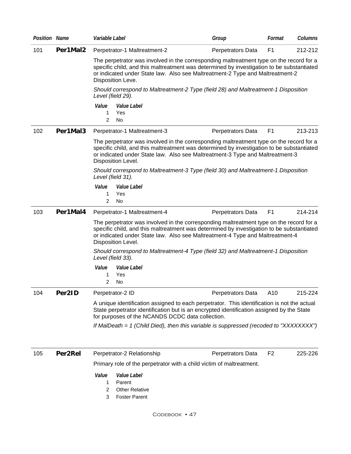| <b>Position Name</b> |          | Variable Label                                                                                                                                                                                                                                                                              | Group             | Format         | <b>Columns</b> |  |
|----------------------|----------|---------------------------------------------------------------------------------------------------------------------------------------------------------------------------------------------------------------------------------------------------------------------------------------------|-------------------|----------------|----------------|--|
| 101                  | Per1Mal2 | Perpetrator-1 Maltreatment-2                                                                                                                                                                                                                                                                | Perpetrators Data | F <sub>1</sub> | 212-212        |  |
|                      |          | The perpetrator was involved in the corresponding maltreatment type on the record for a<br>specific child, and this maltreatment was determined by investigation to be substantiated<br>or indicated under State law. Also see Maltreatment-2 Type and Maltreatment-2<br>Disposition Leve.  |                   |                |                |  |
|                      |          | Should correspond to Maltreatment-2 Type (field 28) and Maltreatment-1 Disposition<br>Level (field 29).                                                                                                                                                                                     |                   |                |                |  |
|                      |          | Value<br>Value Label<br>1<br>Yes<br>2<br>No                                                                                                                                                                                                                                                 |                   |                |                |  |
| 102                  | Per1Mal3 | Perpetrator-1 Maltreatment-3                                                                                                                                                                                                                                                                | Perpetrators Data | F <sub>1</sub> | 213-213        |  |
|                      |          | The perpetrator was involved in the corresponding maltreatment type on the record for a<br>specific child, and this maltreatment was determined by investigation to be substantiated<br>or indicated under State law. Also see Maltreatment-3 Type and Maltreatment-3<br>Disposition Level. |                   |                |                |  |
|                      |          | Should correspond to Maltreatment-3 Type (field 30) and Maltreatment-1 Disposition<br>Level (field 31).                                                                                                                                                                                     |                   |                |                |  |
|                      |          | Value<br>Value Label<br>Yes<br>1<br>2<br>No                                                                                                                                                                                                                                                 |                   |                |                |  |
| 103                  | Per1Mal4 | Perpetrator-1 Maltreatment-4                                                                                                                                                                                                                                                                | Perpetrators Data | F <sub>1</sub> | 214-214        |  |
|                      |          | The perpetrator was involved in the corresponding maltreatment type on the record for a<br>specific child, and this maltreatment was determined by investigation to be substantiated<br>or indicated under State law. Also see Maltreatment-4 Type and Maltreatment-4<br>Disposition Level. |                   |                |                |  |
|                      |          | Should correspond to Maltreatment-4 Type (field 32) and Maltreatment-1 Disposition<br>Level (field 33).                                                                                                                                                                                     |                   |                |                |  |
|                      |          | Value<br>Value Label                                                                                                                                                                                                                                                                        |                   |                |                |  |
|                      |          | Yes<br>1<br>2<br>No                                                                                                                                                                                                                                                                         |                   |                |                |  |
| 104                  | Per2ID   | Perpetrator-2 ID                                                                                                                                                                                                                                                                            | Perpetrators Data | A10            | 215-224        |  |
|                      |          | A unique identification assigned to each perpetrator. This identification is not the actual<br>State perpetrator identification but is an encrypted identification assigned by the State<br>for purposes of the NCANDS DCDC data collection.                                                |                   |                |                |  |
|                      |          | If MalDeath = 1 (Child Died), then this variable is suppressed (recoded to "XXXXXXXX")                                                                                                                                                                                                      |                   |                |                |  |
| 105                  | Per2Rel  | Perpetrator-2 Relationship                                                                                                                                                                                                                                                                  | Perpetrators Data | F <sub>2</sub> | 225-226        |  |
|                      |          | Primary role of the perpetrator with a child victim of maltreatment.                                                                                                                                                                                                                        |                   |                |                |  |
|                      |          | Value<br>Value Label<br>Parent<br>1<br><b>Other Relative</b><br>2<br><b>Foster Parent</b><br>3                                                                                                                                                                                              |                   |                |                |  |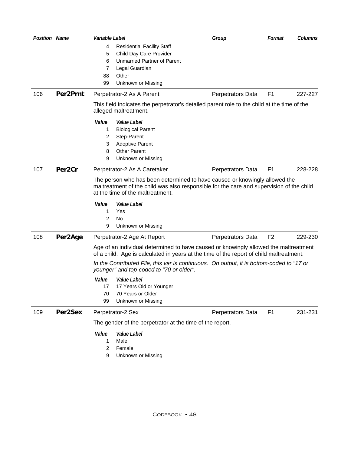| <b>Position Name</b> |                    | Variable Label |                                                                                                                                                                                                            | Group             | Format         | Columns |
|----------------------|--------------------|----------------|------------------------------------------------------------------------------------------------------------------------------------------------------------------------------------------------------------|-------------------|----------------|---------|
|                      |                    | 4              | <b>Residential Facility Staff</b>                                                                                                                                                                          |                   |                |         |
|                      |                    | 5              | Child Day Care Provider                                                                                                                                                                                    |                   |                |         |
|                      |                    | 6              | <b>Unmarried Partner of Parent</b>                                                                                                                                                                         |                   |                |         |
|                      |                    | 7              | Legal Guardian                                                                                                                                                                                             |                   |                |         |
|                      |                    | 88             | Other                                                                                                                                                                                                      |                   |                |         |
|                      |                    | 99             | Unknown or Missing                                                                                                                                                                                         |                   |                |         |
| 106                  | Per2Prnt           |                | Perpetrator-2 As A Parent                                                                                                                                                                                  | Perpetrators Data | F <sub>1</sub> | 227-227 |
|                      |                    |                | This field indicates the perpetrator's detailed parent role to the child at the time of the<br>alleged maltreatment.                                                                                       |                   |                |         |
|                      |                    | Value          | Value Label                                                                                                                                                                                                |                   |                |         |
|                      |                    | 1              | <b>Biological Parent</b>                                                                                                                                                                                   |                   |                |         |
|                      |                    | 2              | Step-Parent                                                                                                                                                                                                |                   |                |         |
|                      |                    | 3              | <b>Adoptive Parent</b>                                                                                                                                                                                     |                   |                |         |
|                      |                    | 8              | <b>Other Parent</b>                                                                                                                                                                                        |                   |                |         |
|                      |                    | 9              | Unknown or Missing                                                                                                                                                                                         |                   |                |         |
| 107                  | Per <sub>2Cr</sub> |                | Perpetrator-2 As A Caretaker                                                                                                                                                                               | Perpetrators Data | F <sub>1</sub> | 228-228 |
|                      |                    |                | The person who has been determined to have caused or knowingly allowed the<br>maltreatment of the child was also responsible for the care and supervision of the child<br>at the time of the maltreatment. |                   |                |         |
|                      |                    | Value          | Value Label                                                                                                                                                                                                |                   |                |         |
|                      |                    | 1              | Yes                                                                                                                                                                                                        |                   |                |         |
|                      |                    | 2              | No                                                                                                                                                                                                         |                   |                |         |
|                      |                    | 9              | Unknown or Missing                                                                                                                                                                                         |                   |                |         |
| 108                  | Per2Age            |                | Perpetrator-2 Age At Report                                                                                                                                                                                | Perpetrators Data | F <sub>2</sub> | 229-230 |
|                      |                    |                | Age of an individual determined to have caused or knowingly allowed the maltreatment<br>of a child. Age is calculated in years at the time of the report of child maltreatment.                            |                   |                |         |
|                      |                    |                | In the Contributed File, this var is continuous. On output, it is bottom-coded to "17 or<br>younger" and top-coded to "70 or older".                                                                       |                   |                |         |
|                      |                    | Value          | <i>Value Label</i>                                                                                                                                                                                         |                   |                |         |
|                      |                    | 17             | 17 Years Old or Younger                                                                                                                                                                                    |                   |                |         |
|                      |                    | 70             | 70 Years or Older                                                                                                                                                                                          |                   |                |         |
|                      |                    | 99             | Unknown or Missing                                                                                                                                                                                         |                   |                |         |
| 109                  | Per2Sex            |                | Perpetrator-2 Sex                                                                                                                                                                                          | Perpetrators Data | F <sub>1</sub> | 231-231 |
|                      |                    |                | The gender of the perpetrator at the time of the report.                                                                                                                                                   |                   |                |         |
|                      |                    | Value          | Value Label                                                                                                                                                                                                |                   |                |         |
|                      |                    | 1              | Male                                                                                                                                                                                                       |                   |                |         |
|                      |                    | 2              | Female                                                                                                                                                                                                     |                   |                |         |
|                      |                    | 9              | Unknown or Missing                                                                                                                                                                                         |                   |                |         |
|                      |                    |                |                                                                                                                                                                                                            |                   |                |         |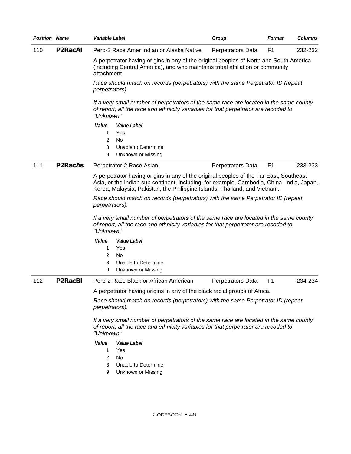| <b>Position Name</b> |                | Variable Label                                                                                                                                                                                                                                                                                    |                                                                                                                                                                                             | Group             | Format         | Columns |  |  |
|----------------------|----------------|---------------------------------------------------------------------------------------------------------------------------------------------------------------------------------------------------------------------------------------------------------------------------------------------------|---------------------------------------------------------------------------------------------------------------------------------------------------------------------------------------------|-------------------|----------------|---------|--|--|
| 110                  | <b>P2RacAI</b> |                                                                                                                                                                                                                                                                                                   | Perp-2 Race Amer Indian or Alaska Native                                                                                                                                                    | Perpetrators Data | F <sub>1</sub> | 232-232 |  |  |
|                      |                | attachment.                                                                                                                                                                                                                                                                                       | A perpetrator having origins in any of the original peoples of North and South America<br>(including Central America), and who maintains tribal affiliation or community                    |                   |                |         |  |  |
|                      |                | perpetrators).                                                                                                                                                                                                                                                                                    | Race should match on records (perpetrators) with the same Perpetrator ID (repeat                                                                                                            |                   |                |         |  |  |
|                      |                |                                                                                                                                                                                                                                                                                                   | If a very small number of perpetrators of the same race are located in the same county<br>of report, all the race and ethnicity variables for that perpetrator are recoded to<br>"Unknown." |                   |                |         |  |  |
|                      |                | Value                                                                                                                                                                                                                                                                                             | Value Label                                                                                                                                                                                 |                   |                |         |  |  |
|                      |                | 1                                                                                                                                                                                                                                                                                                 | Yes                                                                                                                                                                                         |                   |                |         |  |  |
|                      |                | 2<br>3                                                                                                                                                                                                                                                                                            | No<br>Unable to Determine                                                                                                                                                                   |                   |                |         |  |  |
|                      |                | 9                                                                                                                                                                                                                                                                                                 | Unknown or Missing                                                                                                                                                                          |                   |                |         |  |  |
| 111                  | <b>P2RacAs</b> |                                                                                                                                                                                                                                                                                                   | Perpetrator-2 Race Asian                                                                                                                                                                    | Perpetrators Data | F <sub>1</sub> | 233-233 |  |  |
|                      |                |                                                                                                                                                                                                                                                                                                   | A perpetrator having origins in any of the original peoples of the Far East, Southeast                                                                                                      |                   |                |         |  |  |
|                      |                |                                                                                                                                                                                                                                                                                                   | Asia, or the Indian sub continent, including, for example, Cambodia, China, India, Japan,<br>Korea, Malaysia, Pakistan, the Philippine Islands, Thailand, and Vietnam.                      |                   |                |         |  |  |
|                      |                |                                                                                                                                                                                                                                                                                                   | Race should match on records (perpetrators) with the same Perpetrator ID (repeat                                                                                                            |                   |                |         |  |  |
|                      |                | perpetrators).<br>If a very small number of perpetrators of the same race are located in the same county<br>of report, all the race and ethnicity variables for that perpetrator are recoded to<br>"Unknown."                                                                                     |                                                                                                                                                                                             |                   |                |         |  |  |
|                      |                |                                                                                                                                                                                                                                                                                                   |                                                                                                                                                                                             |                   |                |         |  |  |
|                      |                | Value                                                                                                                                                                                                                                                                                             | Value Label                                                                                                                                                                                 |                   |                |         |  |  |
|                      |                | 1                                                                                                                                                                                                                                                                                                 | Yes                                                                                                                                                                                         |                   |                |         |  |  |
|                      |                | 2                                                                                                                                                                                                                                                                                                 | No                                                                                                                                                                                          |                   |                |         |  |  |
|                      |                | 3                                                                                                                                                                                                                                                                                                 | Unable to Determine                                                                                                                                                                         |                   |                |         |  |  |
|                      |                | 9                                                                                                                                                                                                                                                                                                 | Unknown or Missing                                                                                                                                                                          |                   |                |         |  |  |
| 112                  | <b>P2RacBI</b> |                                                                                                                                                                                                                                                                                                   | Perp-2 Race Black or African American                                                                                                                                                       | Perpetrators Data | F1             | 234-234 |  |  |
|                      |                | A perpetrator having origins in any of the black racial groups of Africa.                                                                                                                                                                                                                         |                                                                                                                                                                                             |                   |                |         |  |  |
|                      |                | Race should match on records (perpetrators) with the same Perpetrator ID (repeat<br>perpetrators).<br>If a very small number of perpetrators of the same race are located in the same county<br>of report, all the race and ethnicity variables for that perpetrator are recoded to<br>"Unknown." |                                                                                                                                                                                             |                   |                |         |  |  |
|                      |                |                                                                                                                                                                                                                                                                                                   |                                                                                                                                                                                             |                   |                |         |  |  |
|                      |                | Value                                                                                                                                                                                                                                                                                             | Value Label                                                                                                                                                                                 |                   |                |         |  |  |
|                      |                | 1                                                                                                                                                                                                                                                                                                 | Yes                                                                                                                                                                                         |                   |                |         |  |  |
|                      |                | $\overline{2}$                                                                                                                                                                                                                                                                                    | <b>No</b>                                                                                                                                                                                   |                   |                |         |  |  |
|                      |                | 3                                                                                                                                                                                                                                                                                                 | Unable to Determine                                                                                                                                                                         |                   |                |         |  |  |
|                      |                | 9                                                                                                                                                                                                                                                                                                 | Unknown or Missing                                                                                                                                                                          |                   |                |         |  |  |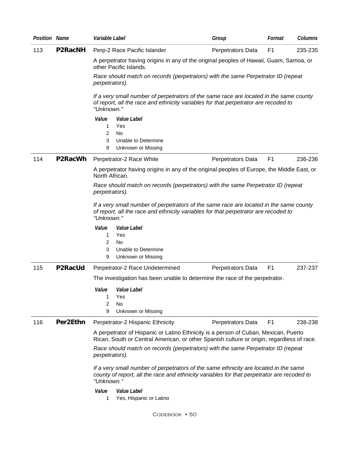| <b>Position Name</b> |                                                                                                    | Variable Label                                                                                                                                                                                   | Group             | Format         | Columns |  |  |
|----------------------|----------------------------------------------------------------------------------------------------|--------------------------------------------------------------------------------------------------------------------------------------------------------------------------------------------------|-------------------|----------------|---------|--|--|
| 113                  | <b>P2RacNH</b>                                                                                     | Perp-2 Race Pacific Islander                                                                                                                                                                     | Perpetrators Data | F <sub>1</sub> | 235-235 |  |  |
|                      |                                                                                                    | A perpetrator having origins in any of the original peoples of Hawaii, Guam, Samoa, or<br>other Pacific Islands.                                                                                 |                   |                |         |  |  |
|                      |                                                                                                    | Race should match on records (perpetrators) with the same Perpetrator ID (repeat<br>perpetrators).                                                                                               |                   |                |         |  |  |
|                      |                                                                                                    | If a very small number of perpetrators of the same race are located in the same county<br>of report, all the race and ethnicity variables for that perpetrator are recoded to<br>"Unknown."      |                   |                |         |  |  |
|                      |                                                                                                    | Value<br>Value Label                                                                                                                                                                             |                   |                |         |  |  |
|                      |                                                                                                    | Yes<br>1<br>2<br>No                                                                                                                                                                              |                   |                |         |  |  |
|                      |                                                                                                    | 3<br>Unable to Determine                                                                                                                                                                         |                   |                |         |  |  |
|                      |                                                                                                    | 9<br>Unknown or Missing                                                                                                                                                                          |                   |                |         |  |  |
| 114                  | P2RacWh                                                                                            | Perpetrator-2 Race White                                                                                                                                                                         | Perpetrators Data | F <sub>1</sub> | 236-236 |  |  |
|                      |                                                                                                    | A perpetrator having origins in any of the original peoples of Europe, the Middle East, or<br>North African.                                                                                     |                   |                |         |  |  |
|                      | Race should match on records (perpetrators) with the same Perpetrator ID (repeat<br>perpetrators). |                                                                                                                                                                                                  |                   |                |         |  |  |
|                      |                                                                                                    | If a very small number of perpetrators of the same race are located in the same county<br>of report, all the race and ethnicity variables for that perpetrator are recoded to<br>"Unknown."      |                   |                |         |  |  |
|                      |                                                                                                    | Value<br>Value Label                                                                                                                                                                             |                   |                |         |  |  |
|                      |                                                                                                    | Yes<br>1<br>2<br>No                                                                                                                                                                              |                   |                |         |  |  |
|                      |                                                                                                    | 3<br>Unable to Determine                                                                                                                                                                         |                   |                |         |  |  |
|                      |                                                                                                    | 9<br>Unknown or Missing                                                                                                                                                                          |                   |                |         |  |  |
| 115                  | P2RacUd                                                                                            | Perpetrator-2 Race Undetermined                                                                                                                                                                  | Perpetrators Data | F <sub>1</sub> | 237-237 |  |  |
|                      |                                                                                                    | The investigation has been unable to determine the race of the perpetrator.                                                                                                                      |                   |                |         |  |  |
|                      |                                                                                                    | Value<br><i><b>Value Label</b></i>                                                                                                                                                               |                   |                |         |  |  |
|                      |                                                                                                    | 1<br>Yes                                                                                                                                                                                         |                   |                |         |  |  |
|                      |                                                                                                    | 2<br>No<br>9<br>Unknown or Missing                                                                                                                                                               |                   |                |         |  |  |
| 116                  | Per2Ethn                                                                                           | Perpetrator-2 Hispanic Ethnicity                                                                                                                                                                 | Perpetrators Data | F <sub>1</sub> | 238-238 |  |  |
|                      |                                                                                                    | A perpetrator of Hispanic or Latino Ethnicity is a person of Cuban, Mexican, Puerto                                                                                                              |                   |                |         |  |  |
|                      |                                                                                                    | Rican, South or Central American, or other Spanish culture or origin, regardless of race.                                                                                                        |                   |                |         |  |  |
|                      |                                                                                                    | Race should match on records (perpetrators) with the same Perpetrator ID (repeat<br>perpetrators).                                                                                               |                   |                |         |  |  |
|                      |                                                                                                    | If a very small number of perpetrators of the same ethnicity are located in the same<br>county of report, all the race and ethnicity variables for that perpetrator are recoded to<br>"Unknown." |                   |                |         |  |  |
|                      |                                                                                                    | Value<br>Value Label<br>Yes, Hispanic or Latino<br>1.                                                                                                                                            |                   |                |         |  |  |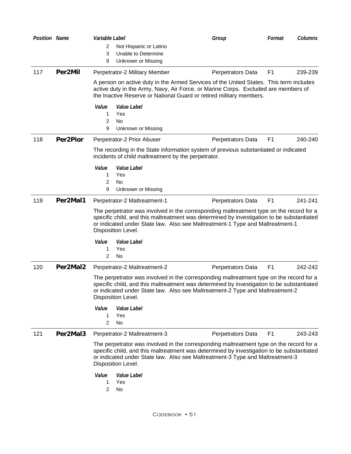| Position Name |          | Variable Label       |                                                                                                                                                                                                                                                                                             | Group             | Format         | Columns |
|---------------|----------|----------------------|---------------------------------------------------------------------------------------------------------------------------------------------------------------------------------------------------------------------------------------------------------------------------------------------|-------------------|----------------|---------|
|               |          | 2                    | Not Hispanic or Latino                                                                                                                                                                                                                                                                      |                   |                |         |
|               |          | 3                    | Unable to Determine                                                                                                                                                                                                                                                                         |                   |                |         |
|               |          | 9                    | Unknown or Missing                                                                                                                                                                                                                                                                          |                   |                |         |
| 117           | Per2Mil  |                      | Perpetrator-2 Military Member                                                                                                                                                                                                                                                               | Perpetrators Data | F <sub>1</sub> | 239-239 |
|               |          |                      | A person on active duty in the Armed Services of the United States. This term includes<br>active duty in the Army, Navy, Air Force, or Marine Corps. Excluded are members of<br>the Inactive Reserve or National Guard or retired military members.                                         |                   |                |         |
|               |          | Value<br>1<br>2<br>9 | Value Label<br>Yes<br>No<br>Unknown or Missing                                                                                                                                                                                                                                              |                   |                |         |
| 118           | Per2Pior |                      | Perpetrator-2 Prior Abuser                                                                                                                                                                                                                                                                  | Perpetrators Data | F <sub>1</sub> | 240-240 |
|               |          |                      | The recording in the State information system of previous substantiated or indicated<br>incidents of child maltreatment by the perpetrator.                                                                                                                                                 |                   |                |         |
|               |          | Value                | Value Label                                                                                                                                                                                                                                                                                 |                   |                |         |
|               |          | 1                    | Yes                                                                                                                                                                                                                                                                                         |                   |                |         |
|               |          | 2<br>9               | No                                                                                                                                                                                                                                                                                          |                   |                |         |
| 119           | Per2Mal1 |                      | Unknown or Missing                                                                                                                                                                                                                                                                          |                   | F <sub>1</sub> | 241-241 |
|               |          |                      | Perpetrator-2 Maltreatment-1                                                                                                                                                                                                                                                                | Perpetrators Data |                |         |
|               |          |                      | The perpetrator was involved in the corresponding maltreatment type on the record for a<br>specific child, and this maltreatment was determined by investigation to be substantiated<br>or indicated under State law. Also see Maltreatment-1 Type and Maltreatment-1<br>Disposition Level. |                   |                |         |
|               |          | Value                | Value Label                                                                                                                                                                                                                                                                                 |                   |                |         |
|               |          | 1                    | Yes                                                                                                                                                                                                                                                                                         |                   |                |         |
|               |          | 2                    | No                                                                                                                                                                                                                                                                                          |                   |                |         |
| 120           | Per2Mal2 |                      | Perpetrator-2 Maltreatment-2                                                                                                                                                                                                                                                                | Perpetrators Data | F <sub>1</sub> | 242-242 |
|               |          |                      | The perpetrator was involved in the corresponding maltreatment type on the record for a<br>specific child, and this maltreatment was determined by investigation to be substantiated<br>or indicated under State law. Also see Maltreatment-2 Type and Maltreatment-2<br>Disposition Level. |                   |                |         |
|               |          | Value<br>1<br>2      | Value Label<br>Yes<br>No                                                                                                                                                                                                                                                                    |                   |                |         |
| 121           | Per2Mal3 |                      | Perpetrator-2 Maltreatment-3                                                                                                                                                                                                                                                                | Perpetrators Data | F <sub>1</sub> | 243-243 |
|               |          |                      | The perpetrator was involved in the corresponding maltreatment type on the record for a<br>specific child, and this maltreatment was determined by investigation to be substantiated<br>or indicated under State law. Also see Maltreatment-3 Type and Maltreatment-3<br>Disposition Level. |                   |                |         |
|               |          | Value<br>1<br>2      | Value Label<br>Yes<br>No                                                                                                                                                                                                                                                                    |                   |                |         |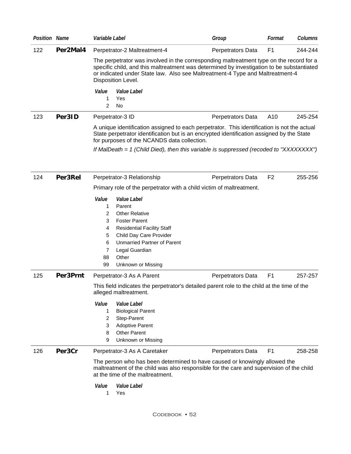| <b>Position Name</b> |          | Variable Label                                                                                                                                                                                                                                                                                                                                                                                                    | Group             | Format         | <b>Columns</b> |
|----------------------|----------|-------------------------------------------------------------------------------------------------------------------------------------------------------------------------------------------------------------------------------------------------------------------------------------------------------------------------------------------------------------------------------------------------------------------|-------------------|----------------|----------------|
| 122                  | Per2Mal4 | Perpetrator-2 Maltreatment-4                                                                                                                                                                                                                                                                                                                                                                                      | Perpetrators Data | F <sub>1</sub> | 244-244        |
|                      |          | The perpetrator was involved in the corresponding maltreatment type on the record for a<br>specific child, and this maltreatment was determined by investigation to be substantiated<br>or indicated under State law. Also see Maltreatment-4 Type and Maltreatment-4<br>Disposition Level.                                                                                                                       |                   |                |                |
|                      |          | Value<br>Value Label<br>1<br>Yes<br>2<br>No                                                                                                                                                                                                                                                                                                                                                                       |                   |                |                |
| 123                  | Per3ID   | Perpetrator-3 ID                                                                                                                                                                                                                                                                                                                                                                                                  | Perpetrators Data | A10            | 245-254        |
|                      |          | A unique identification assigned to each perpetrator. This identification is not the actual<br>State perpetrator identification but is an encrypted identification assigned by the State<br>for purposes of the NCANDS data collection.                                                                                                                                                                           |                   |                |                |
|                      |          | If MalDeath = 1 (Child Died), then this variable is suppressed (recoded to "XXXXXXXX")                                                                                                                                                                                                                                                                                                                            |                   |                |                |
| 124                  | Per3Rel  | Perpetrator-3 Relationship                                                                                                                                                                                                                                                                                                                                                                                        | Perpetrators Data | F <sub>2</sub> | 255-256        |
|                      |          | Primary role of the perpetrator with a child victim of maltreatment.                                                                                                                                                                                                                                                                                                                                              |                   |                |                |
| 125                  | Per3Prnt | Value<br>Value Label<br>1<br>Parent<br><b>Other Relative</b><br>2<br><b>Foster Parent</b><br>3<br><b>Residential Facility Staff</b><br>4<br>Child Day Care Provider<br>5<br><b>Unmarried Partner of Parent</b><br>6<br>Legal Guardian<br>7<br>Other<br>88<br>99<br>Unknown or Missing<br>Perpetrator-3 As A Parent<br>This field indicates the perpetrator's detailed parent role to the child at the time of the | Perpetrators Data | F <sub>1</sub> | 257-257        |
|                      |          | alleged maltreatment.<br>Value<br>Value Label<br><b>Biological Parent</b><br>1<br>2<br>Step-Parent<br><b>Adoptive Parent</b><br>3<br><b>Other Parent</b><br>8<br>Unknown or Missing<br>9                                                                                                                                                                                                                          |                   |                |                |
| 126                  | Per3Cr   | Perpetrator-3 As A Caretaker<br>The person who has been determined to have caused or knowingly allowed the<br>maltreatment of the child was also responsible for the care and supervision of the child<br>at the time of the maltreatment.<br>Value<br><i>Value Label</i><br>1<br>Yes                                                                                                                             | Perpetrators Data | F <sub>1</sub> | 258-258        |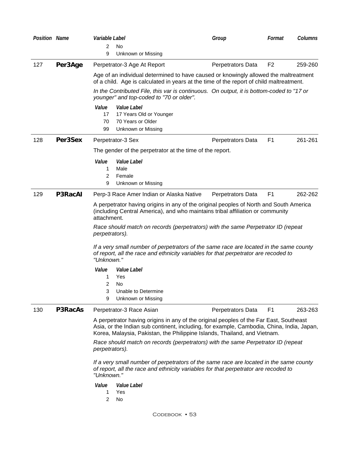| <b>Position Name</b> |                                                                                                    | Variable Label                                                                                                                                                                              |                                                                                                                                                                                                                                                                                                                                                                                                                                                                                                                        | Group             | Columns<br>Format         |
|----------------------|----------------------------------------------------------------------------------------------------|---------------------------------------------------------------------------------------------------------------------------------------------------------------------------------------------|------------------------------------------------------------------------------------------------------------------------------------------------------------------------------------------------------------------------------------------------------------------------------------------------------------------------------------------------------------------------------------------------------------------------------------------------------------------------------------------------------------------------|-------------------|---------------------------|
|                      |                                                                                                    | 2<br>9                                                                                                                                                                                      | <b>No</b><br>Unknown or Missing                                                                                                                                                                                                                                                                                                                                                                                                                                                                                        |                   |                           |
| 127                  | Per3Age                                                                                            |                                                                                                                                                                                             | Perpetrator-3 Age At Report                                                                                                                                                                                                                                                                                                                                                                                                                                                                                            | Perpetrators Data | F <sub>2</sub><br>259-260 |
|                      |                                                                                                    |                                                                                                                                                                                             | Age of an individual determined to have caused or knowingly allowed the maltreatment<br>of a child. Age is calculated in years at the time of the report of child maltreatment.                                                                                                                                                                                                                                                                                                                                        |                   |                           |
|                      |                                                                                                    |                                                                                                                                                                                             | In the Contributed File, this var is continuous. On output, it is bottom-coded to "17 or<br>younger" and top-coded to "70 or older".                                                                                                                                                                                                                                                                                                                                                                                   |                   |                           |
|                      |                                                                                                    | Value<br>17<br>70<br>99                                                                                                                                                                     | Value Label<br>17 Years Old or Younger<br>70 Years or Older<br>Unknown or Missing                                                                                                                                                                                                                                                                                                                                                                                                                                      |                   |                           |
| 128                  | Per3Sex                                                                                            |                                                                                                                                                                                             | Perpetrator-3 Sex                                                                                                                                                                                                                                                                                                                                                                                                                                                                                                      | Perpetrators Data | F <sub>1</sub><br>261-261 |
|                      |                                                                                                    |                                                                                                                                                                                             | The gender of the perpetrator at the time of the report.                                                                                                                                                                                                                                                                                                                                                                                                                                                               |                   |                           |
|                      |                                                                                                    | Value<br>1<br>2<br>9                                                                                                                                                                        | Value Label<br>Male<br>Female<br>Unknown or Missing                                                                                                                                                                                                                                                                                                                                                                                                                                                                    |                   |                           |
| 129                  | <b>P3RacAI</b>                                                                                     |                                                                                                                                                                                             | Perp-3 Race Amer Indian or Alaska Native                                                                                                                                                                                                                                                                                                                                                                                                                                                                               | Perpetrators Data | F <sub>1</sub><br>262-262 |
|                      |                                                                                                    | attachment.<br>perpetrators).<br>"Unknown."<br>Value<br>1<br>2<br>9                                                                                                                         | A perpetrator having origins in any of the original peoples of North and South America<br>(including Central America), and who maintains tribal affiliation or community<br>Race should match on records (perpetrators) with the same Perpetrator ID (repeat<br>If a very small number of perpetrators of the same race are located in the same county<br>of report, all the race and ethnicity variables for that perpetrator are recoded to<br>Value Label<br>Yes<br>No<br>Unable to Determine<br>Unknown or Missing |                   |                           |
| 130                  | <b>P3RacAs</b>                                                                                     |                                                                                                                                                                                             | Perpetrator-3 Race Asian                                                                                                                                                                                                                                                                                                                                                                                                                                                                                               | Perpetrators Data | F <sub>1</sub><br>263-263 |
|                      |                                                                                                    |                                                                                                                                                                                             | A perpetrator having origins in any of the original peoples of the Far East, Southeast<br>Asia, or the Indian sub continent, including, for example, Cambodia, China, India, Japan,<br>Korea, Malaysia, Pakistan, the Philippine Islands, Thailand, and Vietnam.                                                                                                                                                                                                                                                       |                   |                           |
|                      | Race should match on records (perpetrators) with the same Perpetrator ID (repeat<br>perpetrators). |                                                                                                                                                                                             |                                                                                                                                                                                                                                                                                                                                                                                                                                                                                                                        |                   |                           |
|                      |                                                                                                    | If a very small number of perpetrators of the same race are located in the same county<br>of report, all the race and ethnicity variables for that perpetrator are recoded to<br>"Unknown." |                                                                                                                                                                                                                                                                                                                                                                                                                                                                                                                        |                   |                           |
|                      |                                                                                                    | Value<br>1<br>2                                                                                                                                                                             | Value Label<br>Yes<br>No                                                                                                                                                                                                                                                                                                                                                                                                                                                                                               |                   |                           |
|                      |                                                                                                    |                                                                                                                                                                                             | CODEBOOK • 53                                                                                                                                                                                                                                                                                                                                                                                                                                                                                                          |                   |                           |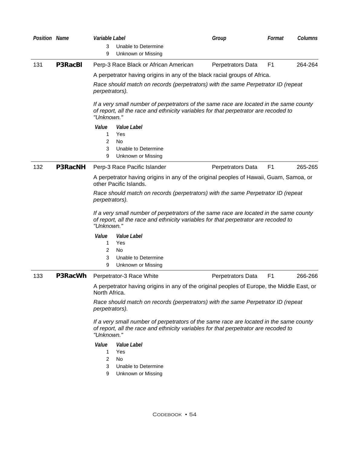| <b>Position Name</b> |                | Variable Label                                                                                                                                                                              | Group             | Format         | Columns |
|----------------------|----------------|---------------------------------------------------------------------------------------------------------------------------------------------------------------------------------------------|-------------------|----------------|---------|
|                      |                | 3<br>Unable to Determine<br>9<br>Unknown or Missing                                                                                                                                         |                   |                |         |
| 131                  | <b>P3RacBI</b> | Perp-3 Race Black or African American                                                                                                                                                       | Perpetrators Data | F <sub>1</sub> | 264-264 |
|                      |                | A perpetrator having origins in any of the black racial groups of Africa.                                                                                                                   |                   |                |         |
|                      |                | Race should match on records (perpetrators) with the same Perpetrator ID (repeat<br>perpetrators).                                                                                          |                   |                |         |
|                      |                | If a very small number of perpetrators of the same race are located in the same county<br>of report, all the race and ethnicity variables for that perpetrator are recoded to<br>"Unknown." |                   |                |         |
|                      |                | Value<br>Value Label<br>Yes<br>1<br>2<br>No<br>3<br>Unable to Determine                                                                                                                     |                   |                |         |
|                      |                | 9<br>Unknown or Missing                                                                                                                                                                     |                   |                |         |
| 132                  | <b>P3RacNH</b> | Perp-3 Race Pacific Islander                                                                                                                                                                | Perpetrators Data | F <sub>1</sub> | 265-265 |
|                      |                | A perpetrator having origins in any of the original peoples of Hawaii, Guam, Samoa, or<br>other Pacific Islands.                                                                            |                   |                |         |
|                      |                | Race should match on records (perpetrators) with the same Perpetrator ID (repeat<br>perpetrators).                                                                                          |                   |                |         |
|                      |                | If a very small number of perpetrators of the same race are located in the same county<br>of report, all the race and ethnicity variables for that perpetrator are recoded to<br>"Unknown." |                   |                |         |
|                      |                | Value<br>Value Label                                                                                                                                                                        |                   |                |         |
|                      |                | 1<br>Yes<br>2<br>No                                                                                                                                                                         |                   |                |         |
|                      |                | 3<br>Unable to Determine                                                                                                                                                                    |                   |                |         |
|                      |                | 9<br>Unknown or Missing                                                                                                                                                                     |                   |                |         |
| 133                  | P3RacWh        | Perpetrator-3 Race White                                                                                                                                                                    | Perpetrators Data | F <sub>1</sub> | 266-266 |
|                      |                | A perpetrator having origins in any of the original peoples of Europe, the Middle East, or<br>North Africa.                                                                                 |                   |                |         |
|                      |                | Race should match on records (perpetrators) with the same Perpetrator ID (repeat<br>perpetrators).                                                                                          |                   |                |         |
|                      |                | If a very small number of perpetrators of the same race are located in the same county<br>of report, all the race and ethnicity variables for that perpetrator are recoded to<br>"Unknown." |                   |                |         |
|                      |                | <i>Value</i><br><i>Value Label</i><br>Yes<br>1.                                                                                                                                             |                   |                |         |
|                      |                | $\overline{2}$<br>No.                                                                                                                                                                       |                   |                |         |
|                      |                | 3<br>Unable to Determine<br>9<br>Unknown or Missing                                                                                                                                         |                   |                |         |
|                      |                |                                                                                                                                                                                             |                   |                |         |
|                      |                |                                                                                                                                                                                             |                   |                |         |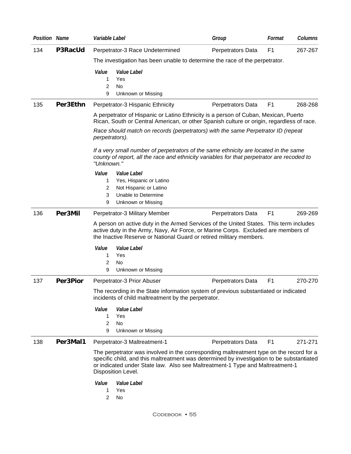| <b>Position Name</b> |                                                                                                                                                                                                                                                                                             | Variable Label                                                                                                                                                                                                                                      |                                                                                                                                                                                    | Group             | Format         | Columns |
|----------------------|---------------------------------------------------------------------------------------------------------------------------------------------------------------------------------------------------------------------------------------------------------------------------------------------|-----------------------------------------------------------------------------------------------------------------------------------------------------------------------------------------------------------------------------------------------------|------------------------------------------------------------------------------------------------------------------------------------------------------------------------------------|-------------------|----------------|---------|
| 134                  | P3RacUd                                                                                                                                                                                                                                                                                     |                                                                                                                                                                                                                                                     | Perpetrator-3 Race Undetermined                                                                                                                                                    | Perpetrators Data | F <sub>1</sub> | 267-267 |
|                      |                                                                                                                                                                                                                                                                                             |                                                                                                                                                                                                                                                     | The investigation has been unable to determine the race of the perpetrator.                                                                                                        |                   |                |         |
|                      |                                                                                                                                                                                                                                                                                             | Value<br>1.<br>2<br>9                                                                                                                                                                                                                               | Value Label<br>Yes<br>No<br>Unknown or Missing                                                                                                                                     |                   |                |         |
| 135                  | Per3Ethn                                                                                                                                                                                                                                                                                    |                                                                                                                                                                                                                                                     | Perpetrator-3 Hispanic Ethnicity                                                                                                                                                   | Perpetrators Data | F <sub>1</sub> | 268-268 |
|                      |                                                                                                                                                                                                                                                                                             |                                                                                                                                                                                                                                                     | A perpetrator of Hispanic or Latino Ethnicity is a person of Cuban, Mexican, Puerto<br>Rican, South or Central American, or other Spanish culture or origin, regardless of race.   |                   |                |         |
|                      |                                                                                                                                                                                                                                                                                             | perpetrators).                                                                                                                                                                                                                                      | Race should match on records (perpetrators) with the same Perpetrator ID (repeat                                                                                                   |                   |                |         |
|                      |                                                                                                                                                                                                                                                                                             | "Unknown."                                                                                                                                                                                                                                          | If a very small number of perpetrators of the same ethnicity are located in the same<br>county of report, all the race and ethnicity variables for that perpetrator are recoded to |                   |                |         |
|                      |                                                                                                                                                                                                                                                                                             | Value                                                                                                                                                                                                                                               | Value Label                                                                                                                                                                        |                   |                |         |
|                      |                                                                                                                                                                                                                                                                                             | 1                                                                                                                                                                                                                                                   | Yes, Hispanic or Latino                                                                                                                                                            |                   |                |         |
|                      |                                                                                                                                                                                                                                                                                             | 2<br>3                                                                                                                                                                                                                                              | Not Hispanic or Latino<br>Unable to Determine                                                                                                                                      |                   |                |         |
|                      |                                                                                                                                                                                                                                                                                             | 9                                                                                                                                                                                                                                                   | Unknown or Missing                                                                                                                                                                 |                   |                |         |
| 136                  | Per3Mil                                                                                                                                                                                                                                                                                     |                                                                                                                                                                                                                                                     | Perpetrator-3 Military Member                                                                                                                                                      | Perpetrators Data | F <sub>1</sub> | 269-269 |
|                      |                                                                                                                                                                                                                                                                                             | A person on active duty in the Armed Services of the United States. This term includes<br>active duty in the Army, Navy, Air Force, or Marine Corps. Excluded are members of<br>the Inactive Reserve or National Guard or retired military members. |                                                                                                                                                                                    |                   |                |         |
|                      |                                                                                                                                                                                                                                                                                             | Value                                                                                                                                                                                                                                               | Value Label                                                                                                                                                                        |                   |                |         |
|                      |                                                                                                                                                                                                                                                                                             | 1                                                                                                                                                                                                                                                   | Yes                                                                                                                                                                                |                   |                |         |
|                      |                                                                                                                                                                                                                                                                                             | 2                                                                                                                                                                                                                                                   | No                                                                                                                                                                                 |                   |                |         |
|                      |                                                                                                                                                                                                                                                                                             | 9                                                                                                                                                                                                                                                   | Unknown or Missing                                                                                                                                                                 |                   |                |         |
| 137                  | <b>Per3Pior</b>                                                                                                                                                                                                                                                                             |                                                                                                                                                                                                                                                     | Perpetrator-3 Prior Abuser                                                                                                                                                         | Perpetrators Data | F <sub>1</sub> | 270-270 |
|                      |                                                                                                                                                                                                                                                                                             |                                                                                                                                                                                                                                                     | The recording in the State information system of previous substantiated or indicated<br>incidents of child maltreatment by the perpetrator.                                        |                   |                |         |
|                      |                                                                                                                                                                                                                                                                                             | Value                                                                                                                                                                                                                                               | Value Label                                                                                                                                                                        |                   |                |         |
|                      |                                                                                                                                                                                                                                                                                             | 1.                                                                                                                                                                                                                                                  | Yes                                                                                                                                                                                |                   |                |         |
|                      |                                                                                                                                                                                                                                                                                             | $\overline{2}$                                                                                                                                                                                                                                      | <b>No</b>                                                                                                                                                                          |                   |                |         |
|                      |                                                                                                                                                                                                                                                                                             | 9                                                                                                                                                                                                                                                   | Unknown or Missing                                                                                                                                                                 |                   |                |         |
| 138                  | Per3Mal1                                                                                                                                                                                                                                                                                    |                                                                                                                                                                                                                                                     | Perpetrator-3 Maltreatment-1                                                                                                                                                       | Perpetrators Data | F <sub>1</sub> | 271-271 |
|                      | The perpetrator was involved in the corresponding maltreatment type on the record for a<br>specific child, and this maltreatment was determined by investigation to be substantiated<br>or indicated under State law. Also see Maltreatment-1 Type and Maltreatment-1<br>Disposition Level. |                                                                                                                                                                                                                                                     |                                                                                                                                                                                    |                   |                |         |
|                      |                                                                                                                                                                                                                                                                                             | Value<br>1.<br>2                                                                                                                                                                                                                                    | Value Label<br>Yes<br>No                                                                                                                                                           |                   |                |         |